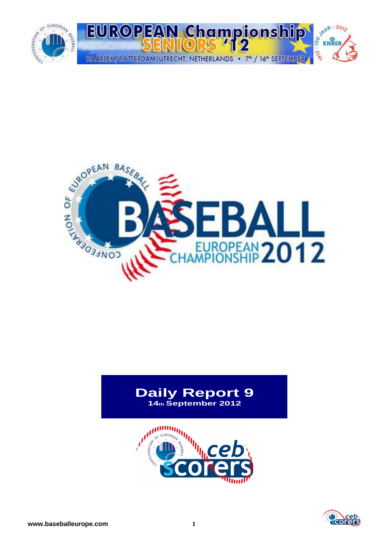



# **Daily Report 9 14th September 2012**



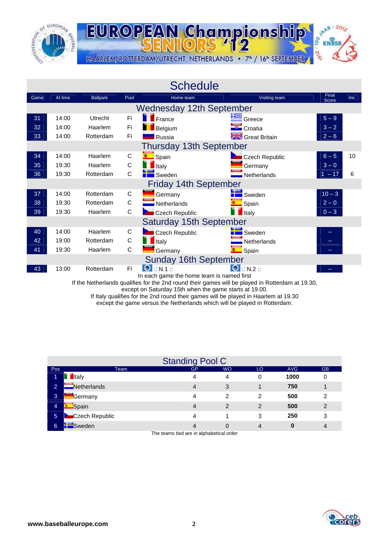



|      |         |                 |             | <b>Schedule</b>                                                   |                                  |                          |      |
|------|---------|-----------------|-------------|-------------------------------------------------------------------|----------------------------------|--------------------------|------|
| Game | At time | <b>Ballpark</b> | Pool        | Home team                                                         | Visiting team                    | Final<br>Score           | Inn. |
|      |         |                 |             | <b>Wednesday 12th September</b>                                   |                                  |                          |      |
| 31   | 14:00   | Utrecht         | Fi          | $\blacksquare$ France                                             | Greece                           | $5 - 9$                  |      |
| 32   | 14:00   | Haarlem         | Fi          | Belgium                                                           | Croatia                          | $3 - 2$                  |      |
| 33   | 14:00   | Rotterdam       | Fi          | Russia                                                            | <b>Safe</b> Great Britain        | $2 - 6$                  |      |
|      |         |                 |             | <b>Thursday 13th September</b>                                    |                                  |                          |      |
| 34   | 14:00   | Haarlem         | C           | Spain                                                             | <b>Execch Republic</b>           | $6 - 5$                  | 10   |
| 35   | 19:30   | Haarlem         | $\mathsf C$ | $\blacksquare$ Italy                                              | Germany                          | $3 - 0$                  |      |
| 36   | 19:30   | Rotterdam       | C           | <b>New Sweden</b>                                                 | Netherlands                      | $1 - 17$                 | 6    |
|      |         |                 |             | <b>Friday 14th September</b>                                      |                                  |                          |      |
| 37   | 14:00   | Rotterdam       | C           | Germany                                                           | Sweden                           | $10 - 3$                 |      |
| 38   | 19:30   | Rotterdam       | $\mathsf C$ | Netherlands                                                       | Spain                            | $2 - 0$                  |      |
| 39   | 19:30   | Haarlem         | $\mathsf C$ | Czech Republic                                                    | $\blacksquare$ Italy             | $0 - 3$                  |      |
|      |         |                 |             | <b>Saturday 15th September</b>                                    |                                  |                          |      |
| 40   | 14:00   | Haarlem         | C           | Czech Republic                                                    | Sweden                           |                          |      |
| 42   | 19:00   | Rotterdam       | C           | $\blacksquare$ Italy                                              | Netherlands                      |                          |      |
| 41   | 19:30   | Haarlem         | C           | Germany                                                           | <b>C</b> Spain                   | $\overline{\phantom{0}}$ |      |
|      |         |                 |             | <b>Sunday 16th September</b>                                      |                                  |                          |      |
| 43   | 13:00   | Rotterdam       | Fi          | $\bigcirc$ :: N.1 ::<br>In each game the home team is named first | $\bigcirc$ $\ldots$ N.2 $\ldots$ |                          |      |

If the Netherlands qualifies for the 2nd round their games will be played in Rotterdam at 19.30,

except on Saturday 15th when the game starts at 19.00.

If Italy qualifies for the 2nd round their games will be played in Haarlem at 19.30

except the game versus the Netherlands which will be played in Rotterdam.

|                |                | <b>Standing Pool C</b> |           |                |            |           |
|----------------|----------------|------------------------|-----------|----------------|------------|-----------|
| <b>Pos</b>     | Team           | <b>GP</b>              | <b>WO</b> | LO             | <b>AVG</b> | <b>GB</b> |
| 1              | <b>I</b> taly  | 4                      | 4         | $\Omega$       | 1000       | 0         |
| $\overline{2}$ | Netherlands    | 4                      | 3         |                | 750        |           |
| 3              | <b>Germany</b> | 4                      | 2         | 2              | 500        | 2         |
| 4              | Spain          | 4                      | 2         | 2              | 500        | 2         |
| 5 <sup>5</sup> | Czech Republic | 4                      |           | 3              | 250        | 3         |
| 6              | Sweden         | 4                      | 0         | $\overline{4}$ | 0          | 4         |

The teams tied are in alphabetical order

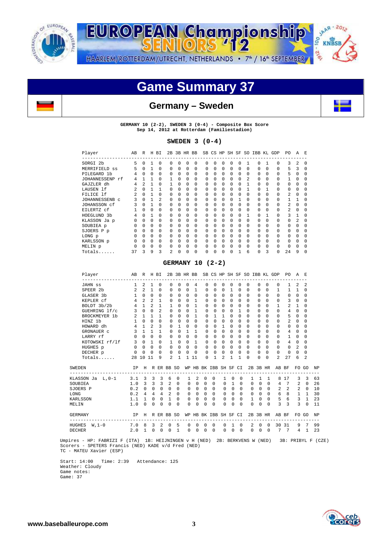

**SAAR-2012** EUROPEAN Championship 00 **KNBSB** -216 HAARLEM/ROTTERDAM/UTRECHT, NETHERLANDS . 7<sup>th</sup> / 16<sup>th</sup> SEPTEMBER

# **Game Summary 37**



## **Germany – Sweden**



**GERMANY 10 (2-2), SWEDEN 3 (0-4) - Composite Box Score Sep 14, 2012 at Rotterdam (Familiestadion)** 

## **SWEDEN 3 (0-4)**

| Player<br>--------------- | AВ | R        |              | H BI     | 2B             |          | 3B HR BB |          |   |          |          |   |          |                | SB CS HP SH SF SO IBB KL GDP |          |          | PO.            | A            | E.           |
|---------------------------|----|----------|--------------|----------|----------------|----------|----------|----------|---|----------|----------|---|----------|----------------|------------------------------|----------|----------|----------------|--------------|--------------|
| SORGI 2b                  | 5  | $\Omega$ |              | 0        | 0              | $\Omega$ | 0        | $\Omega$ | 0 | $\Omega$ | $\Omega$ | 0 | 0        |                | 0                            |          | 0        | 3              |              | n            |
| MERRIFIELD ss             | 5  | $\Omega$ | $\mathbf{1}$ | $\Omega$ | 0              | $\Omega$ | 0        | $\Omega$ | 0 | 0        | $\Omega$ | 0 | 0        | $\Omega$       | $\Omega$                     | 0        | $\Omega$ | 5              | 3            | <sup>0</sup> |
| PILEGARD 1b               |    | 0        | $\Omega$     | $\Omega$ | 0              | $\Omega$ | $\Omega$ | $\Omega$ | 0 | $\Omega$ | $\Omega$ | 0 | $\Omega$ | $\Omega$       | $\Omega$                     | $\Omega$ | $\Omega$ | 5              | 0            | $\Omega$     |
| JOHANNESSENP rf           | 4  | 1        | 1            | $\Omega$ |                | 0        | $\Omega$ | $\Omega$ | 0 | $\Omega$ | $\Omega$ | 0 | 0        | $\mathfrak{D}$ | 0                            | $\Omega$ | 0        | 1.             | $\Omega$     | <sup>n</sup> |
| GAJZLER dh                |    | 2        |              | $\Omega$ |                | $\Omega$ | 0        | $\Omega$ | 0 | $\Omega$ | $\Omega$ | 0 | 0        | 1              | $\Omega$                     | 0        | 0        | 0              | 0            | <sup>n</sup> |
| LAUSEN lf                 |    | 0        |              | 1        | 0              | 0        | 0        | $\Omega$ | 0 | 0        | $\Omega$ | 0 | $\Omega$ |                | 0                            |          | $\Omega$ | 0              | U            | <sup>n</sup> |
| FILICE 1f                 |    | 0        |              | 0        |                | 0        | 0        | $\Omega$ | 0 | $\Omega$ | 0        | 0 | 0        | 0              | 0                            | 0        | $\Omega$ | 2.             | 0            | <sup>0</sup> |
| JOHANNESSENB C            | ς  | $\Omega$ | 1            | 2        | 0              | $\Omega$ | $\Omega$ | $\Omega$ | 0 | $\Omega$ | $\Omega$ | 0 |          | 0              | 0                            | $\Omega$ | 0        | 1.             |              | <sup>n</sup> |
| JOHANSSON cf              |    | 0        | 1            | $\Omega$ | 0              | 0        | 0        | $\Omega$ | 0 | 0        | 0        | 0 | 0        | 0              | $\Omega$                     | 0        | 0        | $\mathfrak{D}$ | 0            | $\Omega$     |
| EILERTZ cf                |    | 0        | $\Omega$     | 0        | 0              | 0        | $\Omega$ | $\Omega$ | 0 | 0        | $\Omega$ | 0 | $\Omega$ | $\Omega$       | $\Omega$                     | $\Omega$ | $\Omega$ | $\mathfrak{D}$ | U            | <sup>n</sup> |
| HOEGLUND 3b               |    | 0        | 1            | 0        |                | 0        | 0        | $\Omega$ | 0 | 0        | 0        | 0 | 0        | 1              | 0                            |          | $\Omega$ | 3              |              |              |
| KLASSON Ja p              |    | 0        | $\Omega$     | $\Omega$ | 0              | $\Omega$ | 0        | $\Omega$ | 0 | 0        | $\Omega$ | 0 | 0        | $\Omega$       | 0                            | 0        | $\Omega$ | 0              | 2            | <sup>n</sup> |
| SOUBIEA p                 |    | 0        | $\Omega$     | $\Omega$ | 0              | $\Omega$ | 0        | $\Omega$ | 0 | $\Omega$ | $\Omega$ | 0 | $\Omega$ | 0              | 0                            | 0        | $\Omega$ | 0              | <sup>n</sup> | $\Omega$     |
| SJOERS P p                |    | 0        | 0            | $\Omega$ | 0              | 0        | 0        | $\Omega$ | 0 | $\Omega$ | $\Omega$ | 0 | 0        | 0              | $\Omega$                     | 0        | 0        | 0              | 0            | $\Omega$     |
| LONG p                    |    | 0        | 0            | 0        | $\Omega$       | 0        | 0        | 0        | 0 | $\Omega$ | $\Omega$ | 0 | $\Omega$ | $\Omega$       | 0                            | $\Omega$ | 0        | 0              | U            | <sup>n</sup> |
| KARLSSON p                |    | 0        | $\Omega$     | 0        |                | 0        | 0        | 0        | 0 | 0        | $\Omega$ | 0 | 0        | 0              | 0                            | 0        | 0        | 0              | U            |              |
| MELIN p                   |    | 0        | 0            | 0        | $\Omega$       | $\Omega$ | $\Omega$ | $\Omega$ | 0 | $\Omega$ | $\Omega$ | 0 | $\Omega$ | $\Omega$       | 0                            | $\Omega$ | $\Omega$ | 0              | U            | <sup>0</sup> |
| Totals                    | 37 | 3        | 9            | 3        | $\mathfrak{D}$ | 0        | $\Omega$ | $\Omega$ | 0 | 0        | $\Omega$ | 0 |          | 6              | 0                            | 3        | 0        | 24             | 9            | <sup>n</sup> |

## **GERMANY 10 (2-2)**

|                | Player                     | AB             |                       | R H BI         |                |                |                   |                      |                                     |              |                       |               |                          |                     | 2B 3B HR BB SB CS HP SH SF SO IBB KL GDP |                     |              |                                        | PO.            | A              | E.             |           |
|----------------|----------------------------|----------------|-----------------------|----------------|----------------|----------------|-------------------|----------------------|-------------------------------------|--------------|-----------------------|---------------|--------------------------|---------------------|------------------------------------------|---------------------|--------------|----------------------------------------|----------------|----------------|----------------|-----------|
|                |                            |                |                       |                |                |                |                   |                      |                                     |              |                       |               |                          |                     |                                          |                     |              |                                        |                |                |                |           |
|                | JAHN SS                    |                | $1\quad 2$            | $\mathbf{1}$   | $\Omega$       | $\Omega$       | $\Omega$          | 0                    | 4                                   | $\Omega$     | $\Omega$              | $\Omega$      | $\Omega$                 | 0                   | $\Omega$                                 | 0                   | $\Omega$     | $\Omega$                               | $\mathbf{1}$   | 2              | 2              |           |
|                | SPEER 2b                   | $2^{\circ}$    | $\overline{2}$        | $\mathbf{1}$   | $\Omega$       | $\Omega$       | $\Omega$          | $\Omega$             | $\mathbf{1}$                        | $\Omega$     | $\Omega$              | $\Omega$      | $\mathbf{1}$             | <sup>n</sup>        | $\Omega$                                 | $\Omega$            | $\Omega$     | $\mathbf{1}$                           | $\mathbf{1}$   | $\mathbf{1}$   | $\Omega$       |           |
|                | GLASER 3b                  |                | $1 \quad 0$           | $\Omega$       | $\Omega$       | $\Omega$       | <sup>n</sup>      | $\Omega$             | $\Omega$                            | $\Omega$     | $\Omega$              | $\Omega$      | $\Omega$                 | $\cap$              | $\Omega$                                 | $\Omega$            | $\Omega$     | $\Omega$                               | $\Omega$       | $\Omega$       | $\Omega$       |           |
|                | KEPLER cf                  |                | $4 \t2$               | $\mathfrak{D}$ | $\overline{1}$ | $\Omega$       | $\Omega$          | $\Omega$             | $\mathbf{1}$                        | $\Omega$     | $\Omega$              | $\Omega$      | $\Omega$                 | $\Omega$            | $\Omega$                                 | $\Omega$            | $\Omega$     | $\Omega$                               | 3              | $\Omega$       | $\Omega$       |           |
|                | BOLDT 3b/2b                |                | $4 \quad 1$           | $\mathfrak{D}$ | $\overline{1}$ | 1              | $\Omega$          | $\Omega$             | $\mathbf{1}$                        | <sup>n</sup> | $\Omega$              | $\Omega$      | $\Omega$                 | <sup>n</sup>        | $\Omega$                                 | U.                  | $\Omega$     | $\mathbf{1}$                           | $\mathfrak{D}$ | $\mathbf{1}$   | $\Omega$       |           |
|                | GUEHRING lf/c              | $\overline{3}$ | $\Omega$              |                | $0 \quad 2$    | $\Omega$       | $\Omega$          | $\Omega$             | $\mathbf{1}$                        | $\Omega$     | $\Omega$              | $\Omega$      | $\Omega$                 | $\mathbf{1}$        | $\Omega$                                 | <sup>n</sup>        | <sup>n</sup> | $\Omega$                               | $\overline{4}$ | $\Omega$       | $\Omega$       |           |
|                | BROCKMEYER 1b              |                | $2 \quad 1$           | $\mathbf{1}$   | $\mathbf{1}$   | $\Omega$       | $\Omega$          | $\Omega$             | $\mathbf{1}$                        | $\Omega$     | $\mathbf{1}$          | $\mathbf{1}$  | $\Omega$                 | $\Omega$            | $\Omega$                                 | $\Omega$            | $\Omega$     | $\Omega$                               | 5              | $\Omega$       | $\Omega$       |           |
|                | HTNZ 1b                    |                | $1 \quad 0$           | $\Omega$       | $\Omega$       | $\Omega$       | $\Omega$          | <sup>0</sup>         | $\Omega$                            | $\Omega$     | $\Omega$              | $\Omega$      | $\Omega$                 | <sup>n</sup>        | $\Omega$                                 | U                   | $\Omega$     | $\Omega$                               | $\overline{a}$ | $\Omega$       | U              |           |
|                | HOWARD dh                  |                | 4 1                   | $\mathfrak{D}$ | $\mathcal{R}$  | $\Omega$       | 1                 | $\Omega$             | $\Omega$                            | <sup>n</sup> | $\Omega$              | 1             | $\Omega$                 | <sup>n</sup>        | $\Omega$                                 | $\Omega$            | $\Omega$     | $\Omega$                               | $\Omega$       | $\Omega$       | 0              |           |
|                | GRONAUER C                 |                | $3 \quad 1$           | $\mathbf{1}$   | $\overline{1}$ | $\Omega$       | $\Omega$          | $\overline{1}$       | $\mathbf{1}$                        | $\Omega$     | $\Omega$              | $\Omega$      | $\Omega$                 | $\Omega$            | $\Omega$                                 | $\Omega$            | $\Omega$     | $\Omega$                               | $\overline{4}$ | $\Omega$       | $\Omega$       |           |
|                | LARRY rf                   |                | $0 \quad 0$           | $\Omega$       | $\Omega$       | $\Omega$       | $\Omega$          | $\Omega$             | $\Omega$                            | $\Omega$     | $\Omega$              | $\Omega$      | $\Omega$                 | <sup>n</sup>        | $\Omega$                                 | $\Omega$            | $\Omega$     | $\Omega$                               | $\mathbf{1}$   | $\Omega$       | $\Omega$       |           |
|                | KOTOWSKI rf/lf             |                | $3 \quad 0$           | $\overline{1}$ | $\Omega$       | $\mathbf{1}$   | $\Omega$          | $\Omega$             | $\mathbf{1}$                        | $\Omega$     | $\Omega$              | $\Omega$      | $\Omega$                 | <sup>n</sup>        | $\Omega$                                 | U                   | $\Omega$     | $\Omega$                               | $\overline{4}$ | $\Omega$       | $\Omega$       |           |
|                | HUGHES p                   |                | $0 \quad 0 \quad 0$   |                | $\Omega$       | $\Omega$       | $\Omega$          | $\Omega$             | $\Omega$                            | $\Omega$     | $\Omega$              | $\Omega$      | $\Omega$                 | $\Omega$            | $\Omega$                                 | $\Omega$            | $\Omega$     | $\Omega$                               | $\Omega$       | $\mathfrak{D}$ | $\Omega$       |           |
|                | DECHER p                   | $\Omega$       | $\Omega$              | $\Omega$       | $\cap$         | $\Omega$       | $\Omega$          | $\Omega$             | $\Omega$                            | $\Omega$     | $\Omega$              | $\Omega$      | $\Omega$                 | $\Omega$            | $\Omega$                                 | $\Omega$            | $\Omega$     | $\Omega$                               | $\Omega$       | $\Omega$       | $\Omega$       |           |
|                | Totals                     |                | 28 10 11              |                | 9              | $\overline{a}$ | $\mathbf{1}$      |                      | 1 11                                | $\Omega$     | 1                     | 2             | $\mathbf{1}$             | 1                   | $\Omega$                                 | U                   | $\Omega$     | $\mathcal{L}$                          | 27             | 6              | 2              |           |
| SWEDEN         |                            | TP             |                       |                |                | H R ER BB SO   |                   |                      |                                     |              | WP HB BK IBB SH SF CI |               |                          |                     |                                          | 2B 3B HR            |              | AB BF                                  |                |                | FO GO          | <b>NP</b> |
|                | KLASSON Ja L,0-1 3.1 3 3 3 |                |                       |                |                | 6              | $^{\circ}$        | 1                    | 2                                   | 0            | $\mathbf 0$           | 1             | 0                        | $\mathbf{0}$        | $\mathbf{1}$                             | 1                   | $\mathbf{1}$ | -------------------------------------- | 8 1 7          | 3              | 3              | 63        |
| SOUBIEA        |                            | 1.0            |                       |                |                | 3 3 3 2        | $\Omega$          | $\Omega$             | $\begin{matrix} 0 & 0 \end{matrix}$ |              | $\Omega$              |               | $0 \quad 1$              | $\Omega$            |                                          | $0 \quad 0$         | $\bigcirc$   |                                        | 4 7            | $\mathfrak{D}$ | $\Omega$       | 26        |
| SJOERS P       |                            | 0.2            |                       | $0 \quad 0$    | $\cap$         | $\Omega$       | $\Omega$          |                      | $0 \quad 0$                         | $\Omega$     | $\Omega$              |               |                          | $0 \quad 0 \quad 0$ |                                          | $0 \quad 0$         | $\Omega$     |                                        | $2 \t2$        | $2^{\circ}$    | $\Omega$       | 10        |
| LONG           |                            |                | $0.2 \quad 4 \quad 4$ |                | $\overline{4}$ | $\overline{2}$ | $\Omega$          |                      | $0 \quad 0 \quad 0$                 |              | $\cap$                |               |                          | $0 \quad 0 \quad 0$ |                                          | $0 \quad 0 \quad 0$ |              |                                        | 6 8            |                | $1\quad1$      | 30        |
| KARLSSON       |                            | 1.1            | $\mathbf{1}$          | $\Omega$       | $\Omega$       | $\mathbf{1}$   | $\Omega$          | $\Omega$             | $\overline{0}$                      | $\Omega$     | $\Omega$              | 0             | $\Omega$                 | $\Omega$            | $\mathbf{1}$                             | $\Omega$            | $\Omega$     | 5                                      | 6 <sup>6</sup> |                | 3 <sub>1</sub> | 23        |
| MELTN          |                            | 1.0            | $\Omega$              | $\Omega$       | $\Omega$       | $\Omega$       | <sup>0</sup>      | $\Omega$             | $\Omega$                            | $\Omega$     | $\Omega$              | U             | $\Omega$                 | $\Omega$            | $\Omega$                                 | $\Omega$            | $\Omega$     | $\mathbf{z}$                           | $\overline{3}$ | 3              | $\Omega$       | 11        |
| <b>GERMANY</b> |                            | IP             |                       |                |                | H R ER BB SO   |                   |                      |                                     |              |                       |               |                          |                     |                                          |                     |              | WP HB BK IBB SH SF CI 2B 3B HR AB BF   |                |                | FO GO          | <b>NP</b> |
|                |                            |                |                       |                |                |                |                   |                      |                                     |              |                       |               |                          |                     | $\mathfrak{D}$                           |                     | $\Omega$     |                                        |                | 9              | $7^{\circ}$    | 99        |
|                | HUGHES W, 1-0              | 7.0 8 3        | $\overline{1}$        |                | $\mathfrak{D}$ | $\Omega$       | 5<br>$\mathbf{1}$ | $\Omega$<br>$\Omega$ | 0                                   | 0            | $\Omega$              | $\Omega$<br>U | $\mathbf{1}$<br>$\Omega$ | $\overline{0}$      | $\Omega$                                 | $\Omega$            |              | $7\overline{ }$                        | 30 31          | $\overline{4}$ |                | 23        |
| <b>DECHER</b>  |                            | 2.0            |                       | 0              | $\Omega$       | $\Omega$       |                   |                      | $\Omega$                            | $\Omega$     | $\Omega$              |               |                          | $\Omega$            |                                          | $\Omega$            | $\Omega$     |                                        | $\overline{7}$ |                | $\mathbf{1}$   |           |

Umpires - HP: FABRIZI F (ITA) 1B: HEIJNINGEN v H (NED) 2B: BERKVENS W (NED) 3B: PRIBYL F (CZE) Scorers - SPETERS Francis (NED) KADE v/d Fred (NED) TC - MATEU Xavier (ESP)

Start: 14:00 Time: 2:39 Attendance: 125 Weather: Cloudy Game notes: Game: 37

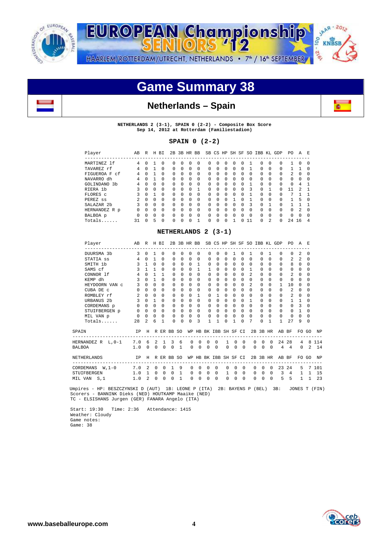

**SAAR-2012** EUROPEAN Championship oo KNBSB  $-2^{6}$ HAARLEM/ROTTERDAM/UTRECHT, NETHERLANDS . 7<sup>th</sup> / 16<sup>th</sup> SEPTEMBER

# **Game Summary 38**





**NETHERLANDS 2 (3-1), SPAIN 0 (2-2) - Composite Box Score Sep 14, 2012 at Rotterdam (Familiestadion)** 

## **SPAIN 0 (2-2)**

| Player                      | AВ             | R        | H        | BI       | 2B           | 3B           | HR BB    |          |              |              | SB CS HP | SH SF    |              | SO.      | IBB KL   |                | GDP          | PO.           | A              | E.       |
|-----------------------------|----------------|----------|----------|----------|--------------|--------------|----------|----------|--------------|--------------|----------|----------|--------------|----------|----------|----------------|--------------|---------------|----------------|----------|
| MARTINEZ 1f                 | 4              | U        |          | $\Omega$ | 0            | 0            | 0        | $\Omega$ | 0            | O            | 0        | 0        | <sup>0</sup> |          | 0        | 0              | 0            |               | $\Omega$       | $\Omega$ |
| TAVAREZ rf                  | 4              | U        |          | $\Omega$ | $\Omega$     | <sup>n</sup> | 0        | $\Omega$ | $\Omega$     | $\Omega$     | $\Omega$ | $\Omega$ | <sup>0</sup> |          | $\Omega$ | $\Omega$       | $\Omega$     |               |                | $\Omega$ |
| FIGUEROA F<br>.cf           | 4              | 0        |          | $\Omega$ | $\Omega$     | $\Omega$     | 0        | $\Omega$ | $\Omega$     | $\Omega$     | $\Omega$ | 0        | $\Omega$     | $\Omega$ | $\Omega$ | $\Omega$       | $\Omega$     | $\mathcal{L}$ | $\Omega$       | $\Omega$ |
| NAVARRO dh                  | 4              | U        |          | $\Omega$ | $\Omega$     | U            | 0        | $\Omega$ | $\Omega$     | <sup>0</sup> | $\Omega$ | 0        | <sup>0</sup> | $\Omega$ | $\Omega$ | $\Omega$       | $\Omega$     | $\Omega$      | $\Omega$       | n        |
| GOLINDANO<br>3 <sub>b</sub> | 4              | U        | U        | $\Omega$ | $\Omega$     | U            | $\Omega$ | $\Omega$ | $\Omega$     | <sup>0</sup> | $\Omega$ | $\Omega$ | <sup>n</sup> |          | $\Omega$ | $\Omega$       | $\Omega$     | $\Omega$      | 4              |          |
| RIERA 1b                    |                | 0        | 0        | $\Omega$ | $\Omega$     | 0            | 0        |          | $\Omega$     | U            | $\Omega$ | 0        | <sup>n</sup> | 3        | $\Omega$ |                | 0            |               | 2              |          |
| FLORES C                    | 3              | $\Omega$ |          | $\Omega$ | $\Omega$     | U            | $\Omega$ | $\Omega$ | $\Omega$     | $\Omega$     | $\Omega$ | $\Omega$ | $\Omega$     |          | $\Omega$ | $\Omega$       | $\Omega$     | 7             |                |          |
| PEREZ ss                    | $\mathfrak{D}$ | $\Omega$ | $\Omega$ | $\Omega$ | $\Omega$     | $\Omega$     | $\Omega$ | $\Omega$ | $\Omega$     | $\Omega$     | $\Omega$ |          | <sup>n</sup> |          | $\Omega$ | $\Omega$       | $\Omega$     |               | 5              | $\Omega$ |
| SALAZAR 2b                  | ર              | $\Omega$ | $\Omega$ | $\Omega$ | $\Omega$     | $\Omega$     | $\Omega$ | $\Omega$ | $\Omega$     | $\Omega$     | $\Omega$ | $\Omega$ | $\Omega$     | 3        | $\Omega$ |                | $\Omega$     |               |                |          |
| HERNANDEZ R p               | $\Omega$       | $\Omega$ | $\Omega$ | $\Omega$ | $\Omega$     | $\Omega$     | $\Omega$ | $\Omega$ | $\Omega$     | $\Omega$     | $\Omega$ | $\Omega$ | $\Omega$     | $\Omega$ | $\Omega$ | $\Omega$       | $\Omega$     | $\Omega$      | $\mathfrak{D}$ | $\Omega$ |
| BALBOA p                    | 0              | U        | 0        | $\Omega$ | $\Omega$     | U            | 0        | $\Omega$ | $\Omega$     | <sup>0</sup> | $\Omega$ | 0        | <sup>n</sup> | $\Omega$ | $\Omega$ | $\Omega$       | $\Omega$     | $\Omega$      | $\Omega$       | $\Omega$ |
| Totals.                     | 31             | U        | 5        | $\Omega$ | <sup>0</sup> | U            | U        |          | <sup>n</sup> | U            | O        |          |              | 11       | 0        | $\mathfrak{D}$ | <sup>n</sup> | 2.4           | 16             | 4        |

## **NETHERLANDS 2 (3-1)**

| Player                                | AB                            | R H BI         |                |                |              |                | 2B 3B HR BB  |              |              |                    |              |          |          |                |            |              | SB CS HP SH SF SO IBB KL GDP      | PO.            | A              | E,       |           |
|---------------------------------------|-------------------------------|----------------|----------------|----------------|--------------|----------------|--------------|--------------|--------------|--------------------|--------------|----------|----------|----------------|------------|--------------|-----------------------------------|----------------|----------------|----------|-----------|
| DUURSMA 3b                            | 3                             | $\Omega$       | 1              | $\Omega$       | $\Omega$     | $\Omega$       | $\Omega$     | $\Omega$     | $\Omega$     | $\Omega$           | 0            | 1.       | $\Omega$ | $\mathbf{1}$   | $\Omega$   | $\mathbf{1}$ | $\Omega$                          | $\Omega$       | $\mathfrak{D}$ | $\Omega$ |           |
| STATIA SS                             | 4                             | $\Omega$       | $\mathbf{1}$   | $\Omega$       | $\Omega$     | $\Omega$       | $\Omega$     | $\Omega$     | $\Omega$     | $\Omega$           | $\Omega$     | $\Omega$ | $\Omega$ | $\Omega$       | $\Omega$   | <sup>0</sup> | <sup>0</sup>                      | $\mathfrak{D}$ | $\mathfrak{D}$ | $\Omega$ |           |
| SMITH 1b                              | 3                             | $\mathbf{1}$   | $\Omega$       | <sup>n</sup>   | <sup>n</sup> | $\Omega$       | $\Omega$     | $\mathbf{1}$ | $\Omega$     | $\Omega$           | $\Omega$     | $\Omega$ | $\Omega$ | $\Omega$       | $\Omega$   | $\Omega$     | $\Omega$                          | 8              | $\Omega$       | $\Omega$ |           |
| SAMS cf                               | 3                             | $\mathbf{1}$   | $\mathbf{1}$   | <sup>n</sup>   | <sup>n</sup> | $\Omega$       | $\Omega$     | $\mathbf{1}$ | $\mathbf{1}$ | $\Omega$           | $\Omega$     | $\Omega$ | $\Omega$ | $\mathbf{1}$   | $\Omega$   | <sup>n</sup> | $\Omega$                          | $\Omega$       | 0              | 0        |           |
| CONNOR 1f                             | 4                             | $\Omega$       | 1              | 1              | <sup>n</sup> | $\Omega$       | $\Omega$     | $\Omega$     | $\Omega$     | $\Omega$           | $\Omega$     | $\Omega$ | $\Omega$ | $\mathcal{L}$  | $\Omega$   | U            | <sup>0</sup>                      | $\mathfrak{D}$ | $\Omega$       | $\Omega$ |           |
| KEMP dh                               | ς                             | $\Omega$       | 1              | $\Omega$       | $\Omega$     | $\Omega$       | $\Omega$     | $\Omega$     | $\Omega$     | $\Omega$           | $\Omega$     | $\Omega$ | $\Omega$ | $\Omega$       | $\Omega$   | <sup>0</sup> | <sup>0</sup>                      | $\Omega$       | <sup>n</sup>   | $\Omega$ |           |
| HEYDOORN VAN C                        | 3                             | $\Omega$       | $\Omega$       | $\Omega$       | $\Omega$     | $\Omega$       | $\Omega$     | $\Omega$     | $\Omega$     | $\Omega$           | $\Omega$     | $\Omega$ | $\Omega$ | $\mathfrak{D}$ | $\Omega$   | 0            | $\mathbf{1}$                      | 10             | 0              | $\Omega$ |           |
| CUBA DE C                             | $\Omega$                      | $\Omega$       | $\Omega$       | $\Omega$       | <sup>n</sup> | $\Omega$       | $\Omega$     | $\Omega$     | $\Omega$     | $\Omega$           | $\Omega$     | $\Omega$ | $\Omega$ | $\Omega$       | $\Omega$   | <sup>0</sup> | $\Omega$                          | $\mathfrak{D}$ | $\Omega$       | $\Omega$ |           |
| ROMBLEY rf                            | $\overline{a}$                | $\Omega$       | $\Omega$       | $\Omega$       | $\Omega$     | $\Omega$       | $\Omega$     | 1            | $\Omega$     | $\mathbf{1}$       | $\Omega$     | $\Omega$ | $\Omega$ | $\cap$         | $\Omega$   | <sup>0</sup> | $\Omega$                          | $\mathfrak{D}$ | 0              | $\Omega$ |           |
| URBANUS <sub>2b</sub>                 | 3                             | $\Omega$       | $\mathbf{1}$   | $\Omega$       | 0            | $\Omega$       | $\Omega$     | $\Omega$     | $\Omega$     | $\Omega$           | $\Omega$     | $\Omega$ | $\Omega$ | 1              | $\Omega$   | <sup>0</sup> | 0                                 | 1              | 1              | $\Omega$ |           |
| CORDEMANS p                           | $\Omega$                      | $\Omega$       | $\Omega$       | $\Omega$       | $\Omega$     | $\Omega$       | $\Omega$     | <sup>n</sup> | $\Omega$     | $\Omega$           | $\Omega$     | $\Omega$ | $\Omega$ | $\cap$         | $\Omega$   | <sup>n</sup> | $\Omega$                          | $\Omega$       | 3              | 0        |           |
| STUIFBERGEN p                         | $\Omega$                      | $\Omega$       | $\Omega$       | $\Omega$       | $\Omega$     | $\Omega$       | $\Omega$     | $\Omega$     | $\Omega$     | $\Omega$           | $\Omega$     | $\Omega$ | $\Omega$ | $\Omega$       | $\Omega$   | $\Omega$     | $\Omega$                          | $\cap$         | $\mathbf{1}$   | $\Omega$ |           |
| MIL VAN p                             | $\Omega$                      | $\Omega$       | $\Omega$       | $\Omega$       | $\Omega$     | $\Omega$       | $\Omega$     | $\Omega$     | $\Omega$     | $\Omega$           | $\Omega$     | $\Omega$ | $\Omega$ | $\Omega$       | $\Omega$   | $\Omega$     | $\Omega$                          | $\Omega$       | <sup>n</sup>   | $\Omega$ |           |
| $Totals$                              | 28                            | $\mathfrak{D}$ | 6              | 1              | $\Omega$     | $\Omega$       | $\Omega$     | 3            | 1            | 1                  | <sup>0</sup> | 1        | $\Omega$ | 7              | $\Omega$   | 1            | $\mathbf{1}$                      | 2.7            | 9              | $\Omega$ |           |
| SPAIN                                 | TP                            | H              |                |                | R ER BB SO   |                | WP           |              |              | HB BK IBB SH SF CI |              |          |          |                | 2B 3B HR   |              |                                   | AB BF          |                | FO GO    | <b>NP</b> |
| HERNANDEZ R L, 0-1                    | ----------------------<br>7.0 | -6             | $\mathfrak{D}$ | $\overline{1}$ | 3            | -6             | $\Omega$     | $\Omega$     | $\Omega$     | $\Omega$           | $\mathbf{1}$ | $\Omega$ | $\Omega$ | $\Omega$       | $\Omega$   | $\Omega$     | -------------------------------   | 24 28          | 4              |          | 8 1 1 4   |
| BALBOA                                | 1.0                           | $\Omega$       | $\Omega$       | $\Omega$       | $\Omega$     | $\overline{1}$ | <sup>0</sup> | $\Omega$     | $\Omega$     | $\Omega$           | $\Omega$     | $\Omega$ | $\Omega$ | $\Omega$       | $\Omega$   | $\Omega$     | 4                                 | $\overline{4}$ | $\Omega$       | $2^{1}$  | <b>14</b> |
| <b>NETHERLANDS</b>                    | IP                            | H              |                |                | R ER BB SO   |                | WP           |              |              | HB BK IBB SH SF CI |              |          |          |                | 2B 3B HR   |              |                                   | AB BF          |                | FO GO    | NP        |
| -----------------<br>CORDEMANS W, 1-0 | 7.0                           | $\overline{2}$ | $\Omega$       | $\Omega$       | $\mathbf{1}$ | 9              | <sup>n</sup> | $\Omega$     | $\Omega$     | $\Omega$           | $\Omega$     | $\Omega$ | $\Omega$ | $\Omega$       | $\Omega$   | $\cap$       | ---------------------------<br>23 | 2.4            | 5              | 7        | 101       |
| STUIFBERGEN                           | 1.0                           | $\mathbf{1}$   | $\mathbf 0$    | 0              | $\mathbf 0$  | 1              | 0            | $\mathbf 0$  | 0            | $\mathbf 0$        | 1            | 0        | $\Omega$ | 0              | $^{\circ}$ | $\mathbf 0$  | 3                                 | $\overline{4}$ | $\mathbf{1}$   | 1        | 15        |
| MIL VAN S.1                           | 1.0                           | $\mathcal{L}$  | $\Omega$       | 0              | $\Omega$     | 1              | $\Omega$     | 0            | $\Omega$     | $\Omega$           | $\Omega$     | $\Omega$ | $\Omega$ | $\Omega$       | 0          | $\Omega$     | 5                                 | 5              | 1              | 1        | 23        |

 Umpires - HP: BESZCZYNSKI D (AUT) 1B: LEONE P (ITA) 2B: BAYENS P (BEL) 3B: JONES T (FIN) Scorers - BANNINK Dieks (NED) HOUTKAMP Maaike (NED) TC - ELSISHANS Jurgen (GER) FANARA Angelo (ITA)

 Start: 19:30 Time: 2:36 Attendance: 1415 Weather: Cloudy Game notes: Game: 38

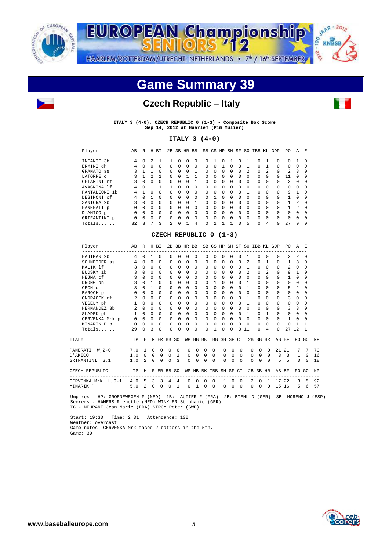

**SAAR-2012 EUROPEAN Championship** 00 **KNBSB**  $-256$ HAARLEM/ROTTERDAM/UTRECHT, NETHERLANDS . 7<sup>th</sup> / 16<sup>th</sup> SEPTEMBER

# **Game Summary 39**

## **Czech Republic – Italy**



**ITALY 3 (4-0), CZECH REPUBLIC 0 (1-3) - Composite Box Score Sep 14, 2012 at Haarlem (Pim Mulier)** 

## **ITALY 3 (4-0)**

| Player                 | AВ | R            | Н        | BI           |                |              | 2B 3B HR BB |              |              |                |              |          |          |                | SB CS HP SH SF SO IBB KL GDP |              |          | PO.            | Α              | E            |
|------------------------|----|--------------|----------|--------------|----------------|--------------|-------------|--------------|--------------|----------------|--------------|----------|----------|----------------|------------------------------|--------------|----------|----------------|----------------|--------------|
| INFANTE 3b             | 4  | n            | 2.       |              |                | <sup>n</sup> | 0           | <sup>n</sup> | O.           |                | n            |          | 0        |                | 0                            |              | 0        | 0              |                | $\cap$       |
| ERMINI dh              | 4  | U            | $\Omega$ | <sup>n</sup> | U              | 0            | $\Omega$    | $\Omega$     | <sup>0</sup> | 0              |              | U        | 0        |                | U.                           |              | 0        | 0              | $\Omega$       |              |
| GRANATO SS             | 3  |              | ı        | <sup>0</sup> | <sup>n</sup>   | $\Omega$     | $\Omega$    |              | <sup>0</sup> | $\Omega$       | $\Omega$     | 0        | $\Omega$ | $\mathfrak{D}$ | $\Omega$                     | 2            | $\Omega$ | $\mathcal{L}$  | 3              | $\Omega$     |
| LATORRE C              | 3  |              | 2        | 1            | $\Omega$       | U            |             |              | <sup>0</sup> | 0              | $\Omega$     | 0        | $\Omega$ | $\Omega$       | $\Omega$                     | $\Omega$     | U        | 11             | <sup>n</sup>   | $\cap$       |
| CHIARINI rf            | 3  | 0            | $\Omega$ | 0            | 0              | 0            | 0           |              | 0            | 0              | $\Omega$     | 0        | $\Omega$ | 0              | $\Omega$                     | $\Omega$     | 0        | $\mathfrak{D}$ | $\Omega$       | $\Omega$     |
| AVAGNINA lf            | 4  | U            |          |              |                | $\Omega$     | $\Omega$    | $\Omega$     | $\Omega$     | 0              | $\Omega$     | U.       | $\Omega$ | $\Omega$       | $\Omega$                     | $\Omega$     | $\Omega$ | 0              | $\Omega$       | $\Omega$     |
| PANTALEONI 1b          | 4  |              | $\Omega$ | 0            | 0              | $\Omega$     | $\Omega$    | $\Omega$     | 0            | 0              | $\Omega$     | 0        | 0        |                | 0                            | $\Omega$     | 0        | 9              |                | $\cap$       |
| DESIMONI cf            | 4  | U            |          | $\Omega$     | <sup>n</sup>   | <sup>0</sup> | $\Omega$    | $\Omega$     | $\Omega$     |                | $\Omega$     | U.       | 0        | 0              | U.                           | $\Omega$     | 0        |                | <sup>n</sup>   | $\Omega$     |
| SANTORA <sub>2</sub> b | 3  | 0            | $\Omega$ | $\Omega$     | <sup>n</sup>   | 0            | $\Omega$    |              | <sup>0</sup> | 0              | <sup>n</sup> | 0        | $\Omega$ | $\Omega$       | 0                            | $\Omega$     | 0        |                | $\mathfrak{D}$ | $\Omega$     |
| PANERATI p             | U  | U            | $\Omega$ | $\Omega$     | <sup>n</sup>   | $\Omega$     | $\Omega$    | $\Omega$     | <sup>0</sup> | $\Omega$       | $\Omega$     | U.       | $\Omega$ | <sup>0</sup>   | $\Omega$                     | <sup>0</sup> | $\Omega$ |                | $\mathfrak{D}$ | $\Omega$     |
| D'AMICO p              |    | U            | $\Omega$ | <sup>n</sup> | U              | $\Omega$     | $\Omega$    | $\Omega$     | <sup>0</sup> | 0              | $\Omega$     | 0        | $\Omega$ | $\Omega$       | $\Omega$                     | $\Omega$     | 0        | 0              | $\Omega$       | <sup>0</sup> |
| GRIFANTINI p           | U  | <sup>n</sup> | $\Omega$ | $\Omega$     | <sup>n</sup>   | $\Omega$     | $\Omega$    | $\cap$       | $\Omega$     | $\Omega$       | $\Omega$     | $\Omega$ | $\Omega$ | 0              | $\Omega$                     | <sup>0</sup> | U        | <sup>0</sup>   | <sup>n</sup>   | $\Omega$     |
| Totals                 | 32 | 3            |          | २            | $\mathfrak{D}$ | U            |             | 4            | U            | $\mathfrak{D}$ |              |          | U        | 5              | U                            |              | U        | 2.7            | 9              | $\cap$       |
|                        |    |              |          |              |                |              |             |              |              |                |              |          |          |                |                              |              |          |                |                |              |

## **CZECH REPUBLIC 0 (1-3)**

| Player                                                   | AB             | R H BI         |              |                         |                |              |              |                |             |                                              |              |          |                | 2B 3B HR BB SB CS HP SH SF SO IBB KL GDP |          |                | ------------                               | PO.            | A              | F.           |           |
|----------------------------------------------------------|----------------|----------------|--------------|-------------------------|----------------|--------------|--------------|----------------|-------------|----------------------------------------------|--------------|----------|----------------|------------------------------------------|----------|----------------|--------------------------------------------|----------------|----------------|--------------|-----------|
| HAJTMAR 2b                                               | 4              | $\Omega$       | $\mathbf{1}$ | $\Omega$                | $\Omega$       | 0            | $\Omega$     | $\Omega$       | $\Omega$    | $\Omega$                                     | $\Omega$     | 0        | 0              | $\mathbf{1}$                             | 0        | $\Omega$       | $\Omega$                                   | $\mathfrak{D}$ | $\mathfrak{D}$ | $\Omega$     |           |
| SCHNEIDER ss                                             | 4              | $\Omega$       | $\Omega$     | $\Omega$                | $\Omega$       | U            | $\Omega$     | $\Omega$       | $\Omega$    | $\Omega$                                     | <sup>n</sup> | $\Omega$ | $\Omega$       | $\mathfrak{D}$                           | 0        | 1              | $\Omega$                                   | $\mathbf{1}$   | 3              | $\Omega$     |           |
| MALIK 1f                                                 | 3              | $\Omega$       | $\Omega$     | $\Omega$                | $\Omega$       | $\Omega$     | $\Omega$     | $\Omega$       | $\Omega$    | $\Omega$                                     | $\Omega$     | $\Omega$ | $\Omega$       | $\overline{1}$                           | $\Omega$ | $\Omega$       | $\Omega$                                   | $\mathfrak{D}$ | $\Omega$       | $\Omega$     |           |
| BUDSKY 1b                                                | 3              | $\cap$         | $\Omega$     | $\Omega$                | $\Omega$       | <sup>n</sup> | $\Omega$     | $\Omega$       | $\Omega$    | $\Omega$                                     | $\Omega$     | $\Omega$ | $\Omega$       | $\mathfrak{D}$                           | $\Omega$ | $\mathfrak{D}$ | $\Omega$                                   | 9              | $\mathbf{1}$   | $\Omega$     |           |
| HEJMA cf                                                 | 3              | $\Omega$       | $\Omega$     | $\Omega$                | $\Omega$       | U.           | $\Omega$     | $\Omega$       | $\Omega$    | $\Omega$                                     | $\Omega$     | $\Omega$ | $\Omega$       | $\Omega$                                 | U        | $\Omega$       | $\Omega$                                   | $\mathbf{1}$   | $\Omega$       | $\Omega$     |           |
| DRONG dh                                                 | 3              | $\Omega$       | $\mathbf{1}$ | $\Omega$                | $\Omega$       | $\Omega$     | $\Omega$     | $\Omega$       | $\Omega$    | $\mathbf{1}$                                 | $\Omega$     | $\Omega$ | $\Omega$       | $\overline{1}$                           | $\Omega$ | $\Omega$       | $\Omega$                                   | $\Omega$       | $\Omega$       | $\Omega$     |           |
| CECH c                                                   | 3              | $\cap$         | $\mathbf{1}$ | $\Omega$                | $\Omega$       | 0            | $\Omega$     | $\Omega$       | $\Omega$    | $\Omega$                                     | $\Omega$     | $\Omega$ | $\Omega$       | $\overline{1}$                           | 0        | $\Omega$       | $\Omega$                                   | 5              | $\mathfrak{D}$ | 0            |           |
| BAROCH pr                                                | $\Omega$       | $\Omega$       | $\Omega$     | $\Omega$                | $\Omega$       | 0            | $\Omega$     | $\Omega$       | $\Omega$    | $\Omega$                                     | $\Omega$     | $\Omega$ | $\Omega$       | $\Omega$                                 | 0        | $\Omega$       | $\Omega$                                   | $\Omega$       | $\Omega$       | $\Omega$     |           |
| ONDRACEK rf                                              | $\mathfrak{D}$ | $\cap$         | $\Omega$     | $\Omega$                | $\Omega$       | <sup>n</sup> | $\Omega$     | $\Omega$       | $\Omega$    | $\Omega$                                     | $\Omega$     | $\Omega$ | $\Omega$       | $\mathbf{1}$                             | U        | $\Omega$       | $\Omega$                                   | 3              | $\Omega$       | $\Omega$     |           |
| VESELY ph                                                | $\mathbf{1}$   | $\Omega$       | $\Omega$     | $\Omega$                | $\Omega$       | <sup>n</sup> | $\Omega$     | $\Omega$       | $\Omega$    | $\Omega$                                     | $\Omega$     | $\Omega$ | $\Omega$       | $\overline{1}$                           | 0        | $\Omega$       | $\Omega$                                   | $\Omega$       | $\Omega$       | $\Omega$     |           |
| HERNANDEZ 3b                                             | $2 \quad 0$    |                | $\Omega$     | $\Omega$                | $\Omega$       | $\Omega$     | $\Omega$     | $\Omega$       | $\Omega$    | 0                                            | $\Omega$     | $\Omega$ | $\Omega$       | $\Omega$                                 | 0        | $\Omega$       | $\Omega$                                   | 3              | 3              | $\Omega$     |           |
| SLADEK ph                                                | $\mathbf{1}$   | $\cap$         | $\Omega$     | $\bigcirc$              | $\Omega$       | $\Omega$     | $\Omega$     | $\Omega$       | $\Omega$    | $\Omega$                                     | $\Omega$     | $\Omega$ | $\Omega$       | $\overline{1}$                           | $\Omega$ | $\mathbf{1}$   | $\Omega$                                   | $\Omega$       | $\Omega$       | $\Omega$     |           |
| CERVENKA Mrk p                                           |                | $0\quad 0$     | $\Omega$     | $\bigcirc$              | $\Omega$       | $\Omega$     | $\Omega$     | $\Omega$       | $\Omega$    | $\Omega$                                     | $\Omega$     | $\Omega$ | $\Omega$       | $\overline{0}$                           | $\Omega$ | $\Omega$       | $\Omega$                                   | $\mathbf{1}$   | $\Omega$       | 0            |           |
| MINARIK P p                                              | $\mathbf 0$    | $\Omega$       | $\mathbf 0$  | $\bigcirc$              | $\Omega$       | $\Omega$     | $\Omega$     | $\Omega$       | $\mathbf 0$ | $\mathbf 0$                                  | $\Omega$     | $\Omega$ | 0              | $\Omega$                                 | 0        | $\Omega$       | $\Omega$                                   | $\Omega$       | $\mathbf{1}$   | 1            |           |
| $Totals$                                                 | 29             | $\Omega$       | 3            | $\Omega$                | $\Omega$       | U            | $\Omega$     | $\Omega$       | $\Omega$    | 1                                            | $\Omega$     | U        | 0              | 11                                       | $\Omega$ | 4              | $\Omega$                                   | 2.7            | 12             | $\mathbf{1}$ |           |
| <b>ITALY</b>                                             | IP             | $_{\rm H}$     |              |                         | R ER BB SO     |              |              |                |             | WP HB BK IBB SH SF CI                        |              |          |                |                                          |          | 2B 3B HR       | AB BF                                      |                | FO GO          |              | <b>NP</b> |
| --------------------<br>PANERATI W.2-0                   | 7.0            | $\overline{1}$ |              | $0\quad 0$              | $^{\circ}$     | 6            | $\Omega$     | $\Omega$       | $\Omega$    | --------------------------------<br>$\Omega$ | $\Omega$     | $\Omega$ | $\Omega$       | $\Omega$                                 | $\Omega$ | $\Omega$       | ------------------------------             | 2121           | 7              | 7            | 70        |
| D'AMICO                                                  | 1.0            | $\Omega$       |              | $0\quad 0$              | $\overline{0}$ | 2            | $\mathbf{0}$ | $\overline{0}$ | $\circ$     | $\overline{0}$                               | $\mathbf{0}$ | $\Omega$ | $\overline{0}$ | $\mathbf 0$                              | $\Omega$ | $\Omega$       | 3                                          | $\overline{3}$ | $\mathbf{1}$   | 0            | 16        |
| GRIFANTINI S.1                                           | 1.0            | $\overline{2}$ | $\Omega$     | $\Omega$                | $\Omega$       | 3            | $\Omega$     | $\Omega$       | $\Omega$    | $\Omega$                                     | $\Omega$     | $\Omega$ | $\Omega$       | $\Omega$                                 | $\Omega$ | $\Omega$       | 5                                          | 5              | $\Omega$       | $\Omega$     | 18        |
| CZECH REPUBLIC<br>IP<br>-------------------------------- |                | H              |              |                         | R ER BB SO     |              |              |                |             | WP HB BK IBB SH SF CI                        |              |          |                |                                          |          | 2B 3B HR       | AB BF<br>--------------------------------- |                |                | FO GO        | <b>NP</b> |
| CERVENKA Mrk L,0-1 4.0                                   |                | 5              | 3            | $\overline{\mathbf{3}}$ | 4              | 4            | $\Omega$     | $\Omega$       | $\Omega$    | $\Omega$                                     | $\mathbf{1}$ | $\Omega$ | $\Omega$       | $\mathfrak{D}$                           | $\Omega$ | $\mathbf{1}$   | 17 22                                      |                | 3              | 5            | 92        |
| MINARIK P                                                | 5.0            | 2              | 0            | $\mathbf 0$             | $\Omega$       | 1            | $\Omega$     | 1              | 0           | $\Omega$                                     | $\Omega$     | 0        | $\Omega$       | $\Omega$                                 | $\Omega$ | $\Omega$       | 15 16                                      |                | 5              | 6            | 57        |

 Umpires - HP: GROENEWEGEN F (NED) 1B: LAUTIER F (FRA) 2B: BIEHL D (GER) 3B: MORENO J (ESP) Scorers - HAMERS Rienette (NED) WINKLER Stephanie (GER) TC - MEURANT Jean Marie (FRA) STROM Peter (SWE)

 Start: 19:30 Time: 2:31 Attendance: 100 Weather: overcast Game notes: CERVENKA Mrk faced 2 batters in the 5th. Game: 39

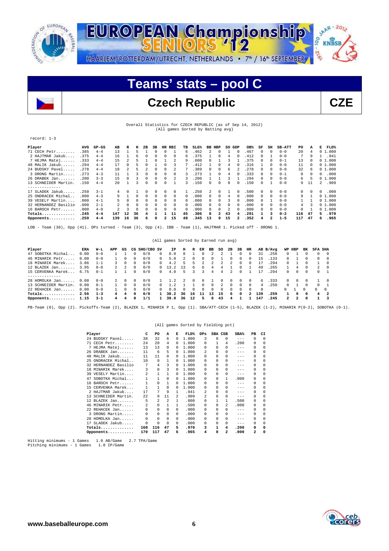



# **Teams' stats – pool C**

# Czech Republic **CZE**

Overall Statistics for CZECH REPUBLIC (as of Sep 14, 2012) (All games Sorted by Batting avg)

## record: 1-3 **Player AVG GP-GS AB R H 2B 3B HR RBI TB SLG% BB HBP SO GDP OB% SF SH SB-ATT PO A E FLD%**  71 CECH Petr........ .385 4-4 13 1 5 1 0 0 1 6 .462 2 0 1 0 .467 0 0 0-0 20 4 0 1.000 2 HAJTMAR Jakub.... .375 4-4 16 1 6 0 0 0 0 6 .375 1 0 4 0 .412 0 1 0-0 7 9 1 .941 7 HEJMA Matej...... .333 4-4 15 2 5 1 0 1 2 9 .600 0 1 3 1 .375 0 0 0-1 13 0 0 1.000 48 MALIK Jakub...... .294 4-4 17 0 5 0 1 0 3 7 .412 1 0 4 0 .316 1 0 0-0 11 0 0 1.000 24 BUDSKY Pavel..... .278 4-4 18 2 5 2 0 0 2 7 .389 0 0 6 2 .278 0 0 0-0 32 6 0 1.000 3 DRONG Martin..... .273 4-3 11 1 3 0 0 0 0 3 .273 1 0 4 0 .333 0 0 0-1 0 0 0 .000<br>26 DRABEK Jan...... .200 3-3 15 0 3 0 0 0 2 3 .200 1 1 3 1 .294 0 0 0 -0 6 5 01.000<br>13 SCHNEIDER Martin. .150 4-4 20 1 3 0 0 0 1 3 .150 0 0 --------------<br>17 SLADEK Jakub..... .250 3-1 4 0 1 0 0 0 1 .250 2 0 1 0 .500 0 0 0 0 0 0 25 ONDRACEK Michal.. .000 4-3 9 1 0 0 0 0 0 0 .000 0 0 4 0 .000 0 0 0-0 9 1 0 1.000 39 VESELY Martin.... .000 4-1 5 0 0 0 0 0 0 0 .000 0 0 3 0 .000 0 1 0-0 1 1 0 1.000 32 HERNANDEZ Basilio .000 2-1 2 0 0 0 0 0 0 0 .000 0 0 0 0 .000 0 0 0-0 4 3 0 1.000 16 BAROCH Petr...... .000 4-0 2 3 0 0 0 0 0 0 .000 0 0 2 0 .000 0 0 0-0 0 1 0 1.000 **Totals.............. .245 4-4 147 12 36 4 1 1 11 45 .306 8 2 43 4 .291 1 3 0-2 116 47 5 .970 Opponents........... .259 4-4 139 16 36 6 0 2 15 48 .345 13 9 15 2 .352 4 2 1-5 117 47 6 .965**

LOB - Team (38), Opp (41). DPs turned - Team (3), Opp (4). IBB - Team (1), HAJTMAR 1. Picked off - DRONG 1.

## (All games Sorted by Earned run avg)

| Player               | ERA  | W-L     | APP | GS         |              | CG SHO/CBO SV |            | IP    | н      | R      | ER       | вв       | so       | 2B               | 3B       | HR         |          | AB B/Avq | WP HBP       |          | BK           | <b>SFA SHA</b> |        |
|----------------------|------|---------|-----|------------|--------------|---------------|------------|-------|--------|--------|----------|----------|----------|------------------|----------|------------|----------|----------|--------------|----------|--------------|----------------|--------|
| 47 SOBOTKA Michal    | 0.00 | $0 - 0$ |     |            | 0            | 0/0           | $^{\circ}$ | 8.0   | 8      |        | 0        |          |          |                  |          | 0          | 31       | .258     | 0            |          |              |                |        |
| 46 MINARIK Petr.     | 0.00 | $0 - 0$ |     | 0          | 0            | 0/0           | $\Omega$   | 5.0   |        |        | $^{(1)}$ | 0        |          |                  | 0        | $^{(1)}$   | 15.      | .133     | 0.           |          |              |                |        |
| 18 MINARIK Marek     | 3.86 | $1 - 1$ |     | 0          | 0            | 0/0           | $\Omega$   | 4.2   | 5.     | 5.     |          |          |          |                  | 0        | 0          |          | . 294    | $\Omega$     |          |              |                |        |
| 12 BLAZEK Jan        | 3.95 | $0 - 0$ |     |            | n.           | 0/0           | $\Omega$   | 3.2   | 1 ?    | 6.     | 6.       | 4        | 4        |                  |          |            | 49       | .265     |              | 4        |              | 2              |        |
| 15 CERVENKA Marek    | 6.75 | $0 - 1$ |     |            |              | 0/0           | $\Omega$   | 4.0   | 5.     | 3      |          | 4        | 4        |                  | 0        |            |          | .294     | 0            |          |              | 0              |        |
| -------------        |      |         |     |            |              |               |            |       |        |        |          |          |          |                  |          |            |          |          |              |          |              |                |        |
| 28 HOMOLKA Jan       | 0.00 | $0 - 0$ | 2   | $^{\circ}$ | 0            | 0/0           |            | . . 2 |        | - 0    | $\Omega$ |          |          | $\left( \right)$ | 0        | $^{\circ}$ | 6.       | . 333    | 0            | $\Omega$ |              |                |        |
| 13 SCHNEIDER Martin. | 0.00 | $0 - 1$ |     | $\Omega$   | $\Omega$     | 0/0           | $\Omega$   |       |        |        | 0        | $\Omega$ |          | $\Box$           | $\Omega$ | $\Omega$   | 4        | 250      | $\cap$       |          | <sup>n</sup> | n.             |        |
| 22 REHACEK Jan       | 0.00 | $0 - 0$ |     | $\Omega$   | $\cap$       | 0/0           | $\Omega$   | 0.0   | $\cap$ | $\cap$ | 0        | $\cap$   | $\Omega$ | $\cap$           | $\Omega$ | 0          | $\Omega$ |          | <sup>n</sup> |          | $\Omega$     | $\Omega$       | $\cap$ |
| Totals               | 2.56 | $1 - 3$ | 4   | 4          | <sup>0</sup> | 0/0           |            | 38.2  | 36     | 16     | 11       | 13       | 15       | 6                | $\Omega$ | 2          | 139      | .259     |              | q        | $^{\circ}$   | 4              |        |
| Opponents            | 1.15 | $3 - 1$ | 4   | 4          |              | 1/1           |            | 39.0  | 36     | 12     | 5        | я        | 43       | 4                |          |            | 147      | .245     | 2            | 2        | $\Omega$     |                |        |

PB-Team (0), Opp (2). Pickoffs-Team (2), BLAZEK 1, MINARIK P 1, Opp (1). SBA/ATT-CECH (1-5), BLAZEK (1-2), MINARIK P(0-2), SOBOTKA (0-1).

## (All games Sorted by Fielding pct)

|     | Player            | C              | PO       | A                       | Е            | FLD%  | $_{\rm DPS}$            | SBA CSB      |              | $SBA$ <sup>%</sup> | PВ       | CI       |
|-----|-------------------|----------------|----------|-------------------------|--------------|-------|-------------------------|--------------|--------------|--------------------|----------|----------|
|     | 24 BUDSKY Pavel   | 38             | 32       | 6                       | 0            | 1,000 | 3                       | 0            | 0            | $- - -$            | $\Omega$ | $\Omega$ |
| 71  | CECH Petr         | 24             | 2.0      | 4                       | 0            | 1,000 | 0                       | 1.           | 4            | .200               | 0        | $\Omega$ |
|     | HEJMA Matej       | 13             | 13       | $\Omega$                | 0            | 1,000 | 0                       | <sup>n</sup> | <sup>0</sup> | $-- -$             | $\Omega$ | $\Omega$ |
|     | 26 DRABEK Jan     | 11             | 6        | 5                       | $\Omega$     | 1,000 | $\mathfrak{D}$          | <sup>n</sup> | <sup>0</sup> | $- - -$            | $\Omega$ | $\Omega$ |
| 48  | MALIK Jakub       | 11             | 11       | $\Omega$                | 0            | 1,000 | <sup>n</sup>            | <sup>n</sup> | 0            | $- - -$            | $\Omega$ | $\Omega$ |
| 25  | ONDRACEK Michal   | 10             | 9        | 1                       | U            | 1,000 | n                       | U            | <sup>0</sup> | $- - -$            | 0        | $\Omega$ |
| 32  | HERNANDEZ Basilio | 7              | 4        | 3                       | 0            | 1,000 | 0                       | <sup>n</sup> | 0            | $- - -$            | $\Omega$ | $\Omega$ |
| 18  | MINARIK Marek     | 3              | 0        | 3                       | 0            | 1,000 | 0                       | 0            | 0            | $- - -$            | 0        | $\Omega$ |
| 39  | VESELY Martin     | $\mathfrak{D}$ | 1        | 1                       | 0            | 1,000 | 0                       | 0            | 0            | $- - -$            | $\Omega$ | $\Omega$ |
|     | SOBOTKA Michal    | 1              | 1        | $\Omega$                | 0            | 1,000 | 0                       | 0            | 1            | .000               | 0        | $\Omega$ |
| 16. | BAROCH Petr       | 1              | 0        | 1                       | <sup>0</sup> | 1,000 | <sup>n</sup>            | <sup>n</sup> |              | $- - -$            | 0        | $\Omega$ |
| 15  | CERVENKA Marek    |                | 1        | $\Omega$                | 0            | 1,000 | $\Omega$                | <sup>n</sup> | 0            | $- - -$            | $\Omega$ | $\Omega$ |
|     | 2 HAJTMAR Jakub   | 17             | 7        | 9                       | 1            | .941  | 2                       | 0            | 0            | $- - -$            | 0        | $\Omega$ |
| 13. | SCHNEIDER Martin. | 2.2.           | 9        | 11                      | 2            | .909  | $\overline{\mathbf{c}}$ | $\Omega$     | 0            | $- - -$            | $\Omega$ | $\Omega$ |
| 12. | BLAZEK Jan        | 5              | 2        | $\overline{\mathbf{c}}$ | 1            | .800  | U                       |              |              | .500               | 0        | $\Omega$ |
|     | 46 MINARIK Petr   | 2.             | $\Omega$ | 1                       | 1            | .500  | 0                       | <sup>n</sup> | 2.           | .000               | 0        | $\Omega$ |
|     | 22 REHACEK Jan    | 0              | 0        | $\Omega$                | 0            | .000  | <sup>n</sup>            | <sup>n</sup> | <sup>0</sup> | $- - -$            | $\Omega$ | $\Omega$ |
|     | 3 DRONG Martin    |                | 0        | $\Omega$                | 0            | .000  | <sup>n</sup>            | 0            | 0            | $--$               | 0        | $\Omega$ |
|     | 28 HOMOLKA Jan    | $\Omega$       | 0        | $\Omega$                | 0            | .000  | 0                       | 0            | <sup>0</sup> | $- - -$            | $\Omega$ | $\Omega$ |
| 17  | $SLADEK$ $Jakub$  |                | 0        | $\Omega$                | 0            | .000  | 0                       | $\Omega$     | 0            | $- - -$            | 0        | $\Omega$ |
|     | $Totals$          | 168            | 116      | 47                      | 5            | .970  | 3                       |              | 4            | .200               | 0        | $\Omega$ |
|     | Opponents         | 170            | 117      | 47                      | 6            | .965  | 4                       | 0            | 2            | .000               | 2        | $\Omega$ |

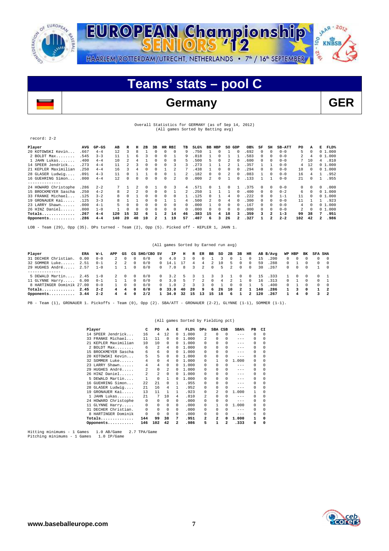



# **Teams' stats – pool C**

# **Germany**

| ×<br>۰, |  |
|---------|--|

## Overall Statistics for GERMANY (as of Sep 14, 2012) (All games Sorted by Batting avg)

### record: 2-2

| Player               | AVG  | $GP-GS$ | AB  | R  | н  | 2B       | 3B |              | HR RBI   | TВ | $SLG\%$ | <b>BB</b> | HBP      | SO GDP   |                      | OB%  | SF           | SH             | <b>SB-ATT</b> | PO  | А        | Е              | FLD%   |
|----------------------|------|---------|-----|----|----|----------|----|--------------|----------|----|---------|-----------|----------|----------|----------------------|------|--------------|----------------|---------------|-----|----------|----------------|--------|
| 20 KOTOWSKI Kevin    | .667 | $4 - 4$ | 12  | 3  | 8  |          | 0  | $\Omega$     | $\Omega$ | 9  | .750    |           | $\Omega$ |          | $\Omega$             | .692 |              |                | $0 - 0$       | 5.  | $\Omega$ |                | 01.000 |
| 2 BOLDT Max.<br>.    | .545 | $3 - 3$ | 11  |    | 6  |          |    | $\Omega$     |          | 9  | 818     |           | $\Omega$ |          |                      | 583  |              |                | $0 - 0$       | 2.  | 4        |                | 01.000 |
| $1$ JAHN Lukas       | .400 | $4 - 4$ | 10  |    |    |          |    | $\Omega$     |          | ъ  | 500     | 5.        | $\Omega$ |          |                      | .600 |              |                | $0 - 0$       |     | 10       | 4              | .810   |
| 14 SPEER Jendrick.   | .273 | $4 - 4$ | 11  |    |    |          |    |              |          |    | 273     |           |          |          |                      | 357  |              |                | $0 - 0$       | 4   | 12       |                | 01.000 |
| 21 KEPLER Maximilian | .250 | $4 - 4$ | 16  |    |    |          |    |              |          |    | .438    |           | O        |          |                      | .294 |              |                | $0 - 0$       | 10  | $\Omega$ |                | 01.000 |
| 28 GLASER Ludwig     | .091 | $4 - 3$ | 11  |    |    |          |    |              |          |    | .182    | 0         | 0        |          |                      | .083 |              | $\Omega$       | $0 - 0$       | 16  |          |                | .952   |
| 16 GUEHRING Simon    | .000 | $4 - 4$ | 12  |    |    |          |    | $\Omega$     | 2        | 0  | .000    | 2.        | $\Omega$ |          |                      | .133 |              |                | $0 - 0$       | 21  | 0        |                | .955   |
| --------------       |      |         |     |    |    |          |    |              |          |    |         |           |          |          |                      |      |              |                |               |     |          |                |        |
| 24 HOWARD Christophe | .286 | $2 - 2$ |     |    |    | 0        |    | $\Omega$     | 3        | 4  | 571     | 0.        |          | $\Omega$ |                      | 375  | $\mathbf{r}$ | $\Omega$       | $0 - 0$       | 0   | $\Omega$ | 0              | .000   |
| 15 BROCKMEYER Sascha | .250 | $4 - 2$ | 8   |    |    | $\Omega$ | 0  | $\Omega$     |          |    | 250     |           |          |          |                      | .400 | $\Omega$     | $\Omega$       | $0 - 2$       | 6   |          |                | 01.000 |
| 33 FRANKE Michael.   | .125 | $3 - 2$ | 8   |    |    |          |    |              |          |    | 125     |           |          | 4        |                      | 222  |              |                | $1 - 1$       | 11  |          |                | 01.000 |
| 19 GRONAUER Kai      | .125 | $3 - 3$ |     |    |    |          |    |              |          | 4  | 500     |           | 0        | 4        |                      | .300 |              |                | $0 - 0$       | 11  |          |                | .923   |
| 23 LARRY Shawn       | .000 | $4 - 1$ | Б.  |    |    | 0        |    | $\Omega$     | 0        | 0  | .000    |           | 0        | 0        |                      | .167 |              |                | $0 - 0$       | 4   |          |                | 01.000 |
| 26 HINZ Daniel       | .000 | $1 - 0$ |     |    |    | $\Omega$ | 0  | $\Omega$     | $\Omega$ | 0  | .000    | 0         | $\Omega$ | $\Omega$ | $\Omega$             | .000 | $\Omega$     |                | $0 - 0$       | 2.  | $\Omega$ |                | 01.000 |
| Totals               | .267 | $4 - 4$ | 120 | 15 | 32 | 6        |    | $\mathbf{2}$ | 14       | 46 | .383    | 15        | 4        | 18       |                      | .359 |              | $\overline{a}$ | $1 - 3$       | 99  | 38       | 7              | .951   |
| Opponents            | .286 | $4 - 4$ | 140 | 20 | 40 | 10       |    |              | 19       | 57 | .407    | 6         | ٦        | 26       | $\mathbf{2}^{\circ}$ | .327 |              |                | $2 - 2$       | 102 | 42       | $\overline{a}$ | .986   |

LOB - Team (29), Opp (35). DPs turned - Team (2), Opp (5). Picked off - KEPLER 1, JAHN 1.

### (All games Sorted by Earned run avg)

| Player                    | ERA          | W-L     | APP            | GS             |            | CG SHO/CBO SV |              | IP             | н  |       | R ER     | вв         | so  | 2B    | 3B       | HR             |                | AB B/Avq | WP HBP     |                | вĸ         | SFA SHA |                          |
|---------------------------|--------------|---------|----------------|----------------|------------|---------------|--------------|----------------|----|-------|----------|------------|-----|-------|----------|----------------|----------------|----------|------------|----------------|------------|---------|--------------------------|
| 31 DECHER Christian.      | 0.00         | $0 - 0$ |                |                | 0          | 0/0           | $^{\circ}$   | 4.0            |    |       | $\Omega$ |            |     |       |          |                | 15             | .200     | $\Omega$   |                |            |         | $\overline{0}$           |
| 32 SOMMER Luke            | 2.51         | $0 - 1$ | $\mathbf{2}$   | $\overline{2}$ | $\Omega$   | 0/0           |              | $0 \quad 14.1$ |    | 4     | 4        |            | 10  | 5     |          | $^{\circ}$     | 59             | .288     | $\Omega$   |                |            |         | $\overline{0}$           |
| 29 HUGHES André           | 2.57         | $1 - 0$ |                |                | 0          | 0/0           | $\Omega$     | 7.0            | 8  | 3     | 2        | $\circ$    | .5. | 2     | $\Omega$ | $^{\circ}$     | 30             | .267     | $\Omega$   | $^{\circ}$     | $\Omega$   |         | 1 0                      |
|                           |              |         |                |                |            |               |              |                |    |       |          |            |     |       |          |                |                |          |            |                |            |         |                          |
| 5 DEWALD Martin           | $2.45$ $1-0$ |         | 2              | $\Omega$       | 0          | 0/0           | $\mathbf{0}$ | 3.2            | 5  | 3     |          |            | 3   |       | 0        | $\circ$        | 15             | .333     |            |                |            |         | $\sim$ 1                 |
| 11 GLYNNE Harry           | 6.00         | $0 - 1$ |                |                | 0          | 0/0           | $^{\circ}$   | 3.0            | 5  |       | 2        | $^{\circ}$ | 4   | 2     |          | $^{\circ}$     | 16             | .313     | $^{\circ}$ |                | $\Omega$   |         | $\sim$ 1                 |
| 8 HARTINGER Dominik 27.00 |              | $0 - 0$ |                |                | $\Omega$   | 0/0           | $\Omega$     | 1.0            |    |       |          |            |     |       | 0        |                | $\overline{2}$ | .400     | $\Omega$   |                |            | n.      | $\overline{0}$           |
| Totals                    | 2.45         | $2 - 2$ | 4              | -4             | $^{\circ}$ | 0/0           |              | 0, 33.0        | 40 | 20    | 9        | -6         |     | 26 10 | -2       |                | 140            | .286     |            |                | $^{\circ}$ |         | $\overline{\phantom{0}}$ |
| Opponents $3.44$ 2-2      |              |         | $\overline{4}$ | 4              | $\Omega$   | 2/2           | $\mathbf{1}$ | 34.0 32        |    | 15 13 |          | 15         | 18  | - 6   |          | $\overline{2}$ | 120            | .267     |            | $\overline{4}$ | $\Omega$   |         | $3 \quad 2$              |

PB - Team (1), GRONAUER 1. Pickoffs - Team (0), Opp (2). SBA/ATT - GRONAUER (2-2), GLYNNE (1-1), SOMMER (1-1).

## (All games Sorted by Fielding pct)

|    | Player               | c                       | PO.            | A              | Е            | FLD%  | $_{\rm DPS}$   | SBA CSB        |          | SBA%    | PB | CI |
|----|----------------------|-------------------------|----------------|----------------|--------------|-------|----------------|----------------|----------|---------|----|----|
|    | 14 SPEER Jendrick    | 16                      | 4              | 12             | 0            | 1,000 | $\mathfrak{D}$ | 0              | $\Omega$ | $- - -$ | 0  |    |
|    | 33 FRANKE Michael    | 11                      | 11             | 0              | 0            | 1,000 | $\mathfrak{D}$ | 0              | $\Omega$ | $- - -$ | 0  |    |
|    | 21 KEPLER Maximilian | 10                      | 10             | 0              | U            | 1,000 | 0              | 0              | $\Omega$ | $- - -$ | 0  |    |
|    | $2$ BOLDT $Max$      | 6                       | $\mathfrak{D}$ | 4              | <sup>n</sup> | 1.000 | 0              | 0              | $\Omega$ | $- - -$ | 0  |    |
|    | 15 BROCKMEYER Sascha | 6                       | 6              | $\Omega$       | 0            | 1,000 | 0              | 0              |          | $- - -$ | 0  |    |
|    | 20 KOTOWSKI Kevin    | 5                       | 5              | 0              | 0            | 1,000 | $\Omega$       | 0              | O        | $- - -$ | 0  |    |
|    | 32 SOMMER Luke       | 4                       | 0              | 4              | 0            | 1,000 | 0              | 1              | $\Omega$ | 1,000   | 0  |    |
|    | 23 LARRY Shawn       | 4                       | 4              | $\Omega$       | <sup>n</sup> | 1,000 | 0              | 0              | $\Omega$ | $- - -$ | 0  |    |
|    | 29 HUGHES André      | $\overline{\mathbf{c}}$ | 0              | $\mathfrak{D}$ | 0            | 1,000 | 0              | 0              | $\Omega$ | $- - -$ | 0  |    |
|    | 26 HINZ Daniel       | $\mathfrak{D}$          | $\mathfrak{D}$ | $\Omega$       | <sup>n</sup> | 1,000 | 0              | 0              | $\Omega$ | $- - -$ | 0  |    |
|    | 5 DEWALD Martin      | 1                       | $\Omega$       |                | <sup>n</sup> | 1,000 | 0              | 0              | $\Omega$ | $- - -$ | 0  |    |
| 16 | GUEHRING Simon       | 2.2                     | 2.1            | 0              | 1            | .955  | 0              | 0              | $\Omega$ | $- - -$ | 0  |    |
|    | 28 GLASER Ludwig     | 21                      | 16             | 4              |              | .952  | 0              | 0              | $\Omega$ | $- - -$ | 0  |    |
| 19 | GRONAUER Kai         | 13                      | 11             |                |              | .923  | 0              | $\mathfrak{D}$ | $\Omega$ | 1,000   | 1  |    |
|    | JAHN Lukas           | 2.1                     | 7              | 10             | 4            | .810  | $\mathfrak{D}$ | 0              | O        | $- - -$ | 0  |    |
|    | 24 HOWARD Christophe | 0                       | 0              | $\Omega$       | $\Omega$     | .000  | 0              | 0              | $\Omega$ | $- - -$ | 0  |    |
|    | 11 GLYNNE Harry      | 0                       | 0              | $\Omega$       | 0            | .000  | 0              | 1              | $\Omega$ | 1,000   | 0  |    |
|    | 31 DECHER Christian. | 0                       | $\Omega$       | $\Omega$       | $\Omega$     | .000  | 0              | 0              | O        | $- - -$ | 0  |    |
|    | 8 HARTINGER Dominik  | 0                       | $\Omega$       | $\Omega$       | $\Omega$     | .000  | 0              | 0              | O        | $- - -$ | 0  |    |
|    | $Totals$             | 144                     | 99             | 38             | 7            | .951  | 2              | $\overline{a}$ | O        | 1,000   | 1  | n  |
|    | Opponents            | 146                     | 102            | 42             | 2            | .986  | 5              | 1              | 2        | .333    | 0  | n  |

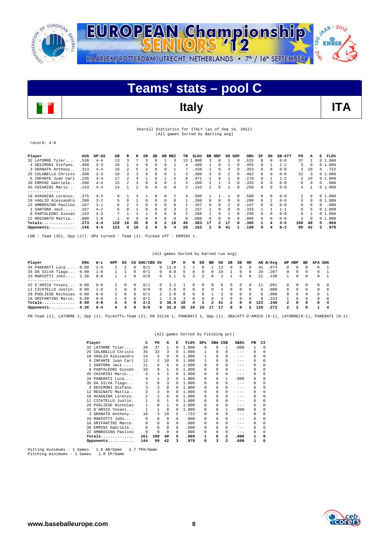



## Overall Statistics for ITALY (as of Sep 14, 2012) (All games Sorted by Batting avg)

record: 4-0

| Player               | AVG  | $GP-GS$ | AB  | R  | н        | 2B | 3B       | HR       | RBI      | TВ       | $SLG\%$ | BB HBP         |              | SO GDP   |              | OB%  | SF           | SH       | <b>SB-ATT</b> | PO       | A        | Е<br>FLD%  |
|----------------------|------|---------|-----|----|----------|----|----------|----------|----------|----------|---------|----------------|--------------|----------|--------------|------|--------------|----------|---------------|----------|----------|------------|
| 32 LATORRE Tyler     | .538 | $4 - 4$ | 13  |    |          |    | 0        |          | 3        | 13 1     | .000    | 3              | $\Omega$     |          | 0            | 625  | 0            | $\Omega$ | $0 - 0$       | 37       |          | 01.000     |
| 4 DESIMONI Stefano.  | .400 | $3 - 3$ | 10  |    |          |    | 0        | U        |          | 4        | 400     |                | $\Omega$     |          | 0            | 455  |              |          | $1 - 2$       | 3        | $\Omega$ | 01.000     |
| 3 GRANATO Anthony    | .313 | $4 - 4$ | 16  |    | 5        |    | 0        | $\Omega$ |          |          | .438    |                | $\Omega$     | 4        | 0            | 353  | 0            | $\Omega$ | $0 - 0$       | 3        | 10       | .722<br>5. |
| 25 COLABELLO Christo | .300 | $3 - 3$ | 10  |    |          |    | 0        | $\Omega$ |          | ٦        | 300     | 3              | $\Omega$     |          | 0            | .462 | $^{\circ}$   | $\Omega$ | $0 - 0$       | 32       | 3        | 01.000     |
| 6 INFANTE Juan Carl  | .235 | $4 - 4$ | 17  |    | 4        |    | O        |          | 5        | 8        | .471    |                | $\Omega$     |          | 0            | 278  | 0            |          | $1 - 2$       | 2        | 1 ດ      | 01.000     |
| 30 ERMINI Gabriele.  | .200 | $4 - 4$ | 15  | 2  |          | 0  | 0        | $\Omega$ |          |          | 200     | $\mathcal{D}$  |              | ર        | $\Omega$     | 333  | $\Omega$     | $\Omega$ | $0 - 0$       | $\Omega$ | $\Omega$ | .000<br>0  |
| 45 CHIARINI Mario    | .143 | $4 - 4$ | 14  |    |          |    | O        | $\Omega$ | $\Omega$ |          | 143     | $\mathfrak{D}$ | $\Omega$     |          |              | 250  | <sup>0</sup> | $\Omega$ | $0 - 0$       | 4        |          | 01.000     |
| . <u>.</u> .         |      |         |     |    |          |    |          |          |          |          |         |                |              |          |              |      |              |          |               |          |          |            |
| 10 AVAGNINA Lorenzo. | .375 | $4 - 3$ | R   |    |          |    | O        | $\Omega$ |          | 4        | 500     |                |              |          |              | 500  | $\Omega$     | $\Omega$ | $0 - 0$       | 2        | $\Omega$ | 01.000     |
| 18 VAGLIO Alessandro | .200 | $3 - 2$ | 5   |    |          |    | $\Omega$ | $\Omega$ | $\Omega$ |          | 200     | 0              | $\Omega$     | $\Omega$ |              | 200  |              |          | $0 - 0$       | 5        | a        | 0, 1, 000  |
| 22 AMBROSINO Paolino | .167 | $3 - 1$ | 6.  |    |          |    | 0        | $\Omega$ | $\Omega$ |          | 167     | 0              | $\Omega$     |          |              | 167  |              |          | $0 - 0$       | 0        | 0        | .000<br>0  |
| 1 SANTORA Jack       | .167 | $4 - 2$ | 6   |    |          | 0  | 0        | $\Omega$ | 3        |          | 167     |                | $\Omega$     | $\Omega$ |              | 333  |              |          | $1 - 1$       | 6.       |          | 01.000     |
| 8 PANTALEONI Giovan  | .143 | $4 - 2$ |     |    |          |    | 0        | $\Omega$ | $\Omega$ |          | 286     |                | $\Omega$     |          |              | .250 |              | $\Omega$ | $0 - 0$       | 9        |          | 01.000     |
| 12 REGINATO Mattia   | .000 | $1 - 0$ |     |    | $\Omega$ |    | $\Omega$ | $\Omega$ | $\Omega$ | $\Omega$ | .000    | 0              | $\Omega$     | $\Omega$ |              | .000 | $\Omega$     | $\Omega$ | $0 - 0$       | 3        | $\Omega$ | 01.000     |
| $Totals$             | .273 | $4 - 4$ | 128 | 18 | 35       | 8  | 0        | 2        | 18       | 49       | .383    | 17             | 2            | 17       | <sup>n</sup> | .365 |              | 4        | $3 - 5$       | 108      | 48       | .969<br>5. |
| Opponents            | .146 | $4 - 4$ | 123 | 4  | 18       |    | $\Omega$ | $\Omega$ | 4        | 20       | .163    | 2              | <sup>n</sup> | 41       |              | .160 | <sup>0</sup> |          | $0 - 2$       | 99       | 42       | .979<br>3  |
|                      |      |         |     |    |          |    |          |          |          |          |         |                |              |          |              |      |              |          |               |          |          |            |

LOB - Team (35), Opp (17). DPs turned - Team (1). Picked off - ERMINI 1.

## (All games Sorted by Earned run avg)

| Player               | ERA  | W-L     | APP            | GS |          | CG SHO/CBO SV |            | IP.  | н            | R          | ER             | вв           | so | 2B           | 3B           | HR         |     | AB B/Avq | WP           | HBP        | вĸ       | <b>SFA SHA</b> |          |
|----------------------|------|---------|----------------|----|----------|---------------|------------|------|--------------|------------|----------------|--------------|----|--------------|--------------|------------|-----|----------|--------------|------------|----------|----------------|----------|
| 34 PANERATI Luca     | 0.00 | $2 - 0$ |                |    |          | 0/1           | 0          | 3.0  |              |            |                |              |    |              |              |            | 41  | .073     |              |            |          |                |          |
| 35 DA SILVA Tiago    | 0.00 | $1 - 0$ |                |    |          | 0/1           | 0          | 8.0  | <sub>b</sub> |            |                |              | 10 |              |              |            | 29  | .207     | 0.           |            |          |                |          |
| 33 MARIOTTI John     | 3.38 | $0 - 0$ |                |    | 0        | 0/0           | $\Omega$   | 5.1  | 5.           | 3.         | $\mathcal{L}$  | $\Omega$     |    |              |              | $^{\circ}$ | 21  | .238     |              |            | 0        | ∩.             |          |
|                      |      |         |                |    |          |               |            |      |              |            |                |              |    |              |              |            |     |          |              |            |          |                |          |
| 42 D'AMICO Yovani    | 0.00 | $0 - 0$ |                |    |          | 0/1           | 0          | 3.2  |              |            | $\Omega$       | $\Omega$     | 6  | 0            |              |            |     | .091     | 0.           |            |          |                | $\Omega$ |
| 11 CICATELLO Justin. | 0.00 | $1 - 0$ |                |    | 0        | 0/0           | $\Omega$   | 2.0  | 0            | $^{\circ}$ | 0              | <sup>n</sup> | 4  | $\Omega$     |              | $^{\circ}$ | 6   | .000     | $^{\circ}$   | $\Omega$   |          |                | $\Omega$ |
| 28 PUGLIESE Nicholas | 0.00 | $0 - 0$ |                |    | 0        | 0/1           | 2          | 2.0  | 0            | 0          | 0              |              |    | $\Omega$     | 0            | $\Omega$   | 6.  | . 000    | $\Omega$     | $^{\circ}$ | 0        | <sup>n</sup>   |          |
| 16 GRIFANTINI Marco. | 0.00 | $0 - 0$ | $\overline{2}$ |    | 0        | 0/1           |            | 2.0  |              | $\cap$     | $\Omega$       | $\Omega$     |    | $\Omega$     | <sup>n</sup> | $\Omega$   | 9   | .333     |              |            | $\cap$   | <sup>n</sup>   | $\Omega$ |
| Totals               | 0.50 | $4 - 0$ | 4              |    | $\Omega$ | 2/2           | 3          | 36.0 | 18           | 4          | $\overline{a}$ | $\mathbf{2}$ | 41 | $\mathbf{2}$ |              | 0          | 123 | .146     | $\mathbf{2}$ | $\Omega$   | $\Omega$ | <sup>0</sup>   | 4        |
| Opponents $4.36$     |      | $0 - 4$ | 4              | 4  | 0        | 0/0           | $^{\circ}$ | 33.0 | 35           | 18         | 16             | 17           | 17 | 8            |              |            | 128 | .273     | 2            |            | $\Omega$ |                |          |

PB-Team (1), LATORRE 1, Opp (1). Pickoffs-Team (2), DA SILVA 1, PANERATI 1, Opp (1). SBA/ATT-D'AMICO (0-1), LATORRE(0-1), PANERATI (0-1).

|     |                      |     |                |              |          | (All games Sorted by Fielding pct) |            |          |                |                    |              |          |
|-----|----------------------|-----|----------------|--------------|----------|------------------------------------|------------|----------|----------------|--------------------|--------------|----------|
|     | Player               | c   | PO             | A            | Е        | FLD%                               | <b>DPs</b> | SBA CSB  |                | $SBA$ <sup>%</sup> | PB           | CI       |
|     | 32 LATORRE Tyler     | 38  | 37             | 1            | $\Omega$ | 1,000                              | 0          | $\Omega$ | 1              | .000               | 1            | 0        |
|     | 25 COLABELLO Christo | 35  | 32             | 3            | $\Omega$ | 1,000                              | 1          | $\Omega$ | $\Omega$       | $-- -$             | 0            | $\Omega$ |
| 18  | VAGLIO Alessandro    | 14  | 5              | 9            | $\Omega$ | 1,000                              | 1          | $\Omega$ | $\Omega$       | $-- -$             | $\Omega$     | $\Omega$ |
|     | INFANTE Juan Carl    | 12  | $\mathfrak{D}$ | 10           | $\Omega$ | 1,000                              | 1          | $\Omega$ | $\Omega$       | $- - -$            | $\Omega$     | 0        |
|     | SANTORA Jack         | 11  | 6              | 5            | $\Omega$ | 1,000                              | 0          | $\Omega$ | $\Omega$       | $- - -$            | $\Omega$     | 0        |
|     | PANTALEONI Giovan    | 10  | 9              | 1            | $\Omega$ | 1,000                              | 0          | 0        | 0              | $- - -$            | 0            | 0        |
| 45  | CHIARINI Mario       | 5   | 4              | $\mathbf{1}$ | $\Omega$ | 1,000                              | 0          | $\Omega$ | 0              | $- - -$            | 0            | 0        |
|     | 34 PANERATI Luca     | 4   | 1              | 3            | $\Omega$ | 1,000                              | 0          | 0        | 1              | .000               | $\Omega$     | 0        |
|     | 35 DA SILVA Tiago    | 3   | 0              | 3            | $\Omega$ | 1,000                              | 0          | $\Omega$ | $\Omega$       | $-- -$             | 0            | 0        |
|     | 4 DESIMONI Stefano.  | 3   | 3              | 0            | $\Omega$ | 1.000                              | 0          | $\Omega$ | 0              | $-- -$             | 0            | $\Omega$ |
|     | 12 REGINATO Mattia   | 3   | 3              | 0            | $\Omega$ | 1,000                              | 0          | $\Omega$ | 0              | $- - -$            | $\Omega$     | $\Omega$ |
| 10. | AVAGNINA Lorenzo.    | 2   | 2              | $\mathbf 0$  | $\Omega$ | 1,000                              | 0          | 0        | 0              | $- - -$            | 0            | 0        |
| 11  | CICATELLO Justin.    |     | 0              | $\mathbf{1}$ | $\Omega$ | 1,000                              | 0          | $\Omega$ | $\Omega$       | $- - -$            | 0            | 0        |
| 28  | PUGLIESE Nicholas    |     | 0              | $\mathbf{1}$ | $\Omega$ | 1,000                              | 0          | $\Omega$ | 0              | $- - -$            | 0            | 0        |
|     | 42 D'AMICO Yovani    |     | 1              | 0            | $\Omega$ | 1,000                              | 0          | 0        | 1              | .000               | 0            | 0        |
|     | 3 GRANATO Anthony    | 18  | 3              | 10           | 5        | .722                               | 0          | $\Omega$ | 0              | $-- -$             | 0            | 0        |
|     | 33 MARIOTTI John     | 0   | 0              | 0            | $\Omega$ | .000                               | 0          | $\Omega$ | $\Omega$       | $-- -$             | 0            | 0        |
| 16  | GRIFANTINI Marco.    | 0   | 0              | 0            | $\Omega$ | .000                               | 0          | 0        | $\Omega$       | $- - -$            | $\Omega$     | 0        |
| 30. | ERMINI Gabriele      | 0   | $\Omega$       | $\Omega$     | $\Omega$ | .000                               | 0          | $\Omega$ | $\Omega$       | $- - -$            | $\Omega$     | 0        |
|     | 22 AMBROSINO Paolino | 0   | $\Omega$       | 0            | $\Omega$ | .000                               | 0          | 0        | $\Omega$       | $-- -$             | $\Omega$     | 0        |
|     | $Totals$             | 161 | 108            | 48           | 5        | .969                               | 1          | 0        | 2              | .000               | $\mathbf{1}$ | 0        |
|     | Opponents            | 144 | 99             | 42           | з        | .979                               | 0          | 3        | $\overline{a}$ | .600               | 1            | $\Omega$ |

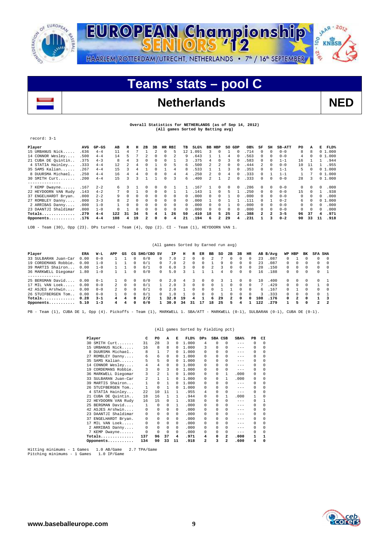



# **Teams' stats – pool C**

# Netherlands NED

## **Overall Statistics for NETHERLANDS (as of Sep 14, 2012) (All games Sorted by Batting avg)**

## record: 3-1

| Player               | <b>AVG</b> | $GP-GS$ | AВ  | R      | н        | 2B       | 3B |              | HR RBI       | TВ       | SLG <sup>8</sup> |    | BB HBP       | SO GDP       |              | OB%   | SF       | SH           | <b>SB-ATT</b> | PO       | А            | Е        | FLD%   |
|----------------------|------------|---------|-----|--------|----------|----------|----|--------------|--------------|----------|------------------|----|--------------|--------------|--------------|-------|----------|--------------|---------------|----------|--------------|----------|--------|
| 15 URBANUS Nick      | .636       | $4 - 4$ | 11  | 4      |          |          |    | $\Omega$     | 5            |          | 12 1.091         | 3. | $\cap$       |              | $\Omega$     | .714  | 0        | $\Omega$     | $0 - 0$       | 8        | 8            |          | 01.000 |
| 14 CONNOR Wesley     | .500       | $4 - 4$ | 14  | 5      |          |          | 0  | $\Omega$     |              | 9        | .643             |    |              | 4            | 0            | .563  | 0        | $\Omega$     | $0 - 0$       | 4        | 0            |          | 01.000 |
| 21 CUBA DE Quintin.  | .375       | $4 - 3$ | 8   |        |          |          |    |              |              |          | 375              | 4  |              |              |              | 583   | 0        | 0            | $1 - 1$       | 16       |              |          | .944   |
| 4 STATIA Hainley     | .333       | $4 - 4$ | 12. |        |          |          |    |              | 5            | 6.       | 500              |    |              | 0            |              | .444  |          | $\Omega$     | $0 - 0$       | 10       |              |          | .955   |
| 35 SAMS Kalian       | .267       | $4 - 4$ | 15  |        |          |          |    |              | 4            | 8        | .533             |    |              |              |              | .353  | $\Omega$ | $\Omega$     | $1 - 1$       | 5.       | 0            |          | 01.000 |
| 8 DUURSMA Michael    | .250       | $4 - 4$ | 16  |        |          |          |    | 0            | 4            |          | 250              |    | $\cap$       | 4            |              | .333  | $\Omega$ |              | $1 - 1$       |          |              |          | 01.000 |
| 30 SMITH Curt        | .200       | $4 - 4$ | 15  |        |          |          |    |              | 3            | 6.       | .400             | 2. |              | 2            | 0            | .333  | $\Omega$ | $\Omega$     | $0 - 0$       | 2.8      |              |          | 01.000 |
| --------------       |            |         |     |        |          |          |    |              |              |          |                  |    |              |              |              |       |          |              |               |          |              |          |        |
| 7 KEMP Dwayne        | .167       | $2 - 2$ | б.  |        |          |          |    | <sup>n</sup> |              |          | 167              |    | $\cap$       | <sup>n</sup> | $\Omega$     | 286   | $\Omega$ | $^{\circ}$   | $0 - 0$       | 0        | 0            | $\Omega$ | .000   |
| 22 HEYDOORN VAN Rudy | .143       | $4 - 2$ | 7   | $\cap$ |          | $\Omega$ |    |              |              |          | 143              |    | $\cap$       | 5            |              | 250   | $\Omega$ | $\Omega$     | $0 - 0$       | 15       | <sup>n</sup> |          | .938   |
| 37 ENGELHARDT Bryan. | .000       | $2 - 2$ | 9   |        |          |          |    |              | <sup>n</sup> | 0        | . 000            | U. |              |              |              | . 000 | $\Omega$ | $\Omega$     | $0 - 0$       | 0        | 0            | O        | .000   |
| 27 ROMBLEY Danny     | .000       | $3 - 3$ | 8.  |        |          |          |    | $\Omega$     | <sup>n</sup> | 0        | .000             |    |              |              |              | 111   |          |              | $0 - 2$       | б.       | 0            |          | 01.000 |
| 2 ARRIBAS Danny      | .000       | $1 - 0$ |     | 0      |          |          | U  | $\Omega$     | 0            | 0        | .000             | 0. | $\cap$       |              |              | .000  | $\Omega$ | $\Omega$     | $0 - 0$       | $\Omega$ | $\Omega$     | O        | .000   |
| 23 DAANTJI Shaldimar | .000       | $1 - 0$ |     |        | $\Omega$ | $\Omega$ | 0  | $\Omega$     | $\Omega$     | $\Omega$ | .000             | 0  | 0            | $\Omega$     |              | .000  | $\Omega$ | $\Omega$     | $0 - 0$       | 0        | $\Omega$     | $\Omega$ | .000   |
| $Totals$             | .279       | $4 - 4$ | 122 | 31     | 34       |          | 4  |              | 26           | 50       | .410             | 18 | 5.           | 25           | $\mathbf{2}$ | .388  | 2        | $\mathbf{2}$ | $3 - 5$       | 96       | 37           | 4        | .971   |
| Opponents            | .176       | $4 - 4$ | 108 | 4      | 19       | 2        | n  | 0            | 4            | 21       | .194             | 6  | $\mathbf{2}$ | 29           | 4            | .231  |          | ٩            | $0 - 2$       | 90       | 33           | 11       | .918   |

LOB - Team (30), Opp (23). DPs turned - Team (4), Opp (2). CI - Team (1), HEYDOORN VAN 1.

## (All games Sorted by Earned run avg)

| Player               | ERA  | W-L     | APP            | GS           |              | CG SHO/CBO SV |              | IΡ   | н  | R            | ER       | вв       | so | 2B               | 3B       | HR           |     | AB B/Avq | WP HBP       |              | вĸ           | SFA SHA      |                         |
|----------------------|------|---------|----------------|--------------|--------------|---------------|--------------|------|----|--------------|----------|----------|----|------------------|----------|--------------|-----|----------|--------------|--------------|--------------|--------------|-------------------------|
| 33 SULBARAN Juan-Car | 0.00 | $0 - 0$ |                |              |              | 0/0           | 0            | 7.0  |    |              | 0        |          |    |                  |          | 0            | 23  | .087     |              |              |              |              | $\Omega$                |
| 19 CORDEMANS Robbie. | 0.00 | $1 - 0$ |                |              | 0            | 0/1           | 0            | 7.0  |    | 0            | 0        |          | ۹  | $\Omega$         |          | $\Omega$     | 23  | .087     | $\Omega$     | 0            | $\Omega$     | 0            | $\Omega$                |
| 39 MARTIS Shairon    | 0.00 | $1 - 0$ |                |              |              | 0/1           | 0            | 6.0  |    | 0            | 0        |          |    | $\Omega$         |          | 0            | 20  | .150     | 0            | 0            | 0            | 0            | $\Omega$                |
| 36 MARKWELL Diegomar | 1.80 | $1 - 0$ |                |              | 0            | 0/0           | $\Omega$     | 5.0  |    |              |          |          | 4  | $\Omega$         |          | 0            | 16  | .188     | 0            | 0            | $^{\circ}$   |              | $0 \quad 1$             |
| -------------        |      |         |                |              |              |               |              |      |    |              |          |          |    |                  |          |              |     |          |              |              |              |              |                         |
| 25 BERGMAN David     | 0.00 | $0 - 1$ |                | 0            | 0            | 0/0           | 0            | 2.0  | 4  | 3.           | 0        | 0        |    |                  |          | 0            | 10  | .400     | 0            | 0            | $\Omega$     |              |                         |
| 17 MIL VAN Loek      | 0.00 | $0 - 0$ |                | <sup>n</sup> | 0            | 0/1           |              | 2.0  |    | $\Omega$     | $\Omega$ | $\Omega$ |    | $\Omega$         |          | $\Omega$     |     | .429     | $\Omega$     | <sup>n</sup> | $\Omega$     |              | $\Omega$                |
| 42 ASJES Arshwin     | 0.00 | $0 - 0$ | $\overline{2}$ | <sup>n</sup> | 0            | 0/1           | <sup>n</sup> | 2.0  |    | $\cap$       | $\Omega$ | $\Omega$ |    |                  |          | $\Omega$     | 6.  | .167     | $\cap$       |              | $\cap$       | $\cap$       | $\bigcirc$              |
| 26 STUIFBERGEN Tom   | 0.00 | $0 - 0$ |                |              | 0            | 0/1           |              | - 0  |    | <sup>n</sup> | $\Omega$ | $\Omega$ |    |                  |          | $\Omega$     |     | . 333    | <sup>n</sup> | <sup>n</sup> | $\cap$       |              |                         |
| Totals               | 0.28 | $3 - 1$ | 4              |              | <sup>0</sup> | 2/2           |              | 32.0 | 19 | 4            |          | 6        | 29 | $\boldsymbol{z}$ | $\Omega$ | <sup>0</sup> | 108 | .176     | $\Omega$     | $\mathbf{z}$ | $\Omega$     |              | $\overline{\mathbf{3}}$ |
| Opponents            | 5.10 | $1 - 3$ | 4              |              | <sup>0</sup> | 0/0           |              | 30.0 | 34 | 31           | 17       | 18       | 25 | 5                | 4        |              | 122 | .279     |              | 5            | <sup>0</sup> | $\mathbf{2}$ | $\overline{\mathbf{2}}$ |

PB - Team (1), CUBA DE 1, Opp (4). Pickoffs - Team (1), MARKWELL 1. SBA/ATT - MARKWELL (0-1), SULBARAN (0-1), CUBA DE (0-1).

### (All games Sorted by Fielding pct)

| Player | c                          | PO             | Α            | Е        | FLD%  | $_{\rm DPS}$ | SBA CSB  |                | SBA%    | PВ       | CI       |
|--------|----------------------------|----------------|--------------|----------|-------|--------------|----------|----------------|---------|----------|----------|
|        | 31<br>30 SMITH Curt        | 28             | 3            | 0        | 1,000 | 4            | $\Omega$ | $\Omega$       | $---$   | $\Omega$ | 0        |
|        | 16<br>15 URBANUS Nick      | 8              | 8            | 0        | 1,000 | 3            | 0        | 0              | $- - -$ | 0        | n        |
|        | 8<br>8 DUURSMA Michael     | 1              | 7            | $\Omega$ | 1.000 | $\Omega$     | 0        | 0              | $- - -$ | $\Omega$ | n        |
|        | 6<br>27 ROMBLEY Danny      | 6              | 0            | 0        | 1,000 | 0            | 0        | 0              | $- - -$ | $\Omega$ | 0        |
|        | 5<br>35 SAMS Kalian        | 5              | 0            | 0        | 1,000 | <sup>n</sup> | 0        | 0              | $- - -$ | 0        | 0        |
|        | 4<br>14 CONNOR Wesley      | 4              | 0            | 0        | 1,000 | <sup>n</sup> | 0        |                |         | 0        | 0        |
|        | 19 CORDEMANS Robbie.<br>3  | 0              | 3            | $\Omega$ | 1,000 | 0            | 0        | 0              | $- - -$ | 0        | 0        |
|        | 3<br>36 MARKWELL Diegomar  | $\mathfrak{D}$ | $\mathbf{1}$ | $\Omega$ | 1,000 | 0            | 0        | 1              | .000    | 0        | 0        |
| 33     | 2<br>SULBARAN Juan-Car     | 1              | 1            | 0        | 1,000 | 0            | 0        |                | .000    | 0        | 0        |
|        | 1<br>39 MARTIS Shairon     | $\Omega$       | $\mathbf{1}$ | $\Omega$ | 1,000 | 0            | 0        | 0              | $- - -$ | 0        | 0        |
|        | 26 STUIFBERGEN Tom         | $\Omega$       | 1            | 0        | 1,000 | 0            | 0        |                | $- - -$ | $\Omega$ | $\Omega$ |
|        | 22<br>4 STATIA Hainley     | 10             | 11           | 1.       | .955  | 4            | 0        | 0              | $- - -$ | $\Omega$ | 0        |
|        | 21 CUBA DE Quintin<br>18   | 16             | 1            | 1        | .944  | 0            | 0        | 1              | .000    |          | $\Omega$ |
|        | 22 HEYDOORN VAN Rudy<br>16 | 15             | 0            | 1        | .938  | 0            | 0        | 0              | $---$   | 0        |          |
|        | 25 BERGMAN David<br>1      | 0              | 0            | 1        | .000  | 0            | 0        | 0              | $- - -$ | 0        | $\Omega$ |
|        | 42 ASJES Arshwin<br>0      | 0              | 0            | $\Omega$ | .000  | $\Omega$     | 0        | 0              | $- - -$ | 0        | 0        |
| 23     | DAANTJI Shaldimar<br>0     | 0              | $\Omega$     | $\Omega$ | .000  | $\Omega$     | 0        | 0              | $- - -$ | 0        | 0        |
|        | 0<br>37 ENGELHARDT Bryan.  | 0              | $\mathbf 0$  | 0        | .000  | 0            | 0        | 0              | $- - -$ | 0        | $\Omega$ |
|        | 17 MIL VAN Loek<br>0       | 0              | $\mathbf 0$  | $\Omega$ | .000  | $\Omega$     | 0        | 0              | $- - -$ | 0        | 0        |
|        | 0<br>2 ARRIBAS Danny       | 0              | $\Omega$     | 0        | .000  | 0            | 0        | 0              | $- - -$ | $\Omega$ | $\Omega$ |
|        | 7 KEMP Dwayne<br>0         | 0              | $\Omega$     | 0        | .000  | <sup>n</sup> | 0        | 0              | $- - -$ | $\Omega$ | n        |
|        | 137<br>Totals              | 96             | 37           | 4        | .971  | 4            | 0        | $\overline{a}$ | .000    |          |          |
|        | 134<br>Opponents           | 90             | 33           | 11       | .918  | 2            | 3        | 2              | .600    | 4        | 0        |

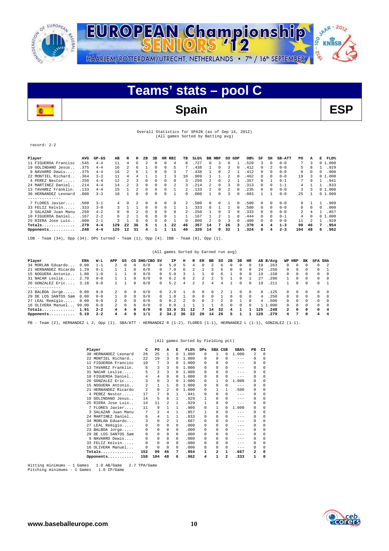



## Overall Statistics for SPAIN (as of Sep 14, 2012) (All games Sorted by Batting avg)

record: 2-2

| Player               | AVG   | $GP-GS$ | AВ  | R        | н  | 2B | 3В | HR | RBI | TВ            | $SLG\%$ |    | BB HBP       | so | GDP      | OB%  | SF       | SH       | <b>SB-ATT</b> | PO  | А        | Е | FLD%   |
|----------------------|-------|---------|-----|----------|----|----|----|----|-----|---------------|---------|----|--------------|----|----------|------|----------|----------|---------------|-----|----------|---|--------|
| 11 FIGUEROA Francisc | . 545 | $4 - 4$ | 11  | 4        | 6. |    | 0  |    | 4   | 8             | 727     | 0  |              |    |          | 529  |          | $\Omega$ | $0 - 0$       | 7   | 3        |   | 01.000 |
| 19 GOLINDANO Jesus   | .375  | $4 - 4$ | 16  |          | 6  |    | 0  |    | 5   |               | .438    |    |              | 3  | 0        | .412 | 0        |          | $0 - 0$       | 5   | 8        |   | .929   |
| 9 NAVARRO Dewis      | .375  | $4 - 4$ | 16  |          | 6  |    | 0  |    |     |               | .438    |    |              |    |          | 412  | 0        | $\Omega$ | $0 - 0$       | 0   | 0        | 0 | .000   |
| 22 MONTIEL Richard.  | .364  | $3 - 3$ | 11  |          |    |    |    |    |     | 10            | .909    |    |              |    |          | .462 | 0        | $\Omega$ | $0 - 0$       | 19  |          |   | 01.000 |
| 4 PEREZ Nestor.      | .250  | $4 - 4$ | 12  |          |    |    |    |    |     |               | 250     |    |              |    |          | 357  |          |          | $0 - 1$       | 7   | ٩        |   | .941   |
| 24 MARTINEZ Daniel   | .214  | $4 - 4$ | 14  |          |    |    |    |    |     |               | 214     |    |              |    |          | 313  |          |          | 1-1           | 4   |          |   | .833   |
| 13 TAVAREZ Franklin. | .133  | $4 - 4$ | 15  |          |    |    | 0  |    |     |               | 133     |    |              |    |          | 235  |          |          | $0 - 0$       | 3   |          |   | 01.000 |
| 30 HERNANDEZ Leonard | .000  | $3 - 3$ | 1 O |          |    |    | 0  |    |     |               | 000     |    |              |    |          | .083 |          |          | $0 - 0$       | 25  |          |   | 01.000 |
| --------------       |       |         |     |          |    |    |    |    |     |               |         |    |              |    |          |      |          |          |               |     |          |   |        |
| 7 FLORES Javier      | .500  | $3 - 1$ |     | $\Omega$ |    |    | 0  |    |     | $\mathcal{L}$ | 500     | 0  |              |    | 0        | .500 | 0        | $\Omega$ | $0 - 0$       | 9   |          |   | .909   |
| 33 FELIZ Kelvin      | .333  | $3 - 0$ |     |          |    |    | 0  |    |     |               | 333     | 0  |              |    | $\Omega$ | .500 | $\Omega$ | $\Omega$ | $0 - 0$       | 0   | $\Omega$ | 0 | .000   |
| 3 SALAZAR Juan Manu  | .250  | $4 - 2$ | 8   | $\Omega$ |    |    | 0  |    | 0   |               | 250     |    |              |    | 0        | .333 | 0        | $\Omega$ | $0 - 0$       | 2   |          |   | .857   |
| 10 FIGUEROA Daniel   | .167  | $2 - 2$ | б.  |          |    |    | 0  |    |     |               | 167     |    |              |    | $\Omega$ | .444 | 0        | $\Omega$ | $0 - 1$       | 4   | 0        |   | 01.000 |
| 25 RIERA Jose Luis.  | .000  | $2 - 1$ |     |          |    |    |    |    |     | 0             | .000    |    |              |    | 0        | .400 | $\Omega$ | $\Omega$ | $0 - 0$       | 11  |          |   | .929   |
| $Totals$             | .279  | $4 - 4$ | 129 | 22       | 36 |    |    |    | 22  | 46            | .357    | 14 |              | 26 |          | .370 | 4        | 4        | $1 - 3$       | 99  | 46       | 7 | .954   |
| Opponents            | .248  | $4 - 4$ | 125 | 12       | 31 |    |    |    | 11  | 40            | 320     | 14 | <sup>0</sup> | 32 |          | .324 | 0        | 4        | $2 - 3$       | 104 | 48       | 6 | .962   |

LOB - Team (34), Opp (34). DPs turned - Team (1), Opp (4). IBB - Team (0), Opp (1).

### (All games Sorted by Earned run avg)

| Player               | ERA   | W-L     | APP           | GS       |          | CG SHO/CBO SV |          | ΙP   | н  | R  | ER             | вв           | so | 2B       | 3В           | HR         |     | AB B/Avq | WP HBP   |              | вĸ       | SFA          | SHA            |
|----------------------|-------|---------|---------------|----------|----------|---------------|----------|------|----|----|----------------|--------------|----|----------|--------------|------------|-----|----------|----------|--------------|----------|--------------|----------------|
| 34 MORLAN Eduardo.   | 0.00  | $1 - 1$ |               |          | 0        | 0/0           | 0        | 5.0  | h  | 4  | 0              |              | 6  | 0        | 0            | 0          | 19  | 263      | $\Omega$ |              |          | $\Omega$     | $\overline{2}$ |
| 21 HERNANDEZ Ricardo | 1.29  | $0 - 1$ |               |          | n        | 0/0           | 0        | 7.0  | 6. |    |                |              | 6  | $\Omega$ | 0            | $^{\circ}$ | 2.4 | .250     | 0        | 0            | 0        | $\Omega$     |                |
| 15 NOGUERA Antonio   | 1.80  | $1 - 0$ |               |          |          | 0/0           | 0        | 5.0  |    |    |                |              | h  |          | 0            | $^{\circ}$ | 19  | .158     | 0        |              | 0        | 0            | $\Omega$       |
| 31 NACAR Leslie      | 2.70  | $0 - 0$ |               |          |          | 0/0           | 0        | 6.2  |    |    |                |              |    |          |              |            | 27  | 296      |          |              |          | 0            | $\Omega$       |
| 26 GONZALEZ Eric     | 3.18  | $0 - 0$ |               |          | $\Omega$ | 0/0           | $\cap$   | 5.2  | 4  |    | $\mathfrak{D}$ | 4            | 4  |          | 0            | $\Omega$   | 19  | .211     |          |              | $\Omega$ | n            |                |
|                      |       |         |               |          |          |               |          |      |    |    |                |              |    |          |              |            |     |          |          |              |          |              |                |
| 23 BALBOA Jorge      | 0.00  | $0 - 0$ |               |          | 0        | 0/0           | $\Omega$ | 2.0  |    | n. | $^{\circ}$     |              |    |          | O.           | $\Omega$   | 8.  | .125     | ∩.       |              | $\Omega$ | $\Omega$     | $\Omega$       |
| 29 DE LOS SANTOS Sam | 0.00  | $0 - 0$ |               |          | $\Omega$ | 0/0           | 0        | 1.0  |    | O. | $\Omega$       | <sup>n</sup> |    | 0        | <sup>n</sup> | $\Omega$   | 4   | 250      | $\cap$   |              | $\Omega$ | n            | $\Omega$       |
| 27 LEAL Remigio      | 0.00  | $0 - 0$ | $\mathcal{L}$ |          | n        | 0/0           | 0        | 0.2  |    | 0  | $^{\circ}$     |              |    | 0        |              | $\Omega$   | 4   | .500     | O.       | 0            | $\Omega$ | $\Omega$     | $\Omega$       |
| 16 OLIVERA Manuel    | 99.00 | $0 - 0$ | $\mathcal{L}$ | $\Omega$ | $\Omega$ | 0/0           | $\cap$   | 0.0  |    |    |                |              |    | $\cap$   | $\cap$       | $\Omega$   |     | .000.    | 0        | $\Omega$     | $\cap$   | $\cap$       | $\Omega$       |
| Totals               | 1.91  | $2 - 2$ | 4             |          | $\Omega$ | 0/0           | n.       | 33.0 | 31 | 12 |                | 14           | 32 | 4        |              |            | ⊥25 | .248     | 2        | <sup>0</sup> | 0        | <sup>0</sup> | 4              |
| Opponents            | 5.19  | $2 - 2$ | 4             |          | $\Omega$ | 1/1           | 2        | 34.2 | 36 | 22 | 20             | 14           | 26 | 5.       |              |            | 129 | .279     | 4        |              | 0        | 4            | 4              |

PB - Team (2), HERNANDEZ L 2, Opp (1). SBA/ATT - HERNANDEZ R (1-2), FLORES (1-1), HERNANDEZ L (1-1), GONZALEZ (1-1).

### (All games Sorted by Fielding pct)

|    | Player               | C    | PO.                       | А              | Е            | FLD <sup>%</sup> | $_{\rm DPS}$ | SBA CSB |          | $SBA$ <sup>%</sup> | PB                      | CI |  |
|----|----------------------|------|---------------------------|----------------|--------------|------------------|--------------|---------|----------|--------------------|-------------------------|----|--|
|    | 30 HERNANDEZ Leonard | 26   | 25                        | 1              | 0            | 1,000            | $\Omega$     | 1       | $\Omega$ | 1,000              | $\overline{\mathbf{c}}$ | 0  |  |
|    | 22 MONTIEL Richard   | 2.2. | 19                        | 3              | 0            | 1.000            | 0            | 0       | $\Omega$ | $- - -$            | 0                       | 0  |  |
| 11 | FIGUEROA Francisc    | 10   | 7                         | 3              | 0            | 1.000            | 0            | 0       | $\Omega$ | $- - -$            | 0                       | 0  |  |
| 13 | TAVAREZ Franklin.    | 6    | 3                         | 3              | 0            | 1.000            | 0            | 0       | $\Omega$ | $- - -$            | 0                       | 0  |  |
|    | 31 NACAR Leslie      | 5    | $\overline{a}$            | 3              | 0            | 1,000            | 0            | 0       | 0        | $- - -$            | 0                       |    |  |
|    | 10 FIGUEROA Daniel   | 4    | 4                         | 0              | <sup>n</sup> | 1,000            | 0            | 0       | O        | $- - -$            | 0                       | U  |  |
|    | 26 GONZALEZ Eric     | 3    | $\Omega$                  | 3              | 0            | 1,000            | 0            | 1       | $\Omega$ | 1,000              | 0                       | O. |  |
|    | 15 NOGUERA Antonio   | 2    | 1                         | 1              | $\Omega$     | 1,000            | 0            | 0       | $\Omega$ | $- - -$            | 0                       | 0  |  |
| 21 | HERNANDEZ Ricardo    | 2    | 0                         | 2              | $\Omega$     | 1,000            | 0            | 1       | 1        | .500               | 0                       | 0  |  |
|    | 4 PEREZ Nestor       | 17   | 7                         | 9              | 1            | .941             | 0            | 0       | $\Omega$ | $---$              | 0                       | 0  |  |
| 19 | GOLINDANO Jesus      | 14   | 5                         | 8              | 1.           | .929             | 1            | 0       | $\Omega$ | $- - -$            | 0                       |    |  |
|    | 25 RIERA Jose Luis   | 14   | 11                        | 2.             | 1            | .929             | 1            | 0       | $\Omega$ | $- - -$            | 0                       | O. |  |
|    | 7 FLORES Javier      | 11   | 9                         | 1              | 1            | .909             | 0            | 1       | $\Omega$ | 1.000              | 0                       | O. |  |
|    | 3 SALAZAR Juan Manu  | 7    | $\overline{\mathfrak{L}}$ | 4              | 1            | .857             | 1            | 0       | $\Omega$ | $- - -$            | 0                       | U  |  |
|    | 24 MARTINEZ Daniel   | 6    | 4                         | 1              | 1            | .833             | 0            | 0       | $\Omega$ | $- - -$            | 0                       | 0  |  |
|    | 34 MORLAN Eduardo    | 3    | 0                         | $\mathfrak{D}$ | 1            | .667             | 0            | 0       | $\Omega$ | $- - -$            | 0                       | U  |  |
|    | 27 LEAL Remigio      | 0    | $\Omega$                  | $\Omega$       | $\Omega$     | .000             | 0            | 0       | $\Omega$ | $- - -$            | 0                       |    |  |
|    | 23 BALBOA Jorge      | 0    | $\Omega$                  | 0              | $\Omega$     | .000             | 0            | 0       | $\Omega$ | $- - -$            | 0                       | O. |  |
|    | 29 DE LOS SANTOS Sam | 0    | $\Omega$                  | 0              | 0            | .000             | 0            | 0       | $\Omega$ | $- - -$            | 0                       | O. |  |
|    | 9 NAVARRO Dewis      | 0    | 0                         | $\Omega$       | $\Omega$     | .000             | $\Omega$     | 0       | 0        | $- - -$            | 0                       | 0  |  |
|    | 33 FELTZ Kelvin      | 0    | 0                         | 0              | $\Omega$     | .000             | 0            | 0       | $\Omega$ | $- - -$            | 0                       | U  |  |
|    | 16 OLIVERA Manuel    | 0    | $\Omega$                  | $\Omega$       | $\Omega$     | .000             | 0            | 0       | $\Omega$ | $- - -$            | 0                       | O. |  |
|    | Totals               | 152  | 99                        | 46             | 7            | .954             | 1            | 2       | 1        | .667               | 2                       | 0  |  |
|    | Opponents            | 158  | 104                       | 48             | 6            | .962             | 4            | 1       | 2        | .333               | 1                       | 0  |  |

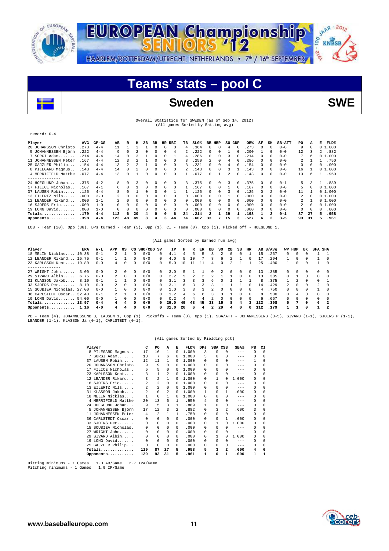



**Teams' stats – pool C**



## Sweden SWE

### Overall Statistics for SWEDEN (as of Sep 14, 2012) (All games Sorted by Batting avg)

### record: 0-4

| Player               | AVG   | $GP-GS$ | AB             | R            | н            | 2B       | 3B |          | HR RBI   | тв       | $SLG\%$ | вв | HBP      | SO GDP       |              | OB%   | SF           | SH             | <b>SB-ATT</b> | PO | А        | Е | FLD%   |
|----------------------|-------|---------|----------------|--------------|--------------|----------|----|----------|----------|----------|---------|----|----------|--------------|--------------|-------|--------------|----------------|---------------|----|----------|---|--------|
| 20 JOHANSSON Christo | .273  | $4 - 4$ | 11             |              |              |          | 0  | $\Omega$ | $\Omega$ | 4        | 364     | 0. | 0        | 4            | $\Omega$     | 273   |              | $\Omega$       | $0 - 0$       | 9  | 0        |   | 01.000 |
| 5 JOHANNESSEN Björn  | .222  | $4 - 4$ | 9              |              |              | 0        | 0  | $\Omega$ | 4        | 2        | 222     | 0  | $\Omega$ |              | $\Omega$     | 200   |              | $\Omega$       | $0 - 0$       | 12 |          | 2 | .882   |
| $7$ SORGI Adam       | . 214 | $4 - 4$ | 14             |              |              |          |    | $\Omega$ |          | 4        | 286     | 0  | 0        | ٦            |              | .214  |              | $\Omega$       | $0 - 0$       | 7  | 6        |   | 01.000 |
| 11 JOHANNESSEN Peter | .167  | $4 - 4$ | 12.            | 3            |              |          |    | $\Omega$ |          |          | 250     |    | $\Omega$ | 4            |              | .286  |              | 0              | $0 - 0$       | 2  |          |   | .750   |
| 25 GAJZLER Philip    | .154  | $4 - 4$ | 13             |              |              |          |    | $\Omega$ |          |          | .231    | 0. | $\Omega$ | 4            |              | .154  |              | 0              | $0 - 0$       | 0  | 0        | 0 | .000   |
| 8 PILEGARD Magnus    | .143  | $4 - 4$ | 14             |              |              | 0        | 0  | $\Omega$ | $\Omega$ |          | .143    | 0  | 0        |              |              | .143  |              | $\Omega$       | $0 - 0$       | 16 |          |   | 01.000 |
| 4 MERRIFIELD Matthe  | .077  | $4 - 4$ | 13             |              |              |          |    | $\Omega$ | 0        |          | .077    | 0  |          |              |              | .143  |              | $\Omega$       | $0 - 0$       | 13 | 6.       |   | .950   |
| --------------       |       |         |                |              |              |          |    |          |          |          |         |    |          |              |              |       |              |                |               |    |          |   |        |
| 24 HOEGLUND Johan    | .375  | $4 - 2$ |                |              |              |          |    | $\Omega$ | $\Omega$ | 3        | 375     | 0. | $\Omega$ | 3            | $^{\circ}$   | .375  | $^{\circ}$   | $\Omega$       | $0 - 1$       | 5. |          |   | .889   |
| 17 FILICE Nicholas   | .167  | $4 - 1$ | б.             | <sup>n</sup> |              | $\Omega$ | 0  | $\Omega$ | $\Omega$ |          | .167    | 0  | $\Omega$ |              | $^{\circ}$   | .167  | $\mathbf{r}$ | $\Omega$       | $0 - 0$       | 5  | $\Omega$ |   | 01.000 |
| 37 LAUSEN Robin      | .125  | $4 - 4$ |                |              |              |          | 0  | $\Omega$ |          |          | .125    | 0. | $\Omega$ |              | $\mathbf{0}$ | .125  | 0            | 2              | $0 - 0$       | 11 |          |   | 01.000 |
| 13 EILERTZ Nils      | .000. | $3 - 0$ | $\mathbf{2}$   | $\Omega$     |              | $\Omega$ | 0  | $\Omega$ | $\Omega$ | 0        | .000    | 0. | $\Omega$ |              | $^{\circ}$   | . 000 | 0            | $\Omega$       | $0 - 0$       | 2  | $\Omega$ |   | 01.000 |
| 12 LEANDER Rikard    | . 000 | $1 - 1$ | $\mathfrak{D}$ | $\Omega$     | <sup>0</sup> | $\Omega$ | 0  | $\Omega$ | $\Omega$ | 0        | .000    | 0. | $\Omega$ | <sup>n</sup> | $\mathbf{v}$ | . 000 | 0            | $\Omega$       | $0 - 0$       | 2  |          |   | 01.000 |
| 16 SJOERS Eric       | .000. | $1 - 0$ | $\cap$         |              |              |          | 0  | $\Omega$ | 0        | 0        | .000    | 0. | $\Omega$ | <sup>n</sup> | $\mathbf{v}$ | .000  | 0            | 0              | $0 - 0$       | 2  | $\Omega$ |   | 01.000 |
| 19 LONG David        | .000. | $1 - 0$ | $\cap$         |              | $\Omega$     |          | 0  | $\Omega$ | 0        | $\Omega$ | .000    | 0. | $\Omega$ | $\Omega$     | $\mathbf{v}$ | .000  | 0            | 0              | $0 - 0$       | 0  | $\Omega$ | 0 | .000   |
| Totals               | .179  | $4 - 4$ | 112            | 6            | 20           | 4        | 0  | $\Omega$ | 6        | 24       | .214    | 2  |          | 29           |              | .198  |              | 2              | $0 - 1$       | 87 | 27       | 5 | .958   |
| Opponents            | .398  | $4 - 4$ | 123            | 48           | 49           | 8        | 4  | ٩        | 44       | 74       | .602    | 33 | 7        | 15           |              | .527  | б.           | $\overline{a}$ | $3 - 5$       | 93 | 31       | 5 | .961   |

LOB - Team (20), Opp (36). DPs turned - Team (5), Opp (1). CI - Team (0), Opp (1). Picked off - HOEGLUND 1.

## (All games Sorted by Earned run avg)

| Player                     | ERA   | W-L     | APP            | GS         |              | CG SHO/CBO SV |        | IΡ   | н   | R                    | ER            | вв | so           | 2B       | 3B           | HR         |     | AB B/Avq | WP     | HBP      | вĸ       | <b>SFA SHA</b> |                         |
|----------------------------|-------|---------|----------------|------------|--------------|---------------|--------|------|-----|----------------------|---------------|----|--------------|----------|--------------|------------|-----|----------|--------|----------|----------|----------------|-------------------------|
| 18 MELIN Nicklas           | 10.38 | $0 - 1$ |                |            | 0            | 0/0           | 0      | 4.1  |     | 5.                   |               |    |              |          |              |            | 15  | .267     | 0      | 0        |          |                |                         |
| 12 LEANDER Rikard          | 15.75 | $0 - 1$ |                |            | 0            | 0/0           | ∩.     | 4.0  |     | 10                   |               | R  | h            |          |              |            |     | 294      |        |          |          |                | $\Omega$                |
| 23 KARLSSON Kent 19.80     |       | $0 - 0$ | 4              | $^{\circ}$ | 0            | 0/0           | ∩.     | 5.0  | 1 ດ |                      |               | 4  | 0            | 2        |              |            | 25  | .400     |        | 0        | $\Omega$ |                | $\Omega$                |
| . <u>.</u> .               |       |         |                |            |              |               |        |      |     |                      |               |    |              |          |              |            |     |          |        |          |          |                |                         |
| 27 WRIGHT John             | 3.00  | $0 - 0$ | $2^{\circ}$    | $\Omega$   | 0            | 0/0           | 0      | 3.0  |     |                      |               |    |              |          | 0            | $\Omega$   | 13  | .385     | $\cap$ | $\Omega$ | $\cap$   | <sup>n</sup>   | $\Omega$                |
| 29 SIVARD Albin            | 6.75  | $0 - 0$ | $\overline{2}$ | $\Omega$   | $\Omega$     | 0/0           | $\cap$ | 2.2  | 5   | $\mathbf{2}^{\circ}$ | $\mathcal{L}$ |    |              |          | <sup>n</sup> | $^{\circ}$ | 13  | .385     | $\cap$ |          | $\Omega$ | <sup>n</sup>   | $\Omega$                |
| 31 KLASSON Jakob           | 8.10  | $0 - 1$ |                |            | 0            | 0/0           | 0.     | 3.1  |     |                      |               | h  |              |          |              |            | 8   | .375     |        |          | $\Omega$ | 0              |                         |
| 33 SJOERS Per              | 8.10  | $0 - 0$ | $\overline{2}$ | $\Omega$   | $\Omega$     | 0/0           | $\Box$ | 31   | Б   |                      |               |    |              |          |              | $^{\circ}$ | 14  | .429     | 2      | $\Omega$ | $\Omega$ | $\mathcal{L}$  | $\Omega$                |
| 15 SOUBIEA Nicholas, 27.00 |       | $0 - 0$ |                | $\Omega$   | <sup>n</sup> | 0/0           | n.     | 1 O  |     |                      | ર             |    | $\mathbf{r}$ | $\cap$   | <sup>n</sup> | $\Omega$   | 4   | 750      | $\cap$ | $\Omega$ | $\Omega$ |                | $\sqrt{ }$              |
| 36 CARLSTEDT Oscar         | 32.40 | $0 - 1$ |                |            | <sup>n</sup> | 0/0           |        | 1.2  |     | h                    | 6.            |    |              |          | U.           | $^{\circ}$ | я   | .500     | $\cap$ | 4        | 0        | U.             | $\Omega$                |
| $19$ LONG David            | 54.00 | $0 - 0$ |                | $\Omega$   | 0            | 0/0           | 0      | 0.2  | 4   | 4                    | 4             |    | 0            | $\Omega$ | 0            | $\Omega$   | 6   | . 667    | ∩.     | $\Omega$ | $\Omega$ | $\cap$         | $\Omega$                |
| Totals 13.97               |       | $0 - 4$ | 4              | 4          | 0            | 0/0           | n.     | 29.0 | 49  | 48                   | 45            | 33 | 15           | 8        | 4            |            | 123 | .398     | 5.     |          | $\Omega$ | б.             | $\overline{\mathbf{2}}$ |
| Opponents                  | 1.16  | $4 - 0$ | 4              | 4          | <sup>0</sup> | 0/0           |        | 31.0 | 20  |                      |               | 2  | 29           | 4        | <sup>0</sup> |            | 112 | .179     |        |          | $\Omega$ |                | - 2                     |

PB - Team (4), JOHANNESSENB 3, LAUSEN 1, Opp (1). Pickoffs - Team (0), Opp (1). SBA/ATT - JOHANNESSENB (3-5), SIVARD (1-1), SJOERS P (1-1),<br>LEANDER (1-1), KLASSON Ja (0-1), CARLSTEDT (0-1).

## (All games Sorted by Fielding pct)

|     | Player              | c       | PO             | Α        | Е        | FLD%  | $_{\rm DPS}$ | SBA CSB  |          | SBA%    | PВ       | CI       |
|-----|---------------------|---------|----------------|----------|----------|-------|--------------|----------|----------|---------|----------|----------|
|     | 8 PILEGARD Magnus   | 17      | 16             | 1        | $\Omega$ | 1,000 | 3            | $\Omega$ | $\Omega$ | $-- -$  | $\Omega$ | $\Omega$ |
|     | $SORGI$ $Adam$      | 13      | 7              | 6        | $\Omega$ | 1,000 | 3            | $\Omega$ | 0        | ---     | 0        | $\Omega$ |
| 37  | LAUSEN Robin        | $12 \,$ | 11             | 1        | $\Omega$ | 1,000 | O.           | 0        | $\Omega$ | $- - -$ | 1        | $\Omega$ |
| 20  | JOHANSSON Christo   | 9       | 9              | 0        | $\Omega$ | 1,000 | 0            | 0        | 0        | ---     | 0        | 0        |
|     | 17 FILICE Nicholas  | 5       | 5              | $\Omega$ | $\Omega$ | 1,000 | 0            | 0        | $\Omega$ | $- - -$ | $\Omega$ | 0        |
|     | 23 KARLSSON Kent    | 3       | $\mathbf{1}$   | 2        | $\Omega$ | 1,000 | <sup>n</sup> | $\Omega$ | 0        | $- - -$ | $\Omega$ | 0        |
|     | 12 LEANDER Rikard   | 3       | 2              | 1        | $\Omega$ | 1,000 | 0            |          | 0        | 1,000   | $\Omega$ | 0        |
|     | 16 SJOERS Eric      | 2       | 2              | 0        | $\Omega$ | 1,000 | 0            | 0        | 0        | $- - -$ | $\Omega$ | 0        |
|     | 13 EILERTZ Nils     | 2       | $\overline{a}$ | 0        | $\Omega$ | 1,000 | 0            | 0        | $\Omega$ | $- - -$ | 0        | 0        |
|     | 31 KLASSON Jakob    | 2       | 0              | 2        | $\Omega$ | 1,000 |              | 0        |          | .000    | $\Omega$ | 0        |
|     | 18 MELIN Nicklas    |         | 0              | 1        | $\Omega$ | 1,000 | 0            |          | 0        | $- - -$ | 0        | 0        |
|     | 4 MERRIFIELD Matthe | 20      | 13             | 6        |          | .950  | 4            | $\Omega$ | 0        | $- - -$ | 0        | 0        |
|     | 24 HOEGLUND Johan   | 9       | 5              | 3        | 1        | .889  |              | $\Omega$ | 0        | $- - -$ | 0        | 0        |
|     | JOHANNESSEN Björn   | 17      | 12             | 3        | 2        | .882  | 0            | 3        | 2.       | .600    | 3        | 0        |
| 11  | JOHANNESSEN Peter   | 4       | $\mathfrak{D}$ | 1        | 1        | .750  | 0            | 0        | 0        | $-- -$  | 0        | 0        |
| 36. | CARLSTEDT Oscar     | 0       | 0              | 0        | $\Omega$ | .000  | 0            | 0        | 1        | .000    | 0        | 0        |
| 33. | SJOERS Per          | 0       | 0              | 0        | $\Omega$ | .000  | 0            | 1        | O        | 1,000   | 0        | 0        |
| 15  | SOUBIEA Nicholas.   | 0       | 0              | 0        | $\Omega$ | .000  | 0            | 0        | 0        | $---$   | 0        | 0        |
| 27  | WRIGHT John         | 0       | 0              | 0        | $\Omega$ | .000  | 0            | 0        | 0        | $- - -$ | 0        | 0        |
| 29  | SIVARD Albin        | 0       | 0              | 0        | $\Omega$ | .000  | 0            |          | O        | 1,000   | 0        | 0        |
|     | 19 LONG David       | 0       | 0              | 0        | $\Omega$ | .000  | <sup>n</sup> | 0        | 0        | $- - -$ | $\Omega$ | 0        |
|     | 25 GAJZLER Philip   | 0       | 0              | 0        | $\Omega$ | .000  | U            |          | 0        | $- - -$ | $\Omega$ | 0        |
|     | $\verb Totals $     | 119     | 87             | 27       | 5        | .958  | 5            | 3        | 2        | .600    | 4        | 0        |
|     | Opponents           | 129     | 93             | 31       | 5        | .961  | 1            | 0        | 1        | .000    | 1        | 1        |

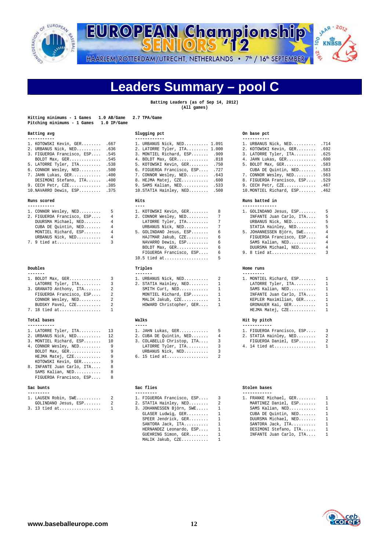



# **Leaders Summary – pool C**

**Batting Leaders (as of Sep 14, 2012) (All games)** 

| Hitting minimums - 1 Games<br>Pitching minimums - 1 Games 1.0 IP/Game | 1.0 AB/Game 2.7 TPA/Game |             |
|-----------------------------------------------------------------------|--------------------------|-------------|
| Batting avg                                                           |                          | Slugging pc |

| 1. KOTOWSKI Kevin, GER . 667    | 1. URBANUS Nick, NED 1.091      | 1. URBANUS Nick, NED 714        |
|---------------------------------|---------------------------------|---------------------------------|
| 2. URBANUS Nick, NED .636       | 2. LATORRE Tyler, ITA 1.000     | 2. KOTOWSKI Kevin, GER .692     |
| 3. FIGUEROA Francisco, ESP .545 | 3. MONTIEL Richard, ESP . 909   | 3. LATORRE Tyler, ITA .625      |
| BOLDT Max, GER .545             | 4. BOLDT Max, GER .818          | 4. JAHN Lukas, GER .600         |
| 5. LATORRE Tyler, ITA .538      | 5. KOTOWSKI Kevin, GER .750     | 5. BOLDT Max, GER .583          |
| 6. CONNOR Wesley, NED .500      | 6. FIGUEROA Francisco, ESP .727 | CUBA DE Quintin, NED 583        |
| 7. JAHN Lukas, GER . 400        | 7. CONNOR Wesley, NED .643      | 7. CONNOR Wesley, NED 563       |
| DESIMONI Stefano, ITA .400      | 8. HEJMA Matej, CZE .600        | 8. FIGUEROA Francisco, ESP .529 |
| 9. CECH Petr, CZE .385          | 9. SAMS Kalian, NED .533        | 9. CECH Petr, CZE . 467         |

| 1. CONNOR Wesley, NED      | 5. |
|----------------------------|----|
| 2. FIGUEROA Francisco, ESP | 4  |
| DUURSMA Michael, NED       | 4  |
| CUBA DE Quintin, NED       | 4  |
| MONTIEL Richard, ESP       | 4  |
| URBANUS Nick, NED          | 4  |
| 7. 9 tied at               | ર  |

### Doubles

| 1. BOLDT Max, GER       |   |
|-------------------------|---|
| LATORRE Tyler, ITA      | 3 |
| 3. GRANATO Anthony, ITA | 2 |
| FIGUEROA Francisco, ESP | 2 |
| CONNOR Wesley, NED      | 2 |
| BUDSKY Pavel, CZE       | 2 |
| 7. 18 tied at           | 1 |

## Total bases

| -----------            |  |
|------------------------|--|
| 1. LATORRE Tyler, ITA. |  |
| 2 URANTIS Nick NED     |  |

| 2. URBANUS Nick, NED       | 12 |
|----------------------------|----|
|                            |    |
| 3. MONTIEL Richard, ESP    | 10 |
| 4. CONNOR Wesley, NED      | 9  |
| BOLDT Max, GER             | 9  |
| HEJMA Matej, CZE           | 9  |
| KOTOWSKI Kevin, GER        | 9  |
| 8. INFANTE Juan Carlo, ITA | R  |
| SAMS Kalian, NED           | 8  |
| FIGUEROA Francisco, ESP    | R  |

### Sac bunts

| -------- |                     |                      |  |
|----------|---------------------|----------------------|--|
|          |                     | 1. LAUSEN Robin, SWE |  |
|          | COLINDANO Jesus FCD |                      |  |

|  |  | GOLINDANO Jesus, ESP |  |
|--|--|----------------------|--|
|  |  | $3. 13$ tied at      |  |

| Batting avg                     | Slugging pct                    | On base pct                     |  |
|---------------------------------|---------------------------------|---------------------------------|--|
| 1. KOTOWSKI Kevin, GER .667     | 1. URBANUS Nick, NED 1.091      | 1. URBANUS Nick, NED .714       |  |
| 2. URBANUS Nick, NED .636       | 2. LATORRE Tyler, ITA 1.000     | 2. KOTOWSKI Kevin, GER 692      |  |
| 3. FIGUEROA Francisco, ESP .545 | 3. MONTIEL Richard, ESP .909    | 3. LATORRE Tyler, ITA .625      |  |
| BOLDT Max, GER 545              | 4. BOLDT Max, GER .818          | 4. JAHN Lukas, GER .600         |  |
| 5. LATORRE Tyler, ITA .538      | 5. KOTOWSKI Kevin, GER .750     | 5. BOLDT Max, GER .583          |  |
| 6. CONNOR Wesley, NED .500      | 6. FIGUEROA Francisco, ESP .727 | CUBA DE Quintin, NED .583       |  |
| 7. JAHN Lukas, GER .400         | 7. CONNOR Wesley, NED . 643     | 7. CONNOR Wesley, NED .563      |  |
| DESIMONI Stefano, ITA .400      | 8. HEJMA Matej, CZE .600        | 8. FIGUEROA Francisco, ESP .529 |  |
| 9. CECH Petr, CZE .385          | 9. SAMS Kalian, NED .533        | 9. CECH Petr, CZE . 467         |  |
| 10.NAVARRO Dewis, ESP .375      | $10.$ STATIA Hainley, NED .500  | 10. MONTIEL Richard, ESP . 462  |  |

|                        | 1. CONNOR Wesley, NED      5            1. KOTOWSKI Kevin, GER     8             1. GOLINDANO J |   |                |
|------------------------|-------------------------------------------------------------------------------------------------|---|----------------|
|                        | 2. FIGUEROA Francisco, ESP 4 2. CONNOR Wesley, NED 7                                            |   | INFANTE Jua    |
|                        | DUURSMA Michael, NED 4 LATORRE Tyler, ITA 7                                                     |   | URBANUS Nic    |
|                        | CUBA DE Quintin, NED 4 CURBANUS Nick, NED 7 STATIA Hain                                         |   |                |
| MONTIEL Richard, ESP 4 | 5. GOLINDANO Jesus, ESP 6                                                                       |   | 5. JOHANNESSEN |
|                        | URBANUS Nick, NED 4 HAJTMAR Jakub, CZE 6                                                        |   | FIGUEROA Fr    |
| 7. 9 tied at  3        | NAVARRO Dewis, ESP 6                                                                            |   | SAMS Kalian    |
|                        | BOLDT Max, GER 6 DUURSMA Mic                                                                    |   |                |
|                        | FIGUEROA Francisco, ESP 6 9.8 tied at                                                           |   |                |
|                        | 10.5 tied at                                                                                    | 5 |                |
|                        |                                                                                                 |   |                |

| ------- |                           |  |                           |  |                |
|---------|---------------------------|--|---------------------------|--|----------------|
|         | 1. BOLDT Max, GER 3       |  | 1. URBANUS Nick, $NED$ 2  |  | 1. MONTIEL     |
|         | LATORRE Tyler, ITA 3      |  | 2. STATIA Hainley, NED 1  |  | LATORRE        |
|         | 3. GRANATO Anthony, ITA 2 |  | SMITH $Curt, NED$ 1       |  | SAMS Ka        |
|         | FIGUEROA Francisco, ESP 2 |  | MONTIEL Richard, ESP 1    |  | INFANTE        |
|         | CONNOR Wesley, NED 2      |  | MALIK Jakub, CZE 1        |  | KEPLER         |
|         | BUDSKY Pavel, CZE 2       |  | HOWARD Christopher, GER 1 |  | <b>GRONAUE</b> |

| --------                   |                              |               |
|----------------------------|------------------------------|---------------|
| 1. LATORRE Tyler, ITA 13   | $1.$ JAHN Lukas, GER 5       | 1. FIGUEROA F |
| 2. URBANUS Nick, NED 12    | 2. CUBA DE Quintin, NED 4    | 2. STATIA Hai |
| 3. MONTIEL Richard, ESP 10 | 3. COLABELLO Christop, ITA 3 | FIGUEROA D    |
| 4. CONNOR Wesley, NED 9    | LATORRE Tyler, ITA 3         | 4. 14 tied at |
| BOLDT Max, GER 9           | URBANUS Nick, NED 3          |               |
| HEJMA Matej, CZE 9         | 6. 15 tied at 2              |               |
| KOTOWSKI Kevin, GER 9      |                              |               |

| 1. LAUSEN Robin, SWE 2 | 1. FIGUEROA Francisco, ESP 3 | 1. FRANKE Michael, GER 1  |  |
|------------------------|------------------------------|---------------------------|--|
| GOLINDANO Jesus, ESP 2 | 2. STATIA Hainley, NED 2     | MARTINEZ Daniel, ESP 1    |  |
| 3. 13 tied at 1        | 3. JOHANNESSEN Björn, SWE 1  | SAMS Kalian, NED 1        |  |
|                        | GLASER Ludwig, GER 1         | CUBA DE Quintin, NED 1    |  |
|                        | SPEER Jendrick, GER 1        | DUURSMA Michael, NED 1    |  |
|                        | SANTORA Jack, ITA 1          | SANTORA Jack, ITA 1       |  |
|                        | HERNANDEZ Leonardo, ESP 1    | DESIMONI Stefano, ITA 1   |  |
|                        | GUEHRING Simon, GER 1        | INFANTE Juan Carlo, ITA 1 |  |
|                        | MALIK Jakub, CZE 1           |                           |  |

| 1. KOTOWSKI Kevin, GER .667     | 1. URBANUS Nick, NED 1.091      | 1. URBANUS Nick, NED 714        |  |
|---------------------------------|---------------------------------|---------------------------------|--|
| 2. URBANUS Nick, NED .636       | 2. LATORRE Tyler, ITA 1.000     | 2. KOTOWSKI Kevin, GER .692     |  |
| 3. FIGUEROA Francisco, ESP .545 | 3. MONTIEL Richard, ESP . 909   | 3. LATORRE Tyler, ITA .625      |  |
| BOLDT Max, GER .545             | 4. BOLDT Max, GER .818          | 4. JAHN Lukas, GER .600         |  |
| 5. LATORRE Tyler, ITA .538      | 5. KOTOWSKI Kevin, GER .750     | 5. BOLDT Max, GER 583           |  |
| 6. CONNOR Wesley, NED .500      | 6. FIGUEROA Francisco, ESP .727 | CUBA DE Quintin, NED .583       |  |
| 7. JAHN Lukas, GER .400         | 7. CONNOR Wesley, NED .643      | 7. CONNOR Wesley, NED 563       |  |
| DESIMONI Stefano, ITA .400      | 8. HEJMA Matej, CZE .600        | 8. FIGUEROA Francisco, ESP .529 |  |
| 9. CECH Petr, CZE .385          | 9. SAMS Kalian, NED .533        | 9. CECH Petr, CZE . 467         |  |
| $10$ NNUADDO Douis FCD $275$    | 10 CTATLE Uninlow NFD 500       | 10 MONTIFI Bigbord FCD 462      |  |

## **Runs scored and Hits Runs batted in Runs batted in**

| 1. CONNOR Wesley, NED 5      |  | 1. KOTOWSKI Kevin, GER 8  |  | 1. GOLINDANO Jesus, ESP 5   |  |
|------------------------------|--|---------------------------|--|-----------------------------|--|
| 2. FIGUEROA Francisco, ESP 4 |  | 2. CONNOR Wesley, NED 7   |  | INFANTE Juan Carlo, ITA 5   |  |
| DUURSMA Michael, NED 4       |  | LATORRE Tyler, ITA 7      |  | URBANUS Nick, NED 5         |  |
| CUBA DE Quintin, NED 4       |  | URBANUS Nick, NED 7       |  | STATIA Hainley, NED 5       |  |
| MONTIEL Richard, ESP 4       |  | 5. GOLINDANO Jesus, ESP 6 |  | 5. JOHANNESSEN Björn, SWE 4 |  |
| URBANUS Nick, NED 4          |  | HAJTMAR Jakub, CZE 6      |  | FIGUEROA Francisco, ESP 4   |  |
| 7. 9 tied at  3              |  | NAVARRO Dewis, ESP 6      |  | SAMS Kalian, NED 4          |  |
|                              |  | BOLDT Max, GER 6          |  | DUURSMA Michael, NED 4      |  |
|                              |  | FIGUEROA Francisco, ESP 6 |  |                             |  |
|                              |  |                           |  |                             |  |

### **Doubles Triples Home runs**

| 1. BOLDT Max, GER 3       | 1. URBANUS Nick, NED 2                                 | 1. MONTIEL Richard, ESP 1 |  |
|---------------------------|--------------------------------------------------------|---------------------------|--|
| LATORRE Tyler, ITA 3      | 2. STATIA Hainley, NED 1                               | LATORRE Tyler, ITA 1      |  |
| 3. GRANATO Anthony, ITA 2 | SMITH $\texttt{Curt}, \texttt{NED}, \ldots, \ldots, 1$ | SAMS Kalian, NED 1        |  |
| FIGUEROA Francisco, ESP 2 | MONTIEL Richard, ESP 1                                 | INFANTE Juan Carlo, ITA 1 |  |
| CONNOR Wesley, NED 2      | MALIK Jakub, CZE 1                                     | KEPLER Maximilian, GER 1  |  |
| BUDSKY Pavel, CZE 2       | HOWARD Christopher, GER 1                              | GRONAUER Kai, GER 1       |  |
| 7. 18 tied at    1        |                                                        | HEJMA Matej, CZE 1        |  |
|                           |                                                        |                           |  |

## **The Walks Walks Walks Hit by pitch**

| -----------                | -----                              |                              |  |
|----------------------------|------------------------------------|------------------------------|--|
| 1. LATORRE Tyler, ITA 13   | $1.$ JAHN Lukas, GER 5             | 1. FIGUEROA Francisco, ESP 3 |  |
| 2. URBANUS Nick, NED 12    | 2. CUBA DE Quintin, NED 4          | 2. STATIA Hainley, NED 2     |  |
| 3. MONTIEL Richard, ESP 10 | 3. COLABELLO Christop, ITA 3       | FIGUEROA Daniel, ESP 2       |  |
| 4. CONNOR Wesley, NED 9    | LATORRE Tyler, ITA                 | 4. 14 tied at 1              |  |
| -------                    | comment and comment of the comment |                              |  |

## **SPECIES SECTION** Stolen bases

|  | 1. FRANKE Michael, GER  | $\mathbf{1}$ |
|--|-------------------------|--------------|
|  | MARTINEZ Daniel, ESP    | 1            |
|  | SAMS Kalian, NED        | 1            |
|  | CUBA DE Quintin, NED    | $\mathbf{1}$ |
|  | DUURSMA Michael, NED    | 1            |
|  | SANTORA Jack, ITA       | 1            |
|  | DESIMONI Stefano, ITA   | 1            |
|  | INFANTE Juan Carlo, ITA | 1            |
|  |                         |              |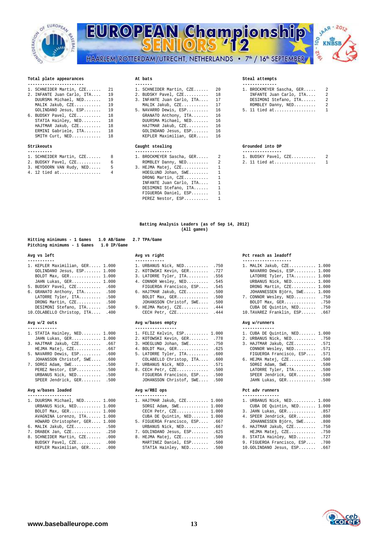

## **EUROPEAN Championship** 00  $-256$ HAARLEM/ROTTERDAM/UTRECHT, NETHERLANDS • 7<sup>th</sup> / 16<sup>th</sup> SEPTEMBER



## Total plate appearances **At bats**  $\overline{a}$  at bats  $\overline{b}$  steal attempts

| 1. SCHNEIDER Martin, CZE 21   | 1. SCHNEIDER Martin, CZE 20   | 1. BROCKMEYER Sascha, GER 2 |
|-------------------------------|-------------------------------|-----------------------------|
| 2. INFANTE Juan Carlo, ITA 19 | 2. BUDSKY Pavel, CZE 18       | INFANTE Juan Carlo, ITA 2   |
| DUURSMA Michael, NED 19       | 3. INFANTE Juan Carlo, ITA 17 | DESIMONI Stefano, ITA 2     |
| MALIK Jakub, CZE 19           | MALIK Jakub, CZE 17           | ROMBLEY Danny, NED 2        |
| GOLINDANO Jesus, ESP 19       | 5. NAVARRO Dewis, ESP 16      | 5. 11 tied at 1             |
| 6. BUDSKY Pavel, CZE 18       | GRANATO Anthony, ITA 16       |                             |
| STATIA Hainley, NED 18        | DUURSMA Michael, NED 16       |                             |
| $HAJTMAR Jakub. CZE.$ 18      | HAJTMAR Jakub, CZE 16         |                             |
| ERMINI Gabriele, ITA 18       | GOLINDANO Jesus, ESP 16       |                             |
| SMITH Curt, NED 18            | KEPLER Maximilian, GER 16     |                             |
|                               |                               |                             |

## Strikeouts

| 1. SCHNEIDER Martin, CZE 8  |  | 1. BROCKMEYER Sascha, GER 2 |  | 1. BUDSKY Pavel, CZE 2 |  |
|-----------------------------|--|-----------------------------|--|------------------------|--|
| 2. BUDSKY Pavel, CZE 6      |  |                             |  | 2. 11 tied at 1        |  |
| 3. HEYDOORN VAN Rudy, NED 5 |  | 3. HEJMA Matej, CZE 1       |  |                        |  |
| 4. 12 tied at 4             |  | HOEGLUND Johan, SWE 1       |  |                        |  |
|                             |  |                             |  |                        |  |

| -----------------------       |                                                         |                  |
|-------------------------------|---------------------------------------------------------|------------------|
|                               | 1. SCHNEIDER Martin, CZE 21 1. SCHNEIDER Martin, CZE 20 | 1. BROCKMEYER Sa |
| 2. INFANTE Juan Carlo, ITA 19 | 2. BUDSKY Pavel, CZE 18                                 | INFANTE Juan     |
| DUURSMA Michael, NED 19       | 3. INFANTE Juan Carlo, ITA 17                           | DESIMONI Stef    |
| MALIK Jakub, CZE 19           | MALIK Jakub, CZE 17                                     | ROMBLEY Danny    |
| GOLINDANO Jesus, ESP 19       | 5. NAVARRO Dewis, ESP 16                                | 5. 11 tied at    |
| 6. BUDSKY Pavel, CZE 18       | GRANATO Anthony, ITA 16                                 |                  |
| STATIA Hainley, NED 18        | DUURSMA Michael, NED 16                                 |                  |
| HAJTMAR Jakub, CZE 18         | HAJTMAR Jakub, CZE 16                                   |                  |
| ERMINI Gabriele, ITA 18       | GOLINDANO Jesus, ESP 16                                 |                  |
| SMITH Curt, NED 18            | KEPLER Maximilian, GER 16                               |                  |
| Strikeouts                    | Caught stealing                                         | Grounded into DP |

| 1. SCHNEIDER Martin, CZE 8 |       | 1. BROCKMEYER Sascha, GER 2 |  |
|----------------------------|-------|-----------------------------|--|
| 2. BUDSKY Pavel, CZE       | 6     | ROMBLEY Danny, NED 2        |  |
| 3. HEYDOORN VAN Rudy, NED  | 5 - 1 | $3.$ HEJMA Matej, $CZE$ 1   |  |
| 4. 12 tied at 4            |       | HOEGLUND Johan, $SWE$ 1     |  |
|                            |       | DRONG Martin, CZE 1         |  |
|                            |       | INFANTE Juan Carlo, ITA 1   |  |
|                            |       | DESIMONI Stefano, ITA 1     |  |
|                            |       | FIGUEROA Daniel, ESP 1      |  |
|                            |       | PEREZ Nestor, ESP           |  |

| 1. SCHNEIDER Martin, CZE 21   | 1. SCHNEIDER Martin, CZE 20   | 1. BROCKMEYER Sascha, GER 2 |  |
|-------------------------------|-------------------------------|-----------------------------|--|
| 2. INFANTE Juan Carlo, ITA 19 | 2. BUDSKY Pavel, CZE 18       | INFANTE Juan Carlo, ITA 2   |  |
| DUURSMA Michael, NED 19       | 3. INFANTE Juan Carlo, ITA 17 | DESIMONI Stefano, ITA 2     |  |
| MALIK Jakub, CZE 19           | MALIK Jakub, CZE 17           | ROMBLEY Danny, NED 2        |  |
| GOLINDANO Jesus, ESP 19       | 5. NAVARRO Dewis, ESP 16      | 5. 11 tied at 1             |  |

### **---------- --------------- ----------------**

|  | 1. BUDSKY Pavel, CZE |  |
|--|----------------------|--|
|  | 2. 11 tied at        |  |
|  |                      |  |

**Batting Analysis Leaders (as of Sep 14, 2012) (All games)** 

| Hitting minimums - 1 Games  | $1.0$ AB/Game |  |
|-----------------------------|---------------|--|
| Pitching minimums - 1 Games | $1.0$ IP/Game |  |

| 1. KEPLER Maximilian, GER 1.000         | 1. URBANUS Nick, NED .750      |  | 1. MALIK Jakub, CZE 1.000       |  |  |
|-----------------------------------------|--------------------------------|--|---------------------------------|--|--|
| GOLINDANO Jesus, ESP 1.000              | 2. KOTOWSKI Kevin, GER .727    |  | NAVARRO Dewis, ESP 1.000        |  |  |
| BOLDT $Max, GER, \ldots, \ldots, 1.000$ | 3. LATORRE Tyler, ITA .556     |  | LATORRE Tyler, ITA 1.000        |  |  |
| JAHN Lukas, GER 1.000                   | 4. CONNOR Wesley, NED .545     |  | URBANUS Nick, NED 1.000         |  |  |
| 5. BUDSKY Pavel, CZE .600               | FIGUEROA Francisco, ESP .545   |  | DRONG Martin, CZE 1.000         |  |  |
| 6. GRANATO Anthony, ITA .500            | $6.$ HAJTMAR Jakub, $CZE$ .500 |  | JOHANNESSEN Björn, SWE 1.000    |  |  |
| LATORRE Tyler, ITA .500                 | BOLDT Max, GER .500            |  | 7. CONNOR Wesley, NED .750      |  |  |
| DRONG Martin, CZE .500                  | JOHANSSON Christof, SWE .500   |  | BOLDT Max, GER .750             |  |  |
| DESIMONI Stefano, ITA .500              | 9. HEJMA Matej, CZE . 444      |  | CUBA DE Quintin, NED .750       |  |  |
| 10. COLABELLO Christop, ITA . 400       | CECH Petr, CZE .444            |  | 10. TAVAREZ Franklin, ESP . 667 |  |  |

| 1. STATIA Hainley, NED 1.000<br>JAHN Lukas, GER 1.000 |      |
|-------------------------------------------------------|------|
|                                                       |      |
| 3. HAJTMAR Jakub, CZE .667                            |      |
| HEJMA Matej, CZE .667                                 |      |
| 5. NAVARRO Dewis, ESP                                 | .600 |
| JOHANSSON Christof, SWE                               | .600 |
| 7. SORGI Adam, SWE                                    | .500 |
| PEREZ Nestor, ESP                                     | .500 |
| URBANUS Nick, NED                                     | .500 |
| SPEER Jendrick, GER                                   | .500 |

| 1. DUURSMA Michael, NED 1.000                   |  | 1. HAJTMAR Jakub, CZE 1.000      | 1. URBANUS Nick, NED 1.000  |
|-------------------------------------------------|--|----------------------------------|-----------------------------|
| URBANUS Nick, NED 1.000                         |  | SORGI Adam, SWE $1.000$          | CUBA DE Quintin, NED 1.000  |
| BOLDT $Max, GER, \ldots, \ldots, \ldots, 1.000$ |  | CECH Petr, $CZE$ $1.000$         | 3. JAHN Lukas, GER .857     |
| AVAGNINA Lorenzo, ITA 1.000                     |  | CUBA DE Quintin, NED 1.000       | 4. SPEER Jendrick, GER .800 |
| HOWARD Christopher, GER 1.000                   |  | 5. FIGUEROA Francisco, ESP . 667 | JOHANNESSEN Björn, SWE .800 |
| 6 MALTK Takub, CZE 500                          |  | IRRANIS Nick NED 667             | 6 HAJTMAR Jakub, CZE 150    |

- 
- KEPLER Maximilian, GER..... .000 STATIA Hainley, NED........ .500 10.GOLINDANO Jesus, ESP....... .667

**Hitting minimums - 1 Games 1.0 AB/Game 2.7 TPA/Game** 

| 1. URBANUS Nick, NED    | .750 |
|-------------------------|------|
| 2. KOTOWSKI Kevin, GER  | .727 |
| 3. LATORRE Tyler, ITA   | .556 |
| 4. CONNOR Wesley, NED   | .545 |
| FIGUEROA Francisco, ESP | .545 |
| 6. HAJTMAR Jakub, CZE   | .500 |
| BOLDT Max, GER          | .500 |
| JOHANSSON Christof, SWE | .500 |
| 9. HEJMA Matej, CZE     | .444 |
| CECH Petr, CZE          | .444 |
|                         |      |

## Avg w/2 outs **Avg w/bases empty** Avg w/runners

| ------------                 |                              |                               |
|------------------------------|------------------------------|-------------------------------|
| 1. STATIA Hainley, NED 1.000 | 1. FELIZ Kelvin, ESP 1.000   | 1. CUBA DE Quintin, NED 1.000 |
| JAHN Lukas, GER 1.000        | 2. KOTOWSKI Kevin, GER .778  | 2. URBANUS Nick, NED .750     |
| 3. HAJTMAR Jakub, CZE .667   | 3. HOEGLUND Johan, SWE .750  | 3. HAJTMAR Jakub, CZE .571    |
| HEJMA Matej, CZE .667        | 4. BOLDT Max, GER .625       | CONNOR Wesley, NED .571       |
| 5. NAVARRO Dewis, ESP .600   | 5. LATORRE Tyler, ITA .600   | FIGUEROA Francisco, ESP .571  |
| JOHANSSON Christof, SWE .600 | COLABELLO Christop, ITA .600 | 6. HEJMA Matej, CZE .500      |
| 7. SORGI Adam, SWE .500      | 7. URBANUS Nick, NED 571     | $SORGI$ Adam, $SWE$ .500      |
| PEREZ Nestor, ESP .500       | 8. CECH Petr, CZE .500       | LATORRE Tyler, ITA .500       |
| URBANUS Nick, NED 500        | FIGUEROA Francisco, ESP .500 | SPEER Jendrick, GER .500      |
| SPEER Jendrick, GER .500     | JOHANSSON Christof, SWE .500 | JAHN Lukas, GER 500           |
| Avg w/bases loaded           | Avg w/RBI ops                | Pct adv runners               |

## **------------------ ------------- ---------------**

| 1. DUURSMA Michael, NED 1.000<br>URBANUS Nick, NED 1.000 |  | 1. HAJTMAR Jakub, CZE 1.000<br>SORGI Adam, SWE $1.000$ | 1. URBANUS Nick, NED 1.000<br>CUBA DE Quintin, NED 1.000 |  |
|----------------------------------------------------------|--|--------------------------------------------------------|----------------------------------------------------------|--|
| BOLDT Max, $GER$ $1.000$                                 |  | CECH Petr, $CZE$ $1.000$                               | 3. JAHN Lukas, GER .857                                  |  |
| AVAGNINA Lorenzo, ITA 1.000                              |  | CUBA DE Quintin, NED 1.000                             | 4. SPEER Jendrick, GER .800                              |  |
| HOWARD Christopher, GER 1.000                            |  | 5. FIGUEROA Francisco, ESP . 667                       | JOHANNESSEN Björn, SWE .800                              |  |
| 6. MALIK Jakub, CZE .500                                 |  | URBANUS Nick, NED .667                                 | 6. HAJTMAR Jakub, CZE .750                               |  |
| 7. DRABEK Jan, CZE .250                                  |  | 7. GOLINDANO Jesus, ESP .625                           | HEJMA Matej, CZE .750                                    |  |
| 8. SCHNEIDER Martin, CZE .000                            |  | 8. HEJMA Matej, CZE .500                               | 8. STATIA Hainley, NED .727                              |  |
| BUDSKY Pavel, CZE .000                                   |  | MARTINEZ Daniel, ESP .500                              | 9. FIGUEROA Francisco, ESP .700                          |  |
| Maritian CFD 000                                         |  | CTATTA Uninlow NED 500                                 | 10 COLUMNANO LOGUS FCD 667                               |  |

## Avg vs left **Avg vs right** Pct reach as leadoff **Property** and the Property of the Property of the Property of the Property of the Property of the Property of the Property of the Property of the Property of the Property of

| 1. KEPLER Maximilian, GER 1.000<br>GOLINDANO Jesus, ESP 1.000<br>BOLDT Max, GER 1.000 |  | 1. URBANUS Nick, NED .750<br>2. KOTOWSKI Kevin, GER .727<br>3. LATORRE Tyler, ITA .556 |  | 1. MALIK Jakub, CZE 1.000<br>NAVARRO Dewis, ESP 1.000<br>LATORRE Tyler, ITA 1.000 |
|---------------------------------------------------------------------------------------|--|----------------------------------------------------------------------------------------|--|-----------------------------------------------------------------------------------|
| JAHN Lukas, GER 1.000<br>5. BUDSKY Pavel, CZE .600                                    |  | 4. CONNOR Wesley, NED .545<br>FIGUEROA Francisco, ESP .545                             |  | URBANUS Nick, NED 1.000<br>DRONG Martin, CZE 1.000                                |
| 6. GRANATO Anthony, ITA .500<br>LATORRE Tyler, ITA .500                               |  | 6. HAJTMAR Jakub, CZE .500<br>BOLDT Max, GER .500                                      |  | JOHANNESSEN Björn, SWE 1.000<br>7. CONNOR Wesley, NED .750                        |
| DRONG Martin, CZE .500<br>DESIMONI Stefano, ITA .500                                  |  | JOHANSSON Christof, SWE .500<br>9. HEJMA Matej, CZE . 444                              |  | BOLDT Max, GER .750<br>CUBA DE Quintin, NED .750                                  |
| 10. COLABELLO Christop, ITA . 400                                                     |  | CECH Petr, CZE .444                                                                    |  | 10. TAVAREZ Franklin, ESP . 667                                                   |

| 1. CUBA DE Quintin, NED 1.000 |      |
|-------------------------------|------|
| 2. URBANUS Nick, NED          | .750 |
| 3. HAJTMAR Jakub, CZE         | .571 |
| CONNOR Wesley, NED            | .571 |
| FIGUEROA Francisco, ESP       | .571 |
| 6. HEJMA Matej, CZE           | .500 |
| SORGI Adam, SWE               | .500 |
| LATORRE Tyler, ITA            | .500 |
| SPEER Jendrick, GER           | .500 |
| JAHN Lukas, GER               | .500 |
|                               |      |

|  | 1. URBANUS Nick, NED 1.000 |  |
|--|----------------------------|--|
|  | CUBA DE Ouintin, NED 1.000 |  |
|  | 3. JAHN Lukas, GER .857    |  |

- 4. SPEER Jendrick, GER........ .800 JOHANNESSEN Björn, SWE..... .800
- 
- 
- 
- 

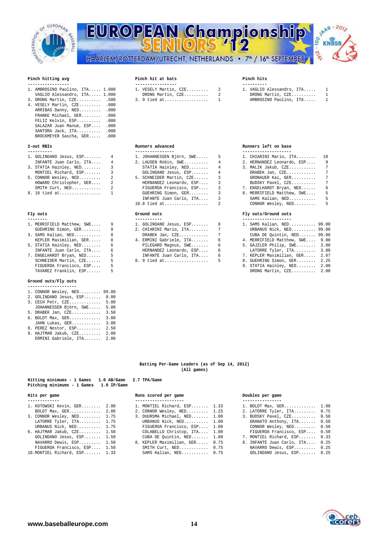

# EUROPEAN Championship oo HAARLEM/ROTTERDAM/UTRECHT, NETHERLANDS • 7<sup>th</sup> / 16<sup>th</sup> SEPTEMBER



## Pinch hitting avg

| 3. DRONG Martin, CZE 500 3.9 tied at 1 AMBROSINO Paolino, ITA 1 |  |  |  |  |
|-----------------------------------------------------------------|--|--|--|--|
| 4. VESELY Martin, CZE .000                                      |  |  |  |  |
| ARRIBAS Danny, NED .000                                         |  |  |  |  |
| FRANKE Michael, GER .000                                        |  |  |  |  |
| FELIZ Kelvin, ESP .000                                          |  |  |  |  |
| SALAZAR Juan Manue, ESP .000                                    |  |  |  |  |
| SANTORA Jack, ITA .000                                          |  |  |  |  |
| BROCKMEYER Sascha, GER .000                                     |  |  |  |  |

### $2$ -out RBTs

| INFANTE Juan Carlo, ITA |
|-------------------------|
| 3. STATIA Hainley, NED  |
| MONTIEL Richard, ESP    |
| 5. CONNOR Wesley, NED   |

- 
- 

- 
- 
- 
- 7. ENGELHARDT Bryan, NED...... 5 5 INFANTE Juan Carlo, ITA.... 6<br>SCHNEIDER Martin, CZE...... 5 8.9 tied at..................... 5 FIGUEROA Francisco, ESP.... TAVAREZ Franklin, ESP...... 5 DRONG Martin, CZE.......... 2.00

## **Ground outs/Fly outs**

- **--------------------**  1. CONNOR Wesley, NED......... 99.00
- 2. GOLINDANO Jesus, ESP....... 8.00
- 3. CECH Petr, CZE............. 5.00 JOHANNESSEN Björn, SWE..... 5.00
- 5. DRABEK Jan, CZE............ 3.50
- 6. BOLDT Max, GER............. 3.00
- JAHN Lukas, GER............ 3.00
- 8. PEREZ Nestor, ESP.......... 2.50
- 9. HAJTMAR Jakub, CZE......... 2.00 ERMINI Gabriele, ITA....... 2.00

## Pinch hit at bats **Pinch hits** Pinch hits

| -----------------               | ------------------        | ----------  |
|---------------------------------|---------------------------|-------------|
| 1. AMBROSINO Paolino, ITA 1.000 | 1. VESELY Martin, $CZE$ 2 | 1. VAGLIO A |
| VAGLIO Alessandro, ITA 1.000    | DRONG Martin, CZE 2       | DRONG Ma    |
| 3. DRONG Martin, CZE 500        |                           | AMBROSIN    |

| 1. VAGLIO Alessandro, ITA | 1            |
|---------------------------|--------------|
| DRONG Martin, CZE         | 1            |
| AMBROSINO Paolino, ITA    | $\mathbf{1}$ |

### **2-out RBIs Runners advanced Runners left on base**

| 1. GOLINDANO Jesus, ESP 4 | 1. JOHANNESSEN Björn, SWE 5 | 1. CHIARINI Mario, IT |
|---------------------------|-----------------------------|-----------------------|
| INFANTE Juan Carlo, ITA 4 | 2. LAUSEN Robin, SWE 4      | 2. HERNANDEZ Leonardo |
| 3. STATIA Hainley, NED 3  | STATIA Hainley, $NED$ 4     | 3. MALIK Jakub, CZE   |
| MONTIEL Richard, ESP 3    | GOLINDANO Jesus, ESP 4      | DRABEK Jan, CZE       |
| 5. CONNOR Wesley, NED 2   | 5. SCHNEIDER Martin, CZE 3  | GRONAUER Kai, GER.    |
| HOWARD Christopher, GER 2 | HERNANDEZ Leonardo, ESP 3   | BUDSKY Pavel, CZE.    |
| SMITH Curt, NED 2         | FIGUEROA Francisco, ESP 3   | 7. ENGELHARDT Bryan,  |
| 8. 16 tied at 1           | GUEHRING Simon, GER 3       | 8. MERRIFIELD Matthew |
|                           | INFANTE Juan Carlo, ITA 3   | SAMS Kalian, NED      |
|                           |                             | CONNOR Wesley, NED    |
| Fly outs                  | Ground outs                 | Fly outs/Ground outs  |
|                           |                             |                       |

- 1. MERRIFIELD Matthew, SWE.... 9 1. GOLINDANO Jesus, ESP....... 8<br>GUEHRING Simon, GER........ 9. 2. CHIARINI Mario, ITA............. 7 GUEHRING Simon, GER........ 9 2. CHIARINI Mario, ITA........ 7 URBANUS Nick, NED.......... 99.00 3. SAMS Kalian, NED........... 8 DRABEK Jan, CZE............ 7 CUBA DE Quintin, NED....... 99.00 4. ERMINI Gabriele, ITA.......
	- $\begin{array}{cc} 5 & 8.9 \text{ tied at.} \dots & \dots & \dots & \dots \\ 5 & 8.9 & 9.1 & 9.25 \end{array}$

| 1. GOLINDANO Jesus, ESP     4 | 1. JOHANNESSEN Björn, SWE 5  | 1. CHIARINI Mario, ITA 10    |  |
|-------------------------------|------------------------------|------------------------------|--|
| INFANTE Juan Carlo, ITA 4     | 2. LAUSEN Robin, SWE 4       | 2. HERNANDEZ Leonardo, ESP 9 |  |
| 3. STATIA Hainley, NED 3      | STATIA Hainley, NED 4        | 3. MALIK Jakub, CZE 7        |  |
| MONTIEL Richard, ESP 3        | $GOLINDANO$ Jesus, $ESP$ $4$ | DRABEK Jan, $CZE$ 7          |  |
| 5. CONNOR Wesley, NED 2       | 5. SCHNEIDER Martin, CZE 3   | GRONAUER Kai, GER 7          |  |
| HOWARD Christopher, GER 2     | HERNANDEZ Leonardo, ESP 3    | BUDSKY Pavel, CZE 7          |  |
| SMITH Curt, NED 2             | FIGUEROA Francisco, ESP 3    | 7. ENGELHARDT Bryan, NED 6   |  |
| 8. 16 tied at 1               | GUEHRING Simon, GER 3        | 8. MERRIFIELD Matthew, SWE 5 |  |
|                               | INFANTE Juan Carlo, ITA 3    | SAMS Kalian, NED 5           |  |
|                               |                              | CONNOR Wesley, $NED$ 5       |  |
|                               |                              |                              |  |

| 1. SAMS Kalian, NED 99.00<br>1. MERRIFIELD Matthew, SWE 9<br>1. GOLINDANO Jesus, ESP 8   |  |
|------------------------------------------------------------------------------------------|--|
|                                                                                          |  |
| URBANUS Nick, NED 99.00<br>GUEHRING Simon, GER 9<br>2. CHIARINI Mario, ITA 7             |  |
| CUBA DE Quintin, NED 99.00<br>3. SAMS Kalian, NED 8<br>DRABEK Jan, $CZE$ 7               |  |
| KEPLER Maximilian, GER 8<br>4. MERRIFIELD Matthew, SWE 9.00<br>4. ERMINI Gabriele, ITA 6 |  |
| 5. STATIA Hainley, NED 6<br>5. GAJZLER Philip, SWE 3.00<br>PILEGARD Magnus, SWE 6        |  |
| LATORRE Tyler, ITA 3.00<br>INFANTE Juan Carlo, ITA 6<br>HERNANDEZ Leonardo, ESP 6        |  |
| 7. KEPLER Maximilian, GER 2.67<br>INFANTE Juan Carlo, ITA 6                              |  |
| SCHNEIDER Martin, CZE 5<br>8. 9 tied at 5<br>8. GUEHRING Simon, GER 2.25                 |  |
| 9. STATIA Hainley, NED 2.00<br>FIGUEROA Francisco, ESP 5                                 |  |
| TAVAREZ Franklin, ESP<br>DRONG Martin, CZE 2.00<br>-5                                    |  |

### **Batting Per-Game Leaders (as of Sep 14, 2012) (All games)**

## **Hitting minimums - 1 Games 1.0 AB/Game 2.7 TPA/Game Pitching minimums - 1 Games 1.0 IP/Game**

### **Hits per game Runs scored per game Doubles per game**

| 1. KOTOWSKI Kevin, GER 2.00   | 1. MONTIEL Richard, ESP 1.33   | 1. BOLDT Max, GER 1.00          |  |
|-------------------------------|--------------------------------|---------------------------------|--|
| BOLDT Max, $GER$ 2.00         | 2. CONNOR Wesley, NED 1.25     | 2. LATORRE Tyler, ITA 0.75      |  |
| 3. CONNOR Wesley, NED 1.75    | 3. DUURSMA Michael, NED 1.00   | 3. BUDSKY Pavel, CZE 0.50       |  |
| LATORRE Tyler, ITA 1.75       | URBANUS Nick, NED 1.00         | GRANATO Anthony, ITA 0.50       |  |
| URBANUS Nick, NED 1.75        | FIGUEROA Francisco, ESP 1.00   | CONNOR Wesley, NED 0.50         |  |
| 6. HAJTMAR Jakub, CZE 1.50    | COLABELLO Christop, ITA 1.00   | FIGUEROA Francisco, ESP 0.50    |  |
| GOLINDANO Jesus, ESP 1.50     | CUBA DE Quintin, NED 1.00      | 7. MONTIEL Richard, ESP 0.33    |  |
| NAVARRO Dewis, ESP 1.50       | 8. KEPLER Maximilian, GER 0.75 | 8. INFANTE Juan Carlo, ITA 0.25 |  |
| FIGUEROA Francisco, ESP 1.50  | SMITH Curt, NED 0.75           | NAVARRO Dewis, ESP 0.25         |  |
| 10. MONTIEL Richard, ESP 1.33 | SAMS Kalian, NED 0.75          | GOLINDANO Jesus, ESP 0.25       |  |

- 
- 
- 
- 
- 
- 
- NAVARRO Dewis, ESP......... 0.25

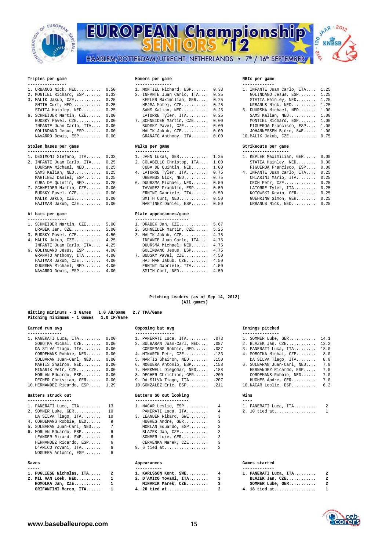

# EUROPEAN Championship HAARLEM/ROTTERDAM/UTRECHT, NETHERLANDS • 7<sup>th</sup> / 16<sup>th</sup> SEPTEMBER



## **Triples per game Homers per game RBIs per game**

- 
- 
- STATIA Hainley, NED......... 0.25 6. SCHNEIDER Martin, CZE...... 0.00
- **Stolen bases per game Walks per game Strikeouts per game**

## **--------------------- -------------- -------------------**

| 1. DESIMONI Stefano, ITA   | 0.33 |
|----------------------------|------|
| 2. INFANTE Juan Carlo, ITA | 0.25 |
| DUURSMA Michael, NED       | 0.25 |
| SAMS Kalian, NED           | 0.25 |
| MARTINEZ Daniel, ESP       | 0.25 |
| CUBA DE Quintin, NED       | 0.25 |
| 7. SCHNEIDER Martin, CZE   | 0.00 |
| BUDSKY Pavel, CZE          | 0.00 |
| MALIK Jakub, CZE           | 0.00 |
|                            |      |

| 1. SCHNEIDER Martin, CZE 5.00 | 1. DRABEK Jan. CZE 5.67       |  |
|-------------------------------|-------------------------------|--|
| DRABEK Jan, $CZE$ 5.00        | 2. SCHNEIDER Martin, CZE 5.25 |  |
| 3. BUDSKY Pavel, CZE 4.50     | 3. MALIK Jakub, CZE 4.75      |  |
| 4. MALIK Jakub, CZE 4.25      | INFANTE Juan Carlo, ITA 4.75  |  |
| INFANTE Juan Carlo, ITA 4.25  | DUURSMA Michael, NED 4.75     |  |

| 1. URBANUS Nick, NED 0.50     |  | 1. MONTIEL Richard, ESP 0.33    |  |
|-------------------------------|--|---------------------------------|--|
| 2. MONTIEL Richard, ESP 0.33  |  | 2. INFANTE Juan Carlo, ITA 0.25 |  |
| 3. MALIK Jakub, CZE 0.25      |  | KEPLER Maximilian, GER 0.25     |  |
| SMITH Curt, NED 0.25          |  | HEJMA Matej, CZE 0.25           |  |
| STATIA Hainley, NED 0.25      |  | SAMS Kalian, NED 0.25           |  |
| 6. SCHNEIDER Martin, CZE 0.00 |  | LATORRE Tyler, ITA 0.25         |  |
| BUDSKY Pavel, CZE 0.00        |  | 7. SCHNEIDER Martin, CZE 0.00   |  |
| INFANTE Juan Carlo, ITA 0.00  |  | BUDSKY Pavel, CZE 0.00          |  |
| GOLINDANO Jesus, ESP 0.00     |  | MALIK Jakub, CZE 0.00           |  |
| NAVARRO Dewis, ESP 0.00       |  | GRANATO Anthony, ITA 0.00       |  |
|                               |  |                                 |  |

| DESIMONI Stefano, ITA 0.33   |  | 1. JAHN Lukas, GER 1.25                 |  | 1. KEPLER Maximilian, GER 0.00  |  |
|------------------------------|--|-----------------------------------------|--|---------------------------------|--|
| INFANTE Juan Carlo, ITA 0.25 |  | 2. COLABELLO Christop, ITA 1.00         |  | STATIA Hainley, NED 0.00        |  |
| DUURSMA Michael, NED 0.25    |  | CUBA DE Quintin, NED 1.00               |  | FIGUEROA Francisco, ESP 0.00    |  |
| SAMS Kalian, NED 0.25        |  | 4. LATORRE Tyler, ITA 0.75              |  | 4. INFANTE Juan Carlo, ITA 0.25 |  |
| MARTINEZ Daniel, ESP 0.25    |  | URBANUS Nick, NED 0.75                  |  | CHIARINI Mario, ITA 0.25        |  |
| CUBA DE Quintin, NED 0.25    |  | 6. DUURSMA Michael, NED 0.50            |  | CECH Petr, CZE 0.25             |  |
| SCHNEIDER Martin, CZE 0.00   |  | TAVAREZ Franklin, ESP 0.50              |  | LATORRE Tyler, ITA 0.25         |  |
| BUDSKY Pavel, CZE 0.00       |  | ERMINI Gabriele, ITA 0.50               |  | KOTOWSKI Kevin, GER 0.25        |  |
| MALIK Jakub, CZE 0.00        |  | SMITH $Curt, NED, \ldots, \ldots, 0.50$ |  | GUEHRING Simon, GER 0.25        |  |
| HAJTMAR Jakub, CZE 0.00      |  | MARTINEZ Daniel, ESP 0.50               |  | URBANUS Nick, NED 0.25          |  |
|                              |  |                                         |  |                                 |  |

### **At bats per game Plate appearances/game**

| 1. SCHNEIDER Martin, CZE     | 5.00 | 1. DRABEK Jan, CZE           | 5.67 |
|------------------------------|------|------------------------------|------|
| DRABEK Jan, $CZE$ 5.00       |      | 2. SCHNEIDER Martin, CZE     | 5.25 |
| 3. BUDSKY Pavel, CZE 4.50    |      | 3. MALIK Jakub, CZE 4.75     |      |
| 4. MALIK Jakub, CZE 4.25     |      | INFANTE Juan Carlo, ITA 4.75 |      |
| INFANTE Juan Carlo, ITA 4.25 |      | DUURSMA Michael, NED 4.75    |      |
| 6. GOLINDANO Jesus, ESP 4.00 |      | GOLINDANO Jesus, ESP 4.75    |      |
| GRANATO Anthony, ITA 4.00    |      | 7. BUDSKY Pavel, CZE 4.50    |      |
| HAJTMAR Jakub, CZE 4.00      |      | HAJTMAR Jakub, CZE 4.50      |      |
| DUURSMA Michael, NED 4.00    |      | ERMINI Gabriele, ITA 4.50    |      |
| NAVARRO Dewis, ESP 4.00      |      | SMITH $Curt, NED$ 4.50       |      |
|                              |      |                              |      |

### **Pitching Leaders (as of Sep 14, 2012) (All games)**

| Pitching minimums - 1 Games<br>$1.0$ IP/Game |  |                                 |  |                                |     |  |  |  |
|----------------------------------------------|--|---------------------------------|--|--------------------------------|-----|--|--|--|
| Earned run avg                               |  | Opposing bat avg                |  | Innings pitched                |     |  |  |  |
| -------------                                |  | ----------------                |  | ---------------                |     |  |  |  |
| 1. PANERATI Luca, ITA 0.00                   |  | 1. PANERATI Luca, ITA . 073     |  | 1. SOMMER Luke, GER 14.1       |     |  |  |  |
| SOBOTKA Michal, $CZE$ $0.00$                 |  | 2. SULBARAN Juan-Carl, NED .087 |  | 2. BLAZEK Jan, CZE 13.2        |     |  |  |  |
| DA SILVA Tiago, ITA 0.00                     |  | CORDEMANS Robbie, NED .087      |  | 3. PANERATI Luca, ITA 13.0     |     |  |  |  |
| CORDEMANS Robbie, NED 0.00                   |  | 4. MINARIK Petr, CZE . 133      |  | 4. SOBOTKA Michal, CZE 8.0     |     |  |  |  |
| SULBARAN Juan-Carl, NED 0.00                 |  | 5. MARTIS Shairon, NED .150     |  | DA SILVA Tiago, ITA 8.0        |     |  |  |  |
| MARTIS Shairon, NED 0.00                     |  | 6. NOGUERA Antonio, ESP . 158   |  | 6. SULBARAN Juan-Carl, NED 7.0 |     |  |  |  |
| MINARIK Petr, CZE 0.00                       |  | 7. MARKWELL Diegomar, NED .188  |  | HERNANDEZ Ricardo, ESP 7.0     |     |  |  |  |
| MORLAN Eduardo, ESP 0.00                     |  | 8. DECHER Christian, GER . 200  |  | CORDEMANS Robbie, NED 7.0      |     |  |  |  |
| DECHER Christian, GER 0.00                   |  | 9. DA SILVA Tiago, ITA . 207    |  | HUGHES André, GER              | 7.0 |  |  |  |
| 10.HERNANDEZ Ricardo, ESP 1.29               |  | $10.GONZALEZ$ Eric. $ESP$ .211  |  | 10. NACAR Leslie, ESP          | 6.2 |  |  |  |
| Batters struck out                           |  | Batters SO out looking          |  | Wins                           |     |  |  |  |

**Hitting minimums - 1 Games 1.0 AB/Game 2.7 TPA/Game** 

| -------------------      |  |
|--------------------------|--|
| 1. PANERATI Luca, ITA 13 |  |
| 2. SOMMER Luke, GER 10   |  |

- DA SILVA Tiago, ITA........ 10 4. CORDEMANS Robbie, NED....... 9
- 5. SULBARAN Juan-Carl, NED.... 7 MORLAN Eduardo, ESP........ 3

| 6. MORLAN Eduardo, ESP | 6  |
|------------------------|----|
| LEANDER Rikard, SWE    | 6  |
| HERNANDEZ Ricardo, ESP | 6. |
| D'AMICO Yovani, ITA    | 6  |
| NOGUERA Antonio, ESP   | 6  |
|                        |    |

| 1. PUGLIESE Nicholas, ITA | 2  |
|---------------------------|----|
| 2. MIL VAN Loek, NED      | 1  |
| HOMOLKA Jan, CZE          | 1. |
| ATATI111T11T11TT1T1T1     |    |

### **Earned run avg Opposing bat avg Innings pitched**

| 1. PANERATI Luca, ITA      | .073 |
|----------------------------|------|
| 2. SULBARAN Juan-Carl, NED | .087 |
| CORDEMANS Robbie, NED      | .087 |
| 4. MINARIK Petr, CZE       | .133 |
| 5. MARTIS Shairon, NED     | .150 |
| 6. NOGUERA Antonio, ESP    | .158 |
| 7. MARKWELL Diegomar, NED  | .188 |
| 8. DECHER Christian, GER   | .200 |
| 9. DA SILVA Tiago, ITA     | .207 |
| 10. GONZALEZ Eric, ESP     | .211 |

| 1. PANERATI Luca, ITA 13   |   | 1. NACAR Leslie, $ESP$ 4       |  |
|----------------------------|---|--------------------------------|--|
| 2. SOMMER Luke, GER 10     |   | PANERATI Luca, ITA<br>4        |  |
| DA SILVA Tiago, ITA 10     |   | 3. LEANDER Rikard, SWE<br>3    |  |
| 4. CORDEMANS Robbie, NED   | 9 | HUGHES André, GER<br>3         |  |
| 5. SULBARAN Juan-Carl, NED |   | MORLAN Eduardo, ESP<br>3       |  |
| 6. MORLAN Eduardo, ESP     | 6 | BLAZEK Jan, CZE<br>3           |  |
| LEANDER Rikard, SWE        | 6 | SOMMER Luke, GER               |  |
| HERNANDEZ Ricardo, ESP     | 6 | CERVENKA Marek, CZE<br>3       |  |
| D'AMICO Yovani, ITA        | 6 | 9. 6 tied at<br>$\overline{2}$ |  |
|                            |   |                                |  |

| Saves |                             |  | Appearances                | Games started |                         |  |
|-------|-----------------------------|--|----------------------------|---------------|-------------------------|--|
|       | ------                      |  |                            |               |                         |  |
|       | 1. PUGLIESE Nicholas, ITA 2 |  | 1. KARLSSON Kent, SWE 4    |               | 1. PANERATI Luca, ITA 2 |  |
|       | $2.$ MIL VAN Loek, NED $1$  |  | 2. D'AMICO Yovani, ITA $3$ |               | BLAZEK Jan, CZE 2       |  |
|       | $HOMOLKA$ Jan, $CZE$ 1      |  | MINARIK Marek, CZE 3       |               | $SOMMER$ Luke, $GER$ 2  |  |
|       | GRIFANTINI Marco, ITA 1     |  | 4. 20 tied at 2            |               | 4. 18 tied at 1         |  |

|  |                                                                                                                                                                                                                                                                                              |  |                                                                                                                                                                                                                                                                                              | URBANUS Nick, NED 1.25       |                                                                                                                                                      |
|--|----------------------------------------------------------------------------------------------------------------------------------------------------------------------------------------------------------------------------------------------------------------------------------------------|--|----------------------------------------------------------------------------------------------------------------------------------------------------------------------------------------------------------------------------------------------------------------------------------------------|------------------------------|------------------------------------------------------------------------------------------------------------------------------------------------------|
|  |                                                                                                                                                                                                                                                                                              |  |                                                                                                                                                                                                                                                                                              |                              |                                                                                                                                                      |
|  |                                                                                                                                                                                                                                                                                              |  |                                                                                                                                                                                                                                                                                              | SAMS Kalian, NED 1.00        |                                                                                                                                                      |
|  |                                                                                                                                                                                                                                                                                              |  |                                                                                                                                                                                                                                                                                              | MONTIEL Richard, ESP 1.00    |                                                                                                                                                      |
|  |                                                                                                                                                                                                                                                                                              |  |                                                                                                                                                                                                                                                                                              | FIGUEROA Francisco, ESP 1.00 |                                                                                                                                                      |
|  |                                                                                                                                                                                                                                                                                              |  |                                                                                                                                                                                                                                                                                              | JOHANNESSEN Björn, SWE 1.00  |                                                                                                                                                      |
|  |                                                                                                                                                                                                                                                                                              |  |                                                                                                                                                                                                                                                                                              |                              |                                                                                                                                                      |
|  |                                                                                                                                                                                                                                                                                              |  |                                                                                                                                                                                                                                                                                              |                              |                                                                                                                                                      |
|  | 1. URBANUS Nick, NED 0.50<br>2. MONTIEL Richard, ESP 0.33<br>3. MALIK Jakub, CZE 0.25<br>SMITH Curt, NED 0.25<br>STATIA Hainley, NED 0.25<br>6. SCHNEIDER Martin, CZE 0.00<br>BUDSKY Pavel, CZE 0.00<br>INFANTE Juan Carlo, ITA 0.00<br>GOLINDANO Jesus, ESP 0.00<br>NAVARRO Dewis, ESP 0.00 |  | 1. MONTIEL Richard, ESP 0.33<br>2. INFANTE Juan Carlo, ITA 0.25<br>KEPLER Maximilian, GER 0.25<br>HEJMA Matej, CZE 0.25<br>SAMS Kalian, NED 0.25<br>LATORRE Tyler, ITA 0.25<br>7. SCHNEIDER Martin, CZE 0.00<br>BUDSKY Pavel, CZE 0.00<br>MALIK Jakub, CZE 0.00<br>GRANATO Anthony, ITA 0.00 |                              | 1. INFANTE Juan Carlo, ITA 1.25<br>GOLINDANO Jesus, ESP 1.25<br>STATIA Hainley, NED 1.25<br>5. DUURSMA Michael, NED 1.00<br>10.MALIK Jakub, CZE 0.75 |

| ---------------------           |                                 |                                                                                                                                                                                                                                                                                                                                    |  |
|---------------------------------|---------------------------------|------------------------------------------------------------------------------------------------------------------------------------------------------------------------------------------------------------------------------------------------------------------------------------------------------------------------------------|--|
| 1. DESIMONI Stefano, ITA 0.33   | 1. JAHN Lukas, GER 1.25         | 1. KEPLER Maximilian, GER 0.00                                                                                                                                                                                                                                                                                                     |  |
| 2. INFANTE Juan Carlo, ITA 0.25 | 2. COLABELLO Christop, ITA 1.00 | STATIA Hainley, NED 0.00                                                                                                                                                                                                                                                                                                           |  |
| DUURSMA Michael, NED 0.25       | CUBA DE Quintin, NED 1.00       | FIGUEROA Francisco, ESP 0.00                                                                                                                                                                                                                                                                                                       |  |
| SAMS Kalian, NED 0.25           | 4. LATORRE Tyler, ITA 0.75      | 4. INFANTE Juan Carlo, ITA 0.25                                                                                                                                                                                                                                                                                                    |  |
| MARTINEZ Daniel, ESP 0.25       | URBANUS Nick, NED 0.75          | CHIARINI Mario, ITA 0.25                                                                                                                                                                                                                                                                                                           |  |
| CUBA DE Quintin, NED 0.25       | 6. DUURSMA Michael, NED 0.50    | CECH Petr, $CZE$ 0.25                                                                                                                                                                                                                                                                                                              |  |
| 7. SCHNEIDER Martin, CZE 0.00   | TAVAREZ Franklin, ESP 0.50      | LATORRE Tyler, $ITA$ $0.25$                                                                                                                                                                                                                                                                                                        |  |
| BUDSKY Pavel, CZE 0.00          | ERMINI Gabriele, ITA 0.50       | KOTOWSKI Kevin, GER 0.25                                                                                                                                                                                                                                                                                                           |  |
| MALIK Jakub, CZE 0.00           | SMITH $Curt, NED$ $0.50$        | GUEHRING Simon, GER 0.25                                                                                                                                                                                                                                                                                                           |  |
| $\mathbf{r}$                    | $\frac{1}{2}$                   | $\mathbf{r}$ $\mathbf{r}$ $\mathbf{r}$ $\mathbf{r}$ $\mathbf{r}$ $\mathbf{r}$ $\mathbf{r}$ $\mathbf{r}$ $\mathbf{r}$ $\mathbf{r}$ $\mathbf{r}$ $\mathbf{r}$ $\mathbf{r}$ $\mathbf{r}$ $\mathbf{r}$ $\mathbf{r}$ $\mathbf{r}$ $\mathbf{r}$ $\mathbf{r}$ $\mathbf{r}$ $\mathbf{r}$ $\mathbf{r}$ $\mathbf{r}$ $\mathbf{r}$ $\mathbf{$ |  |

| 1. SOMMER Luke, GER        | 14.1 |
|----------------------------|------|
| 2. BLAZEK Jan, CZE         | 13.2 |
| 3. PANERATI Luca, ITA      | 13.0 |
| 4. SOBOTKA Michal, CZE     | 8.0  |
| DA SILVA Tiago, ITA        | 8.0  |
| 6. SULBARAN Juan-Carl, NED | 7.0  |
| HERNANDEZ Ricardo, ESP     | 7.0  |
| CORDEMANS Robbie, NED      | 7.0  |
| HUGHES André, GER          | 7.0  |
| 10.NACAR Leslie, ESP       | 6.2  |
|                            |      |
|                            |      |

| -----------------        | ---------------------  | ----                  |  |
|--------------------------|------------------------|-----------------------|--|
| 1. PANERATI Luca, ITA 13 | 1. NACAR Leslie, ESP 4 | 1. PANERATI Luca, ITA |  |
| 2. SOMMER Luke, GER 10   | PANERATI Luca, ITA 4   | 2. 10 tied at 1       |  |

|                | ------------          |   |
|----------------|-----------------------|---|
|                | 1. PANERATI Luca, ITA | 2 |
|                | BLAZEK Jan, CZE       | 2 |
|                | SOMMER Luke, GER      | 2 |
| $\blacksquare$ | $-10.11.1$            |   |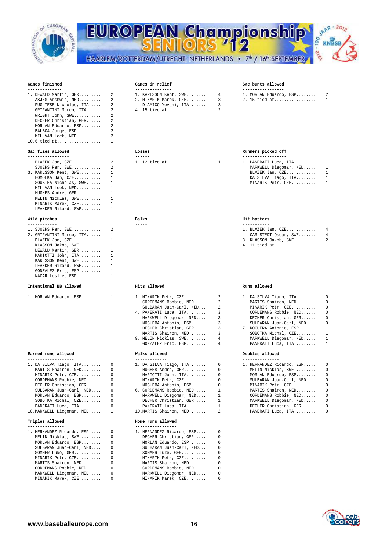

# EUROPEAN Championship HAARLEM/ROTTERDAM/UTRECHT, NETHERLANDS • 7<sup>th</sup> / 16<sup>th</sup> SEPTEMBER



## Games finished

| 1. DEWALD Martin, GER  | 2                       |
|------------------------|-------------------------|
| ASJES Arshwin, NED     | $\mathfrak{D}$          |
| PUGLIESE Nicholas, ITA | $\mathfrak{D}$          |
| GRIFANTINI Marco, ITA  | $\mathfrak{D}$          |
| WRIGHT John, SWE       | $\overline{\mathbf{c}}$ |
| DECHER Christian, GER  | $\mathfrak{D}$          |
| MORLAN Eduardo, ESP    | $\overline{\mathbf{c}}$ |
| BALBOA Jorge, ESP      | $\mathfrak{D}$          |
| MIL VAN Loek, NED      | $\mathfrak{D}$          |
| 10.6 tied at           |                         |

## Sac flies allowed

|                         | 1. BLAZEK Jan, CZE 2 1. 12 tied at 1 1. PANERATI Luca, I |                  |
|-------------------------|----------------------------------------------------------|------------------|
| SJOERS Per, SWE 2       |                                                          | MARKWELL Diegoma |
| 3. KARLSSON Kent, SWE 1 |                                                          | BLAZEK Jan, CZE. |
| $HOMOLKA$ Jan, $CZE$ 1  |                                                          | DA SILVA Tiago,  |
| SOUBIEA Nicholas, SWE 1 |                                                          | MINARIK Petr, CZ |
| MIL VAN Loek, NED 1     |                                                          |                  |
| HUGHES André, GER 1     |                                                          |                  |
| MELIN Nicklas, SWE 1    |                                                          |                  |
| MINARIK Marek, CZE      |                                                          |                  |
| LEANDER Rikard, $SWE$   |                                                          |                  |

## **Wild pitches Balks Hit batters**

| 1. SJOERS Per, SWE       | 2 |
|--------------------------|---|
| 2. GRIFANTINI Marco, ITA | 1 |
| BLAZEK Jan, CZE          | 1 |
| KLASSON Jakob, SWE       | 1 |
| DEWALD Martin, GER       | 1 |
| MARIOTTI John, ITA       | 1 |
| KARLSSON Kent, SWE       | 1 |
| LEANDER Rikard, SWE      | 1 |
| GONZALEZ Eric, ESP       | 1 |
| NACAR Leslie, ESP        |   |

## **Intentional BB allowed Hits allowed Runs allowed**

| 1. DA SILVA Tiago, ITA     |
|----------------------------|
| MARTIS Shairon, NED        |
| MINARIK Petr, CZE          |
| CORDEMANS Robbie, NED      |
| DECHER Christian, GER      |
| SULBARAN Juan-Carl, NED    |
| MORLAN Eduardo, ESP        |
| SOBOTKA Michal, CZE        |
| PANERATI Luca, ITA         |
| 10. MARKWELL Diegomar, NED |
|                            |

## Triples allowed

| 1. HERNANDEZ Ricardo, ESP  0 |          | 1. HERNANDEZ Ricardo, ESP 0 |  |
|------------------------------|----------|-----------------------------|--|
| MELIN Nicklas, SWE 0         |          | DECHER Christian, GER       |  |
| MORLAN Eduardo, ESP          | $\Omega$ | MORLAN Eduardo, ESP         |  |
| SULBARAN Juan-Carl, NED      | $\Omega$ | SULBARAN Juan-Carl, NED     |  |
| SOMMER Luke, GER             | $\Omega$ | SOMMER Luke, GER            |  |
| MINARIK Petr, CZE            | $\Omega$ | MINARIK Petr, CZE           |  |
| MARTIS Shairon, NED          | $\Omega$ | MARTIS Shairon, NED         |  |
| CORDEMANS Robbie, NED        | $\Omega$ | CORDEMANS Robbie, NED       |  |
| MARKWELL Diegomar, NED       | $\Omega$ | MARKWELL Diegomar, NED      |  |
| MINARIK Marek, CZE           |          | MINARIK Marek, CZE          |  |
|                              |          |                             |  |

## Games in relief Sac bunts allowed

| 1. DEWALD Martin, GER 2        | 1. KARLSSON Kent, SWE     4  | 1. MORLAN Eduardo, ESP 2 |  |
|--------------------------------|------------------------------|--------------------------|--|
| ASJES Arshwin, NED 2           | 2. MINARIK Marek, CZE      3 | 2. 15 tied at 1          |  |
| PUGLIESE Nicholas, ITA 2       | D'AMICO Yovani, ITA 3        |                          |  |
| GRIFANTINI Marco, ITA  2       |                              |                          |  |
| $MDTOMIP = Tobm = QMP$ and $Q$ |                              |                          |  |

|  | MORLAN Eduardo. i | <b>FSP</b> |
|--|-------------------|------------|

| 1. BLAZEK Jan, CZE      2 | 1. 12 tied at  1 | 1. PANERATI Luca, ITA |  |
|---------------------------|------------------|-----------------------|--|
|                           |                  |                       |  |

**------------ ----- -----------** 

| 1. MORLAN Eduardo, ESP 1 |  | 1. MINARIK Petr, CZE 2    |                 | 1. DA SILVA T |
|--------------------------|--|---------------------------|-----------------|---------------|
|                          |  | CORDEMANS Robbie, NED 2   |                 | MARTIS Sha    |
|                          |  | SULBARAN Juan-Carl, NED 2 |                 | MINARIK Pe    |
|                          |  | 4. PANERATI Luca, ITA 3   |                 | CORDEMANS     |
|                          |  | MARKWELL Diegomar, NED    |                 | DECHER Chr    |
|                          |  |                           |                 | SULBARAN J    |
|                          |  | DECHER Christian, GER 3   |                 | 7. NOGUERA An |
|                          |  | MARTIS Shairon, NED       |                 | SOBOTKA Mi    |
|                          |  | 9. MELIN Nicklas, SWE     | $4\overline{ }$ | MARKWELL D    |
|                          |  | GONZALEZ Eric, ESP        |                 | PANERATI L    |

| -------------------         |                            | ---------------  |
|-----------------------------|----------------------------|------------------|
| 1. DA SILVA Tiago, ITA $0$  | 1. DA SILVA Tiago, ITA $0$ | 1. HERNANDEZ Ric |
| MARTIS Shairon, NED 0       | HUGHES André, GER 0        | MELIN Nicklas    |
| MINARIK Petr, CZE 0         | MARIOTTI John, ITA  0      | MORLAN Eduard    |
| CORDEMANS Robbie, NED 0     | MINARIK Petr, CZE 0        | SULBARAN Juan    |
| DECHER Christian, GER 0     | NOGUERA Antonio, ESP 0     | MINARIK Petr,    |
| SULBARAN Juan-Carl, NED 0   | 6. CORDEMANS Robbie, NED 1 | MARTIS Shairo    |
| MORLAN Eduardo, ESP 0       | MARKWELL Diegomar, NED 1   | CORDEMANS Rob    |
| SOBOTKA Michal, CZE 0       | DECHER Christian, GER 1    | MARKWELL Dieg    |
| PANERATI Luca, ITA 0        | PANERATI Luca, ITA  1      | DECHER Christ    |
| 10.MARKWELL Diegomar, NED 1 | 10. MARTIS Shairon, NED 2  | PANERATI Luca    |
|                             |                            |                  |

## **Triples allowed Home runs allowed**

| 1. HERNANDEZ Ricardo, ESP |
|---------------------------|
| DECHER Christian, GER     |
| MORLAN Eduardo, ESP       |
| SULBARAN Juan-Carl, NED   |
| SOMMER Luke, GER          |
| MINARIK Petr, CZE         |
| MARTIS Shairon, NED       |
| CORDEMANS Robbie, NED     |
| MARKWELL Diegomar, NED    |
| MINARIK Marek, CZE        |

### Losses **Runners** picked off

|                         | 1. BLAZEK Jan, CZE       2              1. 12 tied at      1 | 1. PANERATI Luca, ITA $1$ |
|-------------------------|--------------------------------------------------------------|---------------------------|
|                         |                                                              | MARKWELL Diegomar, NED 1  |
| 3. KARLSSON Kent, SWE 1 |                                                              | BLAZEK Jan, CZE 1         |
| $HOMOLKA$ Jan, $CZE$ 1  |                                                              | DA SILVA Tiago, ITA 1     |
| SOUBIEA Nicholas, SWE 1 |                                                              | MINARIK Petr, CZE 1       |
|                         |                                                              |                           |

| 1. SJOERS Per, SWE 2           |  | 1. BLAZEK Jan, $CZE$ 4 |  |
|--------------------------------|--|------------------------|--|
| 2. GRIFANTINI Marco, ITA     1 |  | CARLSTEDT Oscar, SWE 4 |  |
| BLAZEK Jan, CZE 1              |  |                        |  |
| KLASSON Jakob, SWE  1          |  | 4. 11 tied at 1        |  |
| DEWALD Martin, GER 1           |  |                        |  |

| Earned runs allowed                                                    | Walks allowed             | Doubles allowed            |  |
|------------------------------------------------------------------------|---------------------------|----------------------------|--|
|                                                                        | GONZALEZ Eric, ESP 4      | PANERATI Luca, ITA 1       |  |
|                                                                        | 9. MELIN Nicklas, SWE 4   | MARKWELL Diegomar, NED 1   |  |
|                                                                        | MARTIS Shairon, NED 3     | SOBOTKA Michal, $CZE$ 1    |  |
|                                                                        | DECHER Christian, GER 3   | 7. NOGUERA Antonio, ESP 1  |  |
|                                                                        | NOGUERA Antonio, ESP 3    | SULBARAN Juan-Carl, NED 0  |  |
|                                                                        | MARKWELL Diegomar, NED 3  | DECHER Christian, GER 0    |  |
|                                                                        | 4. PANERATI Luca, ITA 3   | CORDEMANS Robbie, NED 0    |  |
|                                                                        | SULBARAN Juan-Carl, NED 2 | MINARIK Petr, CZE 0        |  |
|                                                                        | CORDEMANS Robbie, NED 2   | MARTIS Shairon, NED 0      |  |
| 1. MORLAN Eduardo, ESP      1              1. MINARIK Petr, CZE      2 |                           | 1. DA SILVA Tiago, ITA $0$ |  |
|                                                                        |                           |                            |  |

| 1. DA SILVA Tiago, ITA 0    | 1. DA SILVA Tiago, ITA $0$ | 1. HERNANDEZ Ricardo, ESP 0 |  |
|-----------------------------|----------------------------|-----------------------------|--|
| MARTIS Shairon, NED 0       | HUGHES André, GER 0        | MELIN Nicklas, SWE 0        |  |
| MINARIK Petr, CZE 0         | MARIOTTI John, ITA 0       | MORLAN Eduardo, ESP 0       |  |
| CORDEMANS Robbie, NED 0     | MINARIK Petr, CZE 0        | SULBARAN Juan-Carl, NED 0   |  |
| DECHER Christian, GER 0     | NOGUERA Antonio, ESP 0     | MINARIK Petr, CZE 0         |  |
| SULBARAN Juan-Carl, NED 0   | 6. CORDEMANS Robbie, NED 1 | MARTIS Shairon, NED 0       |  |
| MORLAN Eduardo, ESP 0       | MARKWELL Diegomar, NED 1   | CORDEMANS Robbie, NED 0     |  |
| SOBOTKA Michal, $CZE$ 0     | DECHER Christian, GER 1    | MARKWELL Diegomar, NED 0    |  |
| PANERATI Luca, ITA 0        | PANERATI Luca, ITA 1       | DECHER Christian, GER 0     |  |
| 10.MARKWELL Diegomar, NED 1 | 10. MARTIS Shairon, NED 2  | PANERATI Luca, ITA 0        |  |
|                             |                            |                             |  |

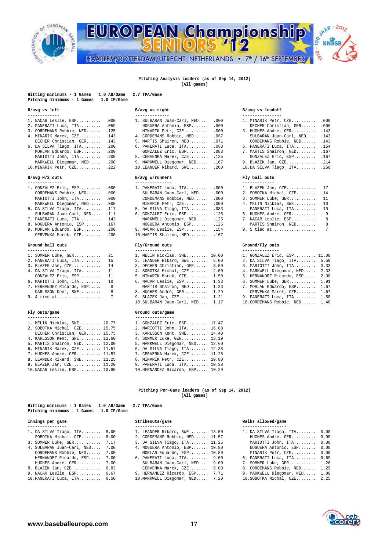

# EUROPEAN Championship 1.216 HAARLEM/ROTTERDAM/UTRECHT, NETHERLANDS • 7<sup>th</sup> / 16<sup>th</sup> SEPTEMBER

## **Pitching Analysis Leaders (as of Sep 14, 2012)**

**(All games)** 

| Hitting minimums - 1 Games<br>1.0 AB/Game<br>Pitching minimums - 1 Games<br>$1.0$ IP/Game                                                                                                                                                                                                                                                                  | 2.7 TPA/Game                                                                                                                                                                                                                                                                                                                                                    |                                                                                                                                                                                                                                                                                                                                                          |
|------------------------------------------------------------------------------------------------------------------------------------------------------------------------------------------------------------------------------------------------------------------------------------------------------------------------------------------------------------|-----------------------------------------------------------------------------------------------------------------------------------------------------------------------------------------------------------------------------------------------------------------------------------------------------------------------------------------------------------------|----------------------------------------------------------------------------------------------------------------------------------------------------------------------------------------------------------------------------------------------------------------------------------------------------------------------------------------------------------|
| B/avg vs left                                                                                                                                                                                                                                                                                                                                              | B/avg vs right                                                                                                                                                                                                                                                                                                                                                  | B/avg vs leadoff                                                                                                                                                                                                                                                                                                                                         |
| 1. NACAR Leslie, ESP<br>.000<br>.059<br>2. PANERATI Luca, ITA<br>3. CORDEMANS Robbie, NED<br>.125<br>4. MINARIK Marek, CZE<br>.143<br>DECHER Christian, GER<br>.143<br>.200<br>6. DA SILVA Tiago, ITA<br>MORLAN Eduardo, ESP<br>.200<br>.200<br>MARIOTTI John, ITA<br>MARKWELL Diegomar, NED .200<br>10. MINARIK Petr, CZE . 222                           | --------------<br>1. SULBARAN Juan-Carl, NED<br>.000<br>NOGUERA Antonio, ESP<br>.000<br>MINARIK Petr, CZE<br>.000<br>4. CORDEMANS Robbie, NED<br>.067<br>5. MARTIS Shairon, NED<br>.071<br>6. PANERATI Luca, ITA<br>.083<br>GONZALEZ Eric, ESP<br>.083<br>8. CERVENKA Marek, CZE<br>.125<br>9. MARKWELL Diegomar, NED<br>.167<br>10.LEANDER Rikard, SWE<br>.200 | ----------------<br>1. MINARIK Petr, CZE<br>.000<br>.000<br>DECHER Christian, GER<br>3. HUGHES André, GER<br>.143<br>SULBARAN Juan-Carl, NED<br>.143<br>CORDEMANS Robbie, NED<br>.143<br>6. PANERATI Luca, ITA<br>.154<br>7. MARTIS Shairon, NED<br>.167<br>GONZALEZ Eric, ESP<br>.167<br>9. BLAZEK Jan, CZE<br>.214<br>$10.DA$ SILVA Tiago, ITA<br>.250 |
| B/avg w/2 outs                                                                                                                                                                                                                                                                                                                                             | B/avg w/runners                                                                                                                                                                                                                                                                                                                                                 | Fly ball outs                                                                                                                                                                                                                                                                                                                                            |
| --------------<br>1. GONZALEZ Eric, ESP<br>.000<br>CORDEMANS Robbie, NED<br>.000<br>MARIOTTI John, ITA<br>.000<br>MARKWELL Diegomar, NED<br>.000<br>5. DA SILVA Tiago, ITA<br>.111<br>SULBARAN Juan-Carl, NED<br>.111<br>.143<br>7. PANERATI Luca, ITA<br>8. NOGUERA Antonio, ESP<br>.167<br>9. MORLAN Eduardo, ESP<br>.200<br>CERVENKA Marek, CZE<br>.200 | ---------------<br>1. PANERATI Luca, ITA<br>.000<br>SULBARAN Juan-Carl, NED<br>.000<br>CORDEMANS Robbie, NED<br>.000<br>MINARIK Petr, CZE<br>.000<br>5. DA SILVA Tiago, ITA<br>.083<br>6. GONZALEZ Eric, ESP<br>.125<br>MARKWELL Diegomar, NED<br>.125<br>NOGUERA Antonio, ESP<br>.125<br>9. NACAR Leslie, ESP<br>.154<br>10. MARTIS Shairon, NED<br>.167       | -------------<br>1. BLAZEK Jan, CZE<br>17<br>2. SOBOTKA Michal, CZE<br>14<br>3. SOMMER Luke, GER<br>11<br>4. MELIN Nicklas, SWE<br>10<br>PANERATI Luca, ITA<br>10<br>6. HUGHES André, GER<br>9<br>7. NACAR Leslie, ESP<br>8<br>MARTIS Shairon, NED<br>8<br>7<br>9. 5 tied at                                                                             |
| Ground ball outs<br>----------------                                                                                                                                                                                                                                                                                                                       | Fly/Ground outs<br>---------------                                                                                                                                                                                                                                                                                                                              | Ground/Fly outs<br>---------------                                                                                                                                                                                                                                                                                                                       |
| 1. SOMMER Luke, GER<br>21<br>2. PANERATI Luca, ITA<br>15<br>3. BLAZEK Jan, CZE<br>14<br>4. DA SILVA Tiago, ITA<br>11<br>GONZALEZ Eric, ESP<br>11<br>6. MARIOTTI John, ITA<br>10<br>8<br>7. HERNANDEZ Ricardo, ESP<br>KARLSSON Kent, SWE<br>8                                                                                                               | 1. MELIN Nicklas, SWE 10.00<br>2. LEANDER Rikard, SWE<br>5.00<br>3. DECHER Christian, GER<br>3.50<br>4. SOBOTKA Michal, CZE<br>2.00<br>5. MINARIK Marek, CZE<br>1.50<br>6. NACAR Leslie, ESP 1.33<br>MARTIS Shairon, NED 1.33<br>8. HUGHES André, GER 1.29                                                                                                      | 1. GONZALEZ Eric, ESP 11.00<br>2. DA SILVA Tiago, ITA<br>5.50<br>3. MARIOTTI John, ITA<br>3.33<br>4. MARKWELL Diegomar, NED<br>2.33<br>5. HERNANDEZ Ricardo, ESP<br>2.00<br>6. SOMMER Luke, GER<br>1.91<br>7. MORLAN Eduardo, ESP<br>1.67<br>CERVENKA Marek, CZE 1.67                                                                                    |
| 7<br>9. 4 tied at                                                                                                                                                                                                                                                                                                                                          | 9. BLAZEK Jan, CZE 1.21                                                                                                                                                                                                                                                                                                                                         | 9. PANERATI Luca, ITA 1.50                                                                                                                                                                                                                                                                                                                               |

## Fly outs/game

| 1. MELIN Nicklas, SWE 20.77  | 1. GONZALEZ Eric, ESP 17.47     |
|------------------------------|---------------------------------|
| 2. SOBOTKA Michal, CZE 15.75 | 2. MARIOTTI John, ITA 16.88     |
| DECHER Christian, GER 15.75  | 3. KARLSSON Kent, SWE 14.40     |
| 4. KARLSSON Kent, SWE 12.60  | 4. SOMMER Luke, GER 13.19       |
| 5. MARTIS Shairon, NED 12.00 | 5. MARKWELL Diegomar, NED 12.60 |
| 6. MINARIK Marek, CZE 11.57  | 6. DA SILVA Tiago, ITA 12.38    |
| 7. HUGHES André, GER 11.57   | 7. CERVENKA Marek, CZE 11.25    |
| 8. LEANDER Rikard, SWE 11.25 | 8. MINARIK Petr. CZE 10.80      |
| 9. BLAZEK Jan, CZE 11.20     | 9. PANERATI Luca, ITA 10.38     |
| 10. NACAR Leslie, ESP 10.80  | 10.HERNANDEZ Ricardo, ESP 10.29 |

## **(All games)**

| Hitting minimums - 1 Games 1.0 AB/Game 2.7 TPA/Game<br>Pitching minimums - 1 Games 1.0 IP/Game |             |
|------------------------------------------------------------------------------------------------|-------------|
| Innings per game                                                                               | Strikeouts/ |
|                                                                                                |             |

| 1. DA SILVA Tiago, ITA 8.00     | 1. LEANDER Rikard, SWE 13.50    | 1. DA SILVA Tiago, ITA 0.00        |  |
|---------------------------------|---------------------------------|------------------------------------|--|
| SOBOTKA Michal, CZE 8.00        | 2. CORDEMANS Robbie, NED 11.57  | HUGHES André, GER 0.00             |  |
| 3. SOMMER Luke, GER 7.17        | 3. DA SILVA Tiago, ITA 11.25    | MARIOTTI John, ITA 0.00            |  |
| 4. SULBARAN Juan-Carl, NED 7.00 | 4. NOGUERA Antonio, ESP 10.80   | NOGUERA Antonio, ESP 0.00          |  |
| CORDEMANS Robbie, NED 7.00      | MORLAN Eduardo, ESP 10.80       | MINARIK Petr, CZE 0.00             |  |
| HERNANDEZ Ricardo, ESP 7.00     | 6. PANERATI Luca, ITA 9.00      | 6. PANERATI Luca, ITA 0.69         |  |
| HUGHES André, GER 7.00          | SULBARAN Juan-Carl, NED 9.00    | 7. SOMMER Luke, GER 1.26           |  |
| 8. BLAZEK Jan, CZE 6.83         | CERVENKA Marek, CZE 9.00        | 8. CORDEMANS Robbie, NED 1.29      |  |
| 9. NACAR Leslie, ESP 6.67       | 9. HERNANDEZ Ricardo, ESP 7.71  | 9. MARKWELL Diegomar, NED 1.80     |  |
| 10.PANERATI Luca, ITA 6.50      | 10. MARKWELL Diegomar, NED 7.20 | $10.$ SOBOTKA Michal, $CZE$ $2.25$ |  |

|  | 1. SULBARAN Juan-Carl, NED | .00 |
|--|----------------------------|-----|
|  | NOGUERA Antonio, ESP       | .00 |
|  | MINARIK Petr, CZE          | .00 |
|  | 4. CORDEMANS Robbie, NED   | .06 |
|  | 5. MARTIS Shairon, NED     | .07 |
|  | 6. PANERATI Luca, ITA      | .08 |
|  | GONZALEZ Eric, ESP         | .08 |
|  | 8. CERVENKA Marek, CZE     | .12 |
|  | 9. MARKWELL Diegomar, NED  | .16 |
|  | 10.LEANDER Rikard, SWE     | .20 |
|  |                            |     |

**Hitting minimums - 1 Games 1.0 AB/Game 2.7 TPA/Game** 

| 1. PANERATI Luca, ITA         | .000 | 1. BLAZEK Jan,  |  |
|-------------------------------|------|-----------------|--|
| SULBARAN Juan-Carl, NED       | .000 | 2. SOBOTKA Mich |  |
| CORDEMANS Robbie, NED         | .000 | 3. SOMMER Luke, |  |
| MINARIK Petr, CZE             | .000 | 4. MELIN Nickla |  |
| 5. DA SILVA Tiago, ITA        | .083 | PANERATI Luc    |  |
| 6. GONZALEZ Eric, ESP . 125   |      | 6. HUGHES André |  |
| MARKWELL Diegomar, NED        | .125 | 7. NACAR Leslie |  |
| NOGUERA Antonio, ESP          | .125 | MARTIS Shair    |  |
| 9. NACAR Leslie, ESP 154      |      | 9. 5 tied at    |  |
| 10. MARTIS Shairon, NED . 167 |      |                 |  |
| Fly/Ground outs               |      | Ground/Fly outs |  |

| 1. MELIN Nicklas, SWE 10.00   |      |
|-------------------------------|------|
| 2. LEANDER Rikard, SWE 5.00   |      |
| 3. DECHER Christian, GER 3.50 |      |
| 4. SOBOTKA Michal, CZE        | 2.00 |
| 5. MINARIK Marek, CZE         | 1.50 |
| 6. NACAR Leslie, ESP          | 1.33 |
| MARTIS Shairon, NED           | 1.33 |
| 8. HUGHES André, GER          | 1.29 |
| 9. BLAZEK Jan, CZE            | 1.21 |
| 10. SULBARAN Juan-Carl, NED   | 1.17 |

## **Fluid outs/game** Ground outs/game

|  | 1. GONZALEZ Eric, ESP 17.47      |  |
|--|----------------------------------|--|
|  | 2. MARIOTTI John, ITA 16.88      |  |
|  | 3. KARLSSON Kent, SWE 14.40      |  |
|  | 4. SOMMER Luke, GER 13.19        |  |
|  | 5. MARKWELL Diegomar, NED 12.60  |  |
|  | 6. DA SILVA Tiago, ITA 12.38     |  |
|  | 7. CERVENKA Marek, CZE 11.25     |  |
|  | 8. MINARIK Petr, CZE 10.80       |  |
|  | 9. PANERATI Luca, ITA 10.38      |  |
|  | 10. HERNANDEZ Ricardo, ESP 10.29 |  |

## **Pitching Per-Game leaders (as of Sep 14, 2012)**

| $P1CCH1RG$ minimums - $L$ Games $L$ . U IP/Game |                 |                                |      |  |  |  |  |  |
|-------------------------------------------------|-----------------|--------------------------------|------|--|--|--|--|--|
| Innings per game                                | Strikeouts/game |                                |      |  |  |  |  |  |
| ----------------                                |                 |                                |      |  |  |  |  |  |
| 1. DA SILVA Tiago, ITA 8.00                     |                 | 1. LEANDER Rikard, SWE 13.50   |      |  |  |  |  |  |
| SOBOTKA Michal, $CZE$ 8.00                      |                 | 2. CORDEMANS Robbie, NED 11.57 |      |  |  |  |  |  |
| 3. SOMMER Luke, GER 7.17                        |                 | 3. DA SILVA Tiago, ITA 11.25   |      |  |  |  |  |  |
| 4. SULBARAN Juan-Carl, NED                      | 7.00            | 4. NOGUERA Antonio, ESP 10.80  |      |  |  |  |  |  |
| CORDEMANS Robbie, NED 7.00                      |                 | MORLAN Eduardo, ESP 10.80      |      |  |  |  |  |  |
| HERNANDEZ Ricardo, ESP 7.00                     |                 | 6. PANERATI Luca, ITA 9.00     |      |  |  |  |  |  |
| HUGHES André, GER                               | 7.00            | SULBARAN Juan-Carl, NED 9.00   |      |  |  |  |  |  |
| 8. BLAZEK Jan, CZE 6.83                         |                 | CERVENKA Marek, CZE 9.00       |      |  |  |  |  |  |
| 9. NACAR Leslie, ESP 6.67                       |                 | 9. HERNANDEZ Ricardo, ESP 7.71 |      |  |  |  |  |  |
|                                                 |                 | 10 MADVERLI Diograpes NED      | 7.20 |  |  |  |  |  |

## B/avg vs right B/avg vs leadoff

| 1. SULBARAN Juan-Carl, NED .000 |  |               | 1. MINARIK Petr, CZE .000     |  |
|---------------------------------|--|---------------|-------------------------------|--|
| NOGUERA Antonio, ESP .000       |  |               | DECHER Christian, GER .000    |  |
| MINARIK Petr, CZE .000          |  |               | 3. HUGHES André, GER . 143    |  |
| 4. CORDEMANS Robbie, NED .067   |  |               | SULBARAN Juan-Carl, NED . 143 |  |
| 5. MARTIS Shairon, NED .071     |  |               | CORDEMANS Robbie, NED .143    |  |
| 6. PANERATI Luca, ITA .083      |  |               | 6. PANERATI Luca, ITA . 154   |  |
| GONZALEZ Eric, ESP .083         |  |               | 7. MARTIS Shairon, NED . 167  |  |
| 8. CERVENKA Marek, CZE 125      |  |               | GONZALEZ Eric, ESP .167       |  |
| 9. MARKWELL Diegomar, NED .167  |  |               | 9. BLAZEK Jan, CZE .214       |  |
| $10.LEANDER Rikard, SWE$ .200   |  |               | 10.DA SILVA Tiago, ITA .250   |  |
| B/avg w/runners                 |  | Fly ball outs |                               |  |
|                                 |  |               |                               |  |
|                                 |  |               |                               |  |

**SAAR-2012** 

KNBSB

**OO** 

| BLAZEK Jan, CZE 17       |                 |
|--------------------------|-----------------|
| . SOBOTKA Michal, CZE 14 |                 |
| 3. SOMMER Luke, GER 11   |                 |
| . MELIN Nicklas, SWE 10  |                 |
| PANERATI Luca, ITA 10    |                 |
| . HUGHES André, GER      | - 9             |
| . NACAR Leslie, ESP      | 8               |
| MARTIS Shairon, NED      | 8               |
|                          | $7\phantom{.0}$ |
|                          |                 |

| 1. SOMMER Luke, GER 21      | 1. MELIN Nicklas, SWE 10.00      | 1. GONZALEZ Eric, ESP 11.00    |
|-----------------------------|----------------------------------|--------------------------------|
| 2. PANERATI Luca, ITA 15    | 2. LEANDER Rikard, SWE 5.00      | 2. DA SILVA Tiago, ITA 5.50    |
|                             | 3. DECHER Christian, GER 3.50    | 3. MARIOTTI John, ITA 3.33     |
| 4. DA SILVA Tiago, ITA $11$ | 4. SOBOTKA Michal, CZE 2.00      | 4. MARKWELL Diegomar, NED 2.33 |
| GONZALEZ Eric, ESP 11       | 5. MINARIK Marek, CZE 1.50       | 5. HERNANDEZ Ricardo, ESP 2.00 |
| 6. MARIOTTI John, ITA 10    | 6. NACAR Leslie, ESP 1.33        | 6. SOMMER Luke, GER 1.91       |
| 7. HERNANDEZ Ricardo, ESP 8 | MARTIS Shairon, NED 1.33         | 7. MORLAN Eduardo, ESP 1.67    |
| KARLSSON Kent, SWE 8        | 8. HUGHES André, GER 1.29        | CERVENKA Marek, CZE 1.67       |
|                             | 9. BLAZEK Jan, CZE 1.21          | 9. PANERATI Luca, ITA 1.50     |
|                             | 10. SULBARAN Juan-Carl, NED 1.17 | 10. CORDEMANS Robbie, NED 1.40 |

### Walks allowed/game

| 1. DA SILVA Tiago, ITA    | 0.00 |
|---------------------------|------|
|                           |      |
| HUGHES André, GER         | 0.00 |
| MARIOTTI John, ITA        | 0.00 |
| NOGUERA Antonio, ESP      | 0.00 |
| MINARIK Petr, CZE         | 0.00 |
| 6. PANERATI Luca, ITA     | 0.69 |
| 7. SOMMER Luke, GER       | 1.26 |
| 8. CORDEMANS Robbie, NED  | 1.29 |
| 9. MARKWELL Diegomar, NED | 1.80 |
| 10.SOBOTKA Michal, CZE    | 2.25 |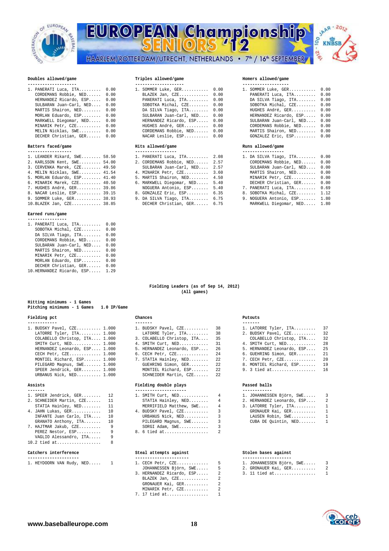

# EUROPEAN Championship 00 HAARLEM/ROTTERDAM/UTRECHT, NETHERLANDS • 7<sup>th</sup> / 16<sup>th</sup> SEPTEMBER



## Doubles allowed/game

| 1. PANERATI Luca, $ITA$ $0.00$ | 1. SOMMER Luke, GER 0.00     | 1. SOMMER Luke, GER 0.00     |  |
|--------------------------------|------------------------------|------------------------------|--|
| CORDEMANS Robbie, NED 0.00     | BLAZEK Jan, CZE 0.00         | PANERATI Luca, ITA 0.00      |  |
| HERNANDEZ Ricardo, ESP 0.00    | PANERATI Luca, ITA 0.00      | DA SILVA Tiago, ITA 0.00     |  |
| SULBARAN Juan-Carl, NED 0.00   | SOBOTKA Michal, CZE 0.00     | SOBOTKA Michal, CZE 0.00     |  |
| MARTIS Shairon, NED 0.00       | DA SILVA Tiago, ITA 0.00     | HUGHES André, GER 0.00       |  |
| MORLAN Eduardo, ESP 0.00       | SULBARAN Juan-Carl, NED 0.00 | HERNANDEZ Ricardo, ESP 0.00  |  |
| MARKWELL Diegomar, NED 0.00    | HERNANDEZ Ricardo, ESP 0.00  | SULBARAN Juan-Carl, NED 0.00 |  |
| MINARIK Petr, CZE 0.00         | HUGHES André, GER 0.00       | CORDEMANS Robbie, NED 0.00   |  |
| MELIN Nicklas, SWE 0.00        | CORDEMANS Robbie, NED 0.00   | MARTIS Shairon, NED 0.00     |  |
| DECHER Christian, GER 0.00     | NACAR Leslie, ESP 0.00       | GONZALEZ Eric, ESP 0.00      |  |

## Batters faced/game

| 1. LEANDER Rikard, SWE 58.50 |  |                                                                                                                                                                                                                                                                                                                   |                                                                                                                                                                                                                                                                                                           |
|------------------------------|--|-------------------------------------------------------------------------------------------------------------------------------------------------------------------------------------------------------------------------------------------------------------------------------------------------------------------|-----------------------------------------------------------------------------------------------------------------------------------------------------------------------------------------------------------------------------------------------------------------------------------------------------------|
| 2. KARLSSON Kent, SWE 54.00  |  |                                                                                                                                                                                                                                                                                                                   |                                                                                                                                                                                                                                                                                                           |
| 3. CERVENKA Marek, CZE 49.50 |  |                                                                                                                                                                                                                                                                                                                   |                                                                                                                                                                                                                                                                                                           |
| 4. MELIN Nicklas, SWE 41.54  |  |                                                                                                                                                                                                                                                                                                                   |                                                                                                                                                                                                                                                                                                           |
| 5. MORLAN Eduardo, ESP 41.40 |  |                                                                                                                                                                                                                                                                                                                   |                                                                                                                                                                                                                                                                                                           |
| 6. MINARIK Marek, CZE 40.50  |  |                                                                                                                                                                                                                                                                                                                   |                                                                                                                                                                                                                                                                                                           |
| 7. HUGHES André, GER 39.86   |  |                                                                                                                                                                                                                                                                                                                   |                                                                                                                                                                                                                                                                                                           |
| 8. NACAR Leslie, ESP 39.15   |  |                                                                                                                                                                                                                                                                                                                   |                                                                                                                                                                                                                                                                                                           |
| 9. SOMMER Luke, GER 38.93    |  |                                                                                                                                                                                                                                                                                                                   |                                                                                                                                                                                                                                                                                                           |
| 10. BLAZEK Jan, CZE 38.85    |  |                                                                                                                                                                                                                                                                                                                   |                                                                                                                                                                                                                                                                                                           |
|                              |  | 1. PANERATI Luca, ITA 2.08<br>2. CORDEMANS Robbie, NED 2.57<br>SULBARAN Juan-Carl, NED 2.57<br>4. MINARIK Petr, CZE 3.60<br>5. MARTIS Shairon, NED 4.50<br>6. MARKWELL Diegomar, NED 5.40<br>NOGUERA Antonio, ESP 5.40<br>8. GONZALEZ Eric. ESP 6.35<br>9. DA SILVA Tiago, ITA 6.75<br>DECHER Christian, GER 6.75 | 1. DA SILVA Tiago, ITA 0.00<br>CORDEMANS Robbie, NED 0.00<br>SULBARAN Juan-Carl, NED 0.00<br>MARTIS Shairon, NED 0.00<br>MINARIK Petr, CZE 0.00<br>DECHER Christian, GER 0.00<br>7. PANERATI Luca, ITA 0.69<br>8. SOBOTKA Michal, CZE 1.12<br>9. NOGUERA Antonio, ESP 1.80<br>MARKWELL Diegomar, NED 1.80 |

### **Earned runs/game ----------------**

| 1. PANERATI Luca, ITA     | 0.00 |
|---------------------------|------|
| SOBOTKA Michal, CZE       | 0.00 |
| DA SILVA Tiago, ITA       | 0.00 |
| CORDEMANS Robbie, NED     | 0.00 |
| SULBARAN Juan-Carl, NED   | 0.00 |
| MARTIS Shairon, NED       | 0.00 |
| MINARIK Petr, CZE         | 0.00 |
| MORLAN Eduardo, ESP       | 0.00 |
| DECHER Christian, GER     | 0.00 |
| 10.HERNANDEZ Ricardo, ESP | 1.29 |

| Hitting minimums - 1 Games  |             |
|-----------------------------|-------------|
| Pitching minimums - 1 Games | 1.0 IP/Game |

| 1. BUDSKY Pavel, CZE 1.00    |  |
|------------------------------|--|
| LATORRE Tyler, ITA 1.00      |  |
| COLABELLO Christop, ITA 1.00 |  |
| SMITH Curt, NED 1.00         |  |
| HERNANDEZ Leonardo, ESP 1.00 |  |
| CECH Petr, CZE 1.00          |  |
| MONTIEL Richard, ESP 1.00    |  |
| PILEGARD Magnus, SWE 1.00    |  |
| SPEER Jendrick, GER 1.00     |  |
|                              |  |

| 1. SPEER Jendrick, GER 12   |     | 1. SMITH $Curt, NED$ $4$ |                |
|-----------------------------|-----|--------------------------|----------------|
| 2. SCHNEIDER Martin, CZE 11 |     | STATIA Hainley, NED      | 4              |
| STATIA Hainley, NED 11      |     | MERRIFIELD Matthew, SWE  | $\overline{4}$ |
| 4. JAHN Lukas, GER $10$     |     | 4. BUDSKY Pavel, CZE     | 3              |
| INFANTE Juan Carlo, ITA 10  |     | URBANUS Nick, NED        |                |
| GRANATO Anthony, ITA 10     |     | PILEGARD Magnus, SWE     |                |
| 7. HAJTMAR Jakub, CZE       | - 9 | SORGI Adam, SWE          |                |
| PEREZ Nestor, ESP 9         |     |                          |                |
| $\mathbf{r}$                |     |                          |                |

|  | VAGLIO Alessandro, ITA |  |
|--|------------------------|--|
|  | 10.2 tied $at$         |  |

|  |  | 1. HEYDOORN VAN Rudy, NED |  |
|--|--|---------------------------|--|
|  |  |                           |  |

## **Doubles allowed/game Triples allowed/game Homers allowed/game**

| 1. SOMMER Luke, GER     | 0.1 |
|-------------------------|-----|
| BLAZEK Jan, CZE         | 0.1 |
| PANERATI Luca, ITA      | 0.1 |
| SOBOTKA Michal, CZE     | 0.1 |
| DA SILVA Tiago, ITA     | 0.1 |
| SULBARAN Juan-Carl, NED | 0.1 |
| HERNANDEZ Ricardo, ESP  | 0.1 |
| HUGHES André, GER       | 0.1 |
| CORDEMANS Robbie, NED   | 0.1 |
| NACAR Leslie, ESP       | 0.1 |
|                         |     |

| 1. PANERATI Luca, ITA                                                                                                                                                                                                          | 2.0           |
|--------------------------------------------------------------------------------------------------------------------------------------------------------------------------------------------------------------------------------|---------------|
| 2. CORDEMANS Robbie, NED                                                                                                                                                                                                       | 2.5           |
| SULBARAN Juan-Carl, NED                                                                                                                                                                                                        | 2.5           |
| 4. MINARIK Petr, CZE                                                                                                                                                                                                           | 3.6           |
| 5. MARTIS Shairon, NED                                                                                                                                                                                                         | 4.5           |
| 6. MARKWELL Diegomar, NED                                                                                                                                                                                                      | 5.4           |
| NOGUERA Antonio, ESP                                                                                                                                                                                                           | 5.4           |
| 8. GONZALEZ Eric, ESP                                                                                                                                                                                                          | 6.3           |
| 9. DA SILVA Tiago, ITA                                                                                                                                                                                                         | 6.7           |
| profilm of the opposite the state of the state of the state of the state of the state of the state of the state of the state of the state of the state of the state of the state of the state of the state of the state of the | $\sim$ $\sim$ |

| . SOMMER Luke, GER      | 0.00 |
|-------------------------|------|
| PANERATI Luca, ITA      | 0.00 |
| DA SILVA Tiago, ITA     | 0.00 |
| SOBOTKA Michal, CZE     | 0.00 |
| HUGHES André, GER       | 0.00 |
| HERNANDEZ Ricardo, ESP  | 0.00 |
| SULBARAN Juan-Carl, NED | 0.00 |
| CORDEMANS Robbie, NED   | 0.00 |
| MARTIS Shairon, NED     | 0.00 |
| GONZALEZ Eric, ESP      | 0.00 |
|                         |      |

### **Batters faced/game Hits allowed/game Runs allowed/game**

| 1. DA SILVA Tiago, ITA  | 0.00 |
|-------------------------|------|
| CORDEMANS Robbie, NED   | 0.00 |
| SULBARAN Juan-Carl, NED | 0.00 |
| MARTIS Shairon, NED     | 0.00 |
| MINARIK Petr, CZE       | 0.00 |
| DECHER Christian, GER   | 0.00 |
| 7. PANERATI Luca, ITA   | 0.69 |
| 8. SOBOTKA Michal, CZE  | 1.12 |
| 9. NOGUERA Antonio, ESP | 1.80 |
|                         |      |

### **Fielding Leaders (as of Sep 14, 2012) (All games)**

| Fielding pct                                                                                                                                                                  | Chances                                                                                                                                           |                                    |                                                                              |  |  |
|-------------------------------------------------------------------------------------------------------------------------------------------------------------------------------|---------------------------------------------------------------------------------------------------------------------------------------------------|------------------------------------|------------------------------------------------------------------------------|--|--|
| 1. BUDSKY Pavel, CZE 1.000<br>LATORRE Tyler, ITA 1.000<br>COLABELLO Christop, ITA 1.000<br>SMITH Curt, NED 1.000<br>HERNANDEZ Leonardo, ESP 1.000<br>CECH Petr, $CZE$ $1.000$ | 1. BUDSKY Pavel, CZE<br>LATORRE Tyler, ITA<br>3. COLABELLO Christop, ITA<br>4. SMITH Curt, NED<br>5. HERNANDEZ Leonardo, ESP<br>6. CECH Petr, CZE | -38<br>38<br>35<br>31<br>26<br>2.4 | Putouts<br>1. LATOR<br>2. BUDSK<br>COLAB<br>4. SMITH<br>5. HERNA<br>6. GUEHR |  |  |
| MONTIEL Richard, ESP 1.000<br>PILEGARD Magnus, SWE 1.000<br>SPEER Jendrick, GER 1.000<br>URBANUS Nick, NED 1.000                                                              | 7. STATIA Hainley, NED<br>GUEHRING Simon, GER<br>MONTIEL Richard, ESP<br>SCHNEIDER Martin, CZE                                                    | 2.2.<br>2.2<br>2.2<br>2.2          | 7. CECH<br>8. MONTI<br>$9.3$ tie                                             |  |  |

## **Assists Fielding double plays Passed balls**

|                             | -----------------         |               |
|-----------------------------|---------------------------|---------------|
| 1. SPEER Jendrick, GER 12   | 1. SMITH $Curt, NED$ $4$  | 1. JOHANNESSE |
| 2. SCHNEIDER Martin, CZE 11 | STATIA Hainley, NED 4     | 2. HERNANDEZ  |
| STATIA Hainley, NED 11      | MERRIFIELD Matthew, SWE 4 | 3. LATORRE Ty |
| 4. JAHN Lukas, GER 10       | 4. BUDSKY Pavel, CZE 3    | GRONAUER K    |
| INFANTE Juan Carlo, ITA 10  | URBANUS Nick, NED 3       | LAUSEN Rob    |
| GRANATO Anthony, ITA 10     | PILEGARD Magnus, SWE 3    | CUBA DE Ou    |
| 7. HAJTMAR Jakub, CZE 9     | SORGI Adam, SWE 3         |               |
| PEREZ Nestor, ESP 9         |                           |               |

## **Catchers interference Steal attempts against Stolen bases against**

|  |  | 1. HEYDOORN VAN Rudy, NED 1 |  | 1. CECH Petr, $CZE$ 5       |  |
|--|--|-----------------------------|--|-----------------------------|--|
|  |  |                             |  | JOHANNESSEN Björn, SWE 5    |  |
|  |  |                             |  | 3. HERNANDEZ Ricardo, ESP 2 |  |
|  |  |                             |  | BLAZEK Jan, CZE 2           |  |
|  |  |                             |  | GRONAUER Kai, GER 2         |  |
|  |  |                             |  | MINARIK Petr, CZE 2         |  |
|  |  |                             |  | 7. 17 tied at 1             |  |

| 1. BUDSKY Pavel, CZE 1.000    | 1. BUDSKY Pavel, CZE 38       | 1. LATORRE Tyler, ITA 37      |  |
|-------------------------------|-------------------------------|-------------------------------|--|
| LATORRE Tyler, ITA 1.000      | LATORRE Tyler, ITA 38         | 2. BUDSKY Pavel, CZE 32       |  |
| COLABELLO Christop, ITA 1.000 | 3. COLABELLO Christop, ITA 35 | COLABELLO Christop, ITA 32    |  |
| SMITH $Curt, NED$ $1.000$     | 4. SMITH Curt, NED 31         | 4. SMITH Curt, NED 28         |  |
| HERNANDEZ Leonardo, ESP 1.000 | 5. HERNANDEZ Leonardo, ESP 26 | 5. HERNANDEZ Leonardo, ESP 25 |  |
| CECH Petr, $CZE$ $1.000$      | 6. CECH Petr, CZE 24          | 6. GUEHRING Simon, GER 21     |  |
| MONTIEL Richard, ESP 1.000    | 7. STATIA Hainley, NED 22     | 7. CECH Petr, CZE 20          |  |
| PILEGARD Magnus, SWE 1.000    | GUEHRING Simon, GER 22        | 8. MONTIEL Richard, ESP 19    |  |
| SPEER Jendrick, GER 1.000     | MONTIEL Richard, ESP 22       | 9. 3 tied at 16               |  |
| URBANUS Nick, NED 1.000       | SCHNEIDER Martin, CZE 22      |                               |  |
|                               |                               |                               |  |

| 1. SPEER Jendrick, GER 12   | 1. SMITH $Curt, NED$ 4    | 1. JOHANNESSEN Björn, SWE 3  |  |
|-----------------------------|---------------------------|------------------------------|--|
| 2. SCHNEIDER Martin, CZE 11 | STATIA Hainley, NED 4     | 2. HERNANDEZ Leonardo, ESP 2 |  |
| STATIA Hainley, NED 11      | MERRIFIELD Matthew, SWE 4 | 3. LATORRE Tyler, ITA 1      |  |
| 4. JAHN Lukas, GER 10       | 4. BUDSKY Pavel, CZE 3    | GRONAUER Kai, GER 1          |  |
| INFANTE Juan Carlo, ITA 10  | URBANUS Nick, NED 3       | LAUSEN Robin, SWE 1          |  |
| GRANATO Anthony, ITA 10     | PILEGARD Magnus, SWE 3    | CUBA DE Quintin, NED 1       |  |
| 7. HAJTMAR Jakub, CZE 9     | SORGI Adam, SWE           |                              |  |

| ----------------------          | ----------------------- | --------------------- |               |  |
|---------------------------------|-------------------------|-----------------------|---------------|--|
| ------ - ---- --- -- -<br>----- | $-$<br>______           |                       | _____________ |  |

- 1. HEYDOORN VAN Rudy, NED..... 1 1. CECH Petr, CZE............. 5 1. JOHANNESSEN Björn, SWE..... 3
- JOHANNESSEN Björn, SWE..... 5 2. GRONAUER Kai, GER.......... 2  $3. 11$  tied at..................

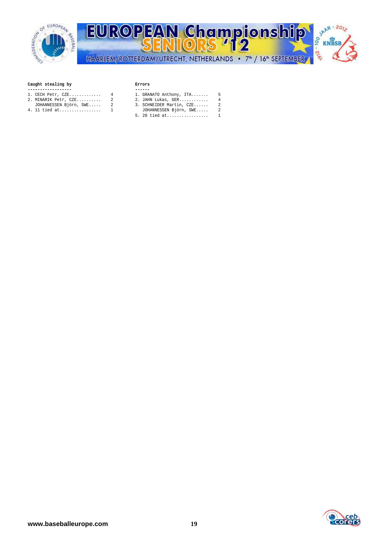

## **Caught stealing by Errors**

- 
- 
- **------------------ ------**  2. MINARIK Petr, CZE.......... 2 2. JAHN Lukas, GER............ 4 JOHANNESSEN Björn, SWE..... 2 3. SCHNEIDER Martin, CZE...... 2
- 

- 1. CECH Petr, CZE............. 4 1. GRANATO Anthony, ITA....... 5
	-
	-
- 4. 11 tied at................. 1 JOHANNESSEN Björn, SWE..... 2 5. 20 tied at..................

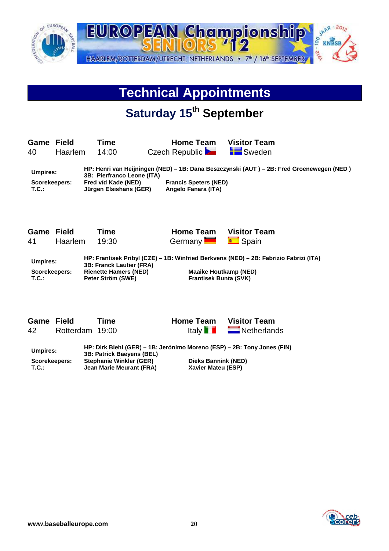

# **Technical Appointments**

# **Saturday 15th September**

| <b>Game Field</b><br>40 | <b>Haarlem</b> | Time<br>14:00              | <b>Home Team</b><br>Czech Republic                                                        | <b>Visitor Team</b><br><b>LE</b> Sweden |  |
|-------------------------|----------------|----------------------------|-------------------------------------------------------------------------------------------|-----------------------------------------|--|
| Umpires:                |                | OD. Diesfronge Leepe (ITA) | HP: Henri van Heijningen (NED) - 1B: Dana Beszczynski (AUT ) - 2B: Fred Groenewegen (NED) |                                         |  |

**3B: Pierfranco Leone (ITA)**  Scorekeepers: Fred v/d Kade (NED) Francis Speters (NED)<br>T.C.: Jürgen Elsishans (GER) Angelo Fanara (ITA) **Jürgen Elsishans (GER)** 

| Game Field<br>41 - | Haarlem 19:30 | Time | <b>Home Team</b><br>Germany <b>Communication</b> Spain | <b>Visitor Team</b>                                                                |
|--------------------|---------------|------|--------------------------------------------------------|------------------------------------------------------------------------------------|
| <b>Ilmniroc</b>    |               |      |                                                        | HP: Frantisek Pribyl (CZE) – 1B: Winfried Berkvens (NED) – 2B: Fabrizio Fabrizi (I |

**Umpires: HP: Frantisek Pribyl (CZE) – 1B: Winfried Berkvens (NED) – 2B: Fabrizio Fabrizi (ITA) 3B: Franck Lautier (FRA)**  Scorekeepers: Rienette Hamers (NED) Maaike Houtkamp (NED) **T.C.: Peter Ström (SWE) Frantisek Bunta (SVK)** 

| <b>Game Field</b> |                 | <b>Time</b> |
|-------------------|-----------------|-------------|
| 42                | Rotterdam 19:00 |             |

**Home Team Visitor Team Italy 1** 

 $\blacksquare$  Netherlands

| Umpires:      | 3B: Patrick Baevens (BEL)      | HP: Dirk Biehl (GER) – 1B: Jerónimo Moreno (ESP) – 2B: Tony Jones (FIN) |
|---------------|--------------------------------|-------------------------------------------------------------------------|
| Scorekeepers: | <b>Stephanie Winkler (GER)</b> | Dieks Bannink (NED)                                                     |
| T.C.:         | Jean Marie Meurant (FRA)       | Xavier Mateu (ESP)                                                      |